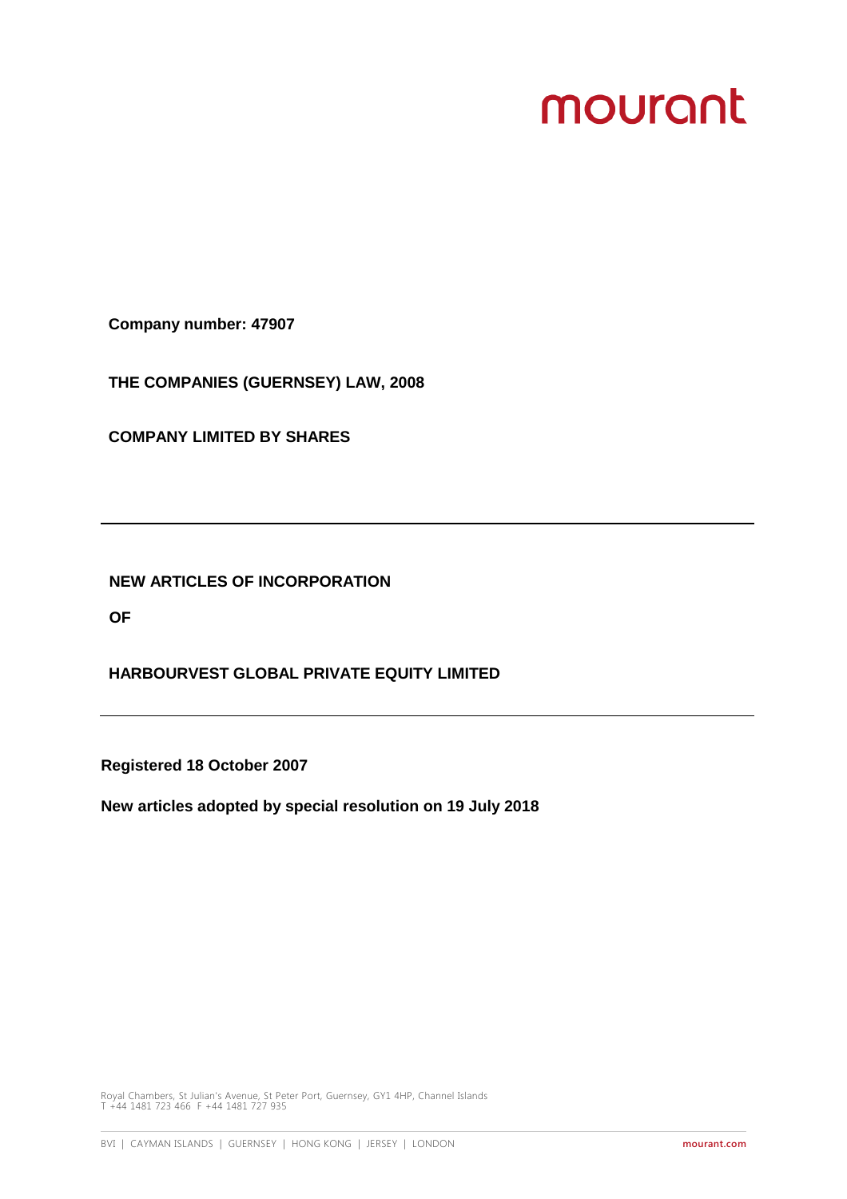# mourant

**Company number: 47907**

**THE COMPANIES (GUERNSEY) LAW, 2008**

**COMPANY LIMITED BY SHARES**

**NEW ARTICLES OF INCORPORATION**

**OF**

**HARBOURVEST GLOBAL PRIVATE EQUITY LIMITED**

**Registered 18 October 2007**

**New articles adopted by special resolution on 19 July 2018**

Royal Chambers, St Julian's Avenue, St Peter Port, Guernsey, GY1 4HP, Channel Islands T +44 1481 723 466 F +44 1481 727 935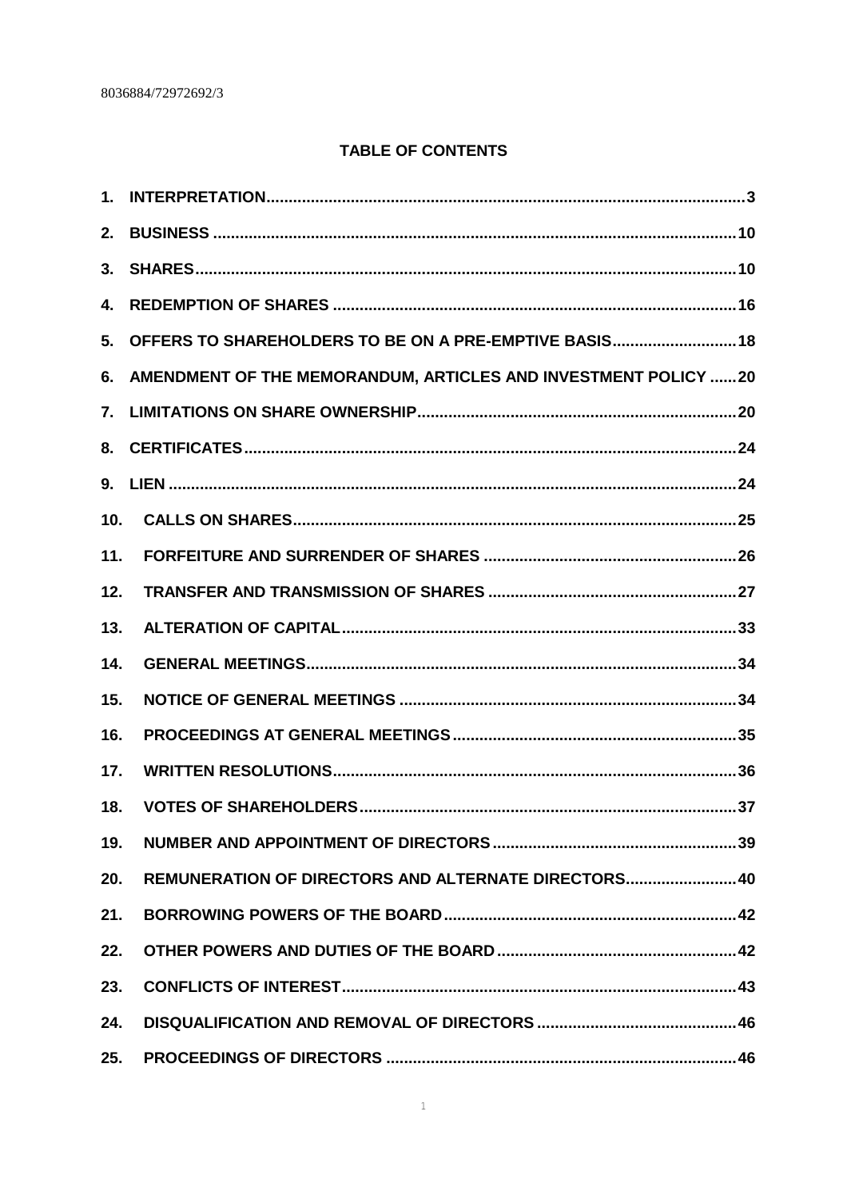# **TABLE OF CONTENTS**

| 4.              |                                                                |
|-----------------|----------------------------------------------------------------|
|                 | 5. OFFERS TO SHAREHOLDERS TO BE ON A PRE-EMPTIVE BASIS 18      |
| 6.              | AMENDMENT OF THE MEMORANDUM, ARTICLES AND INVESTMENT POLICY 20 |
|                 |                                                                |
|                 |                                                                |
|                 |                                                                |
| 10 <sub>1</sub> |                                                                |
| 11.             |                                                                |
| 12.             |                                                                |
| 13.             |                                                                |
| 14.             |                                                                |
| 15.             |                                                                |
| 16.             |                                                                |
| 17.             |                                                                |
| 18.             |                                                                |
| 19.             |                                                                |
| 20.             | REMUNERATION OF DIRECTORS AND ALTERNATE DIRECTORS 40           |
| 21.             |                                                                |
| 22.             |                                                                |
| 23.             |                                                                |
| 24.             |                                                                |
| 25.             |                                                                |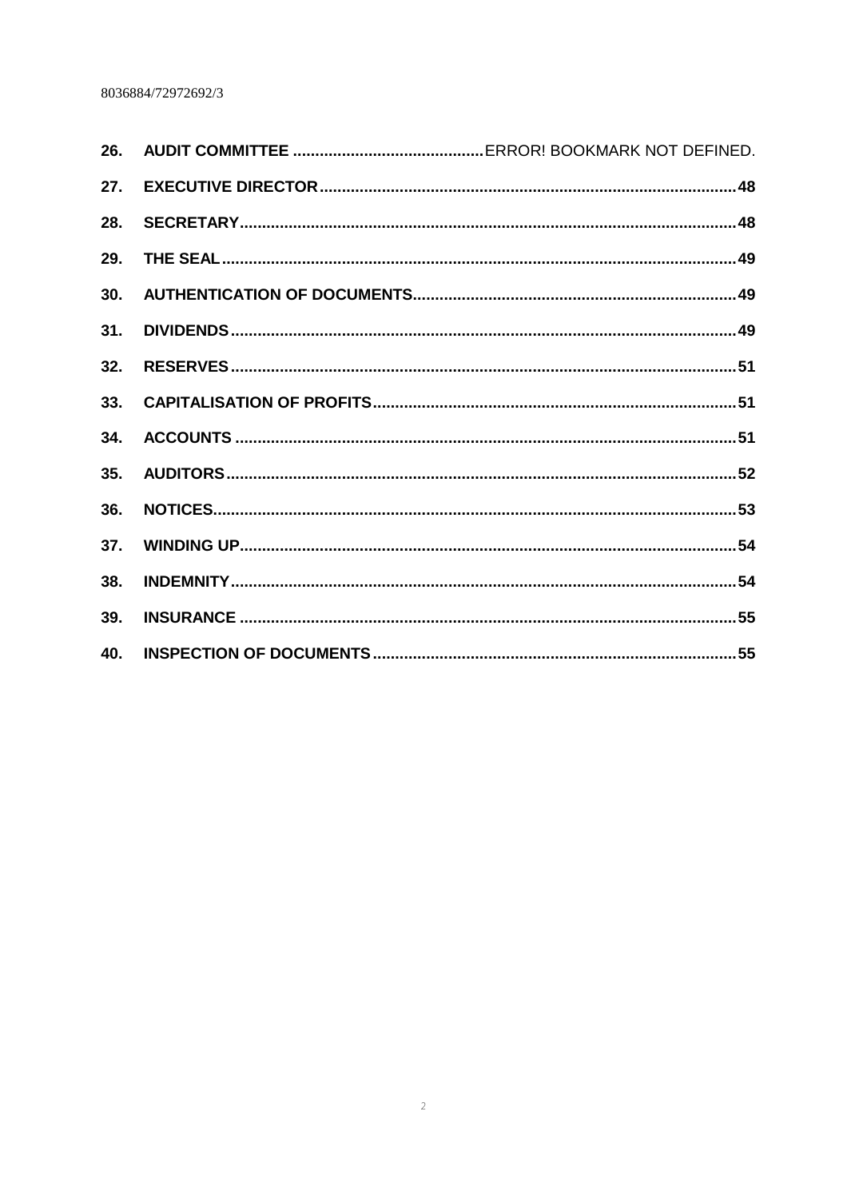| 26. |
|-----|
| 27. |
| 28. |
| 29. |
| 30. |
| 31. |
| 32. |
| 33. |
| 34. |
| 35. |
| 36. |
| 37. |
| 38. |
| 39. |
| 40. |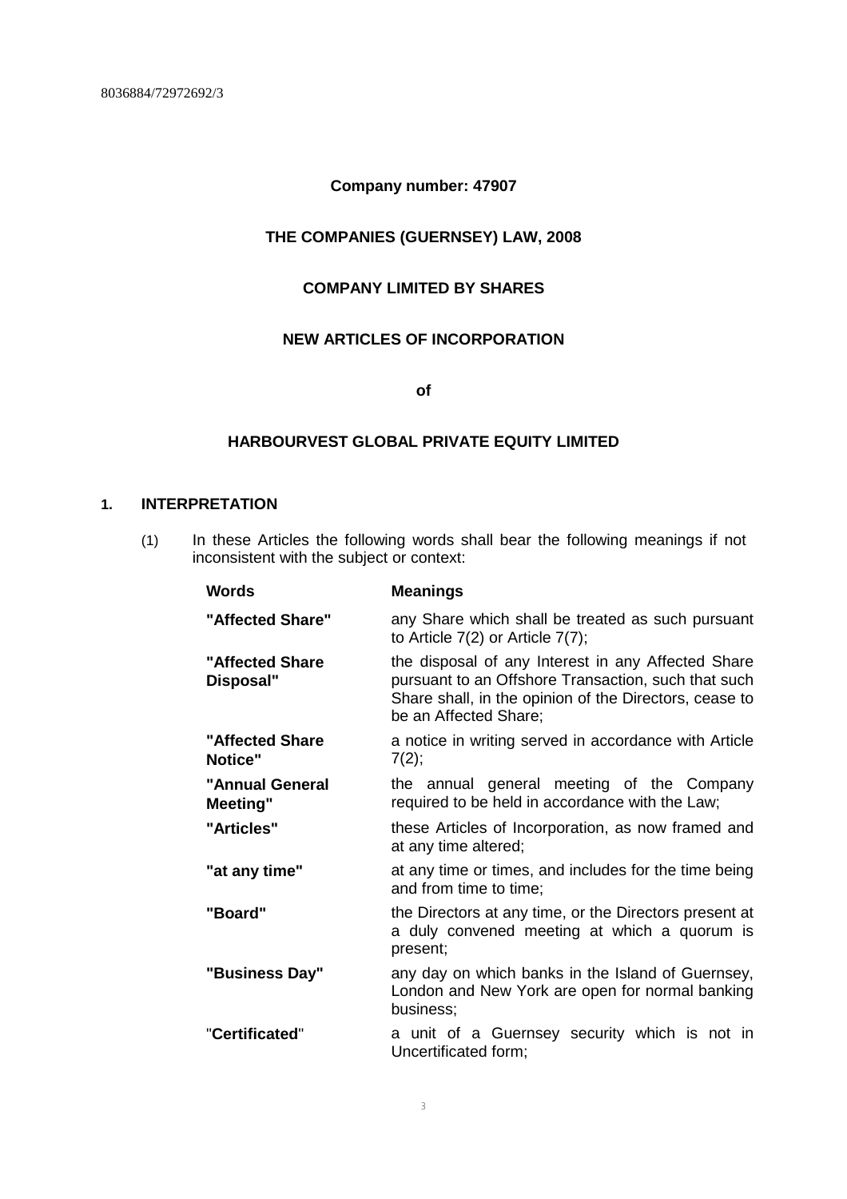# **Company number: 47907**

# **THE COMPANIES (GUERNSEY) LAW, 2008**

# **COMPANY LIMITED BY SHARES**

# **NEW ARTICLES OF INCORPORATION**

**of**

# **HARBOURVEST GLOBAL PRIVATE EQUITY LIMITED**

# **1. INTERPRETATION**

(1) In these Articles the following words shall bear the following meanings if not inconsistent with the subject or context:

| <b>Words</b>                       | <b>Meanings</b>                                                                                                                                                                              |
|------------------------------------|----------------------------------------------------------------------------------------------------------------------------------------------------------------------------------------------|
| "Affected Share"                   | any Share which shall be treated as such pursuant<br>to Article $7(2)$ or Article $7(7)$ ;                                                                                                   |
| "Affected Share<br>Disposal"       | the disposal of any Interest in any Affected Share<br>pursuant to an Offshore Transaction, such that such<br>Share shall, in the opinion of the Directors, cease to<br>be an Affected Share; |
| "Affected Share"<br><b>Notice"</b> | a notice in writing served in accordance with Article<br>7(2);                                                                                                                               |
| "Annual General<br><b>Meeting"</b> | the annual general meeting of the Company<br>required to be held in accordance with the Law;                                                                                                 |
| "Articles"                         | these Articles of Incorporation, as now framed and<br>at any time altered;                                                                                                                   |
| "at any time"                      | at any time or times, and includes for the time being<br>and from time to time;                                                                                                              |
| "Board"                            | the Directors at any time, or the Directors present at<br>a duly convened meeting at which a quorum is<br>present;                                                                           |
| "Business Day"                     | any day on which banks in the Island of Guernsey,<br>London and New York are open for normal banking<br>business;                                                                            |
| "Certificated"                     | a unit of a Guernsey security which is not in<br>Uncertificated form;                                                                                                                        |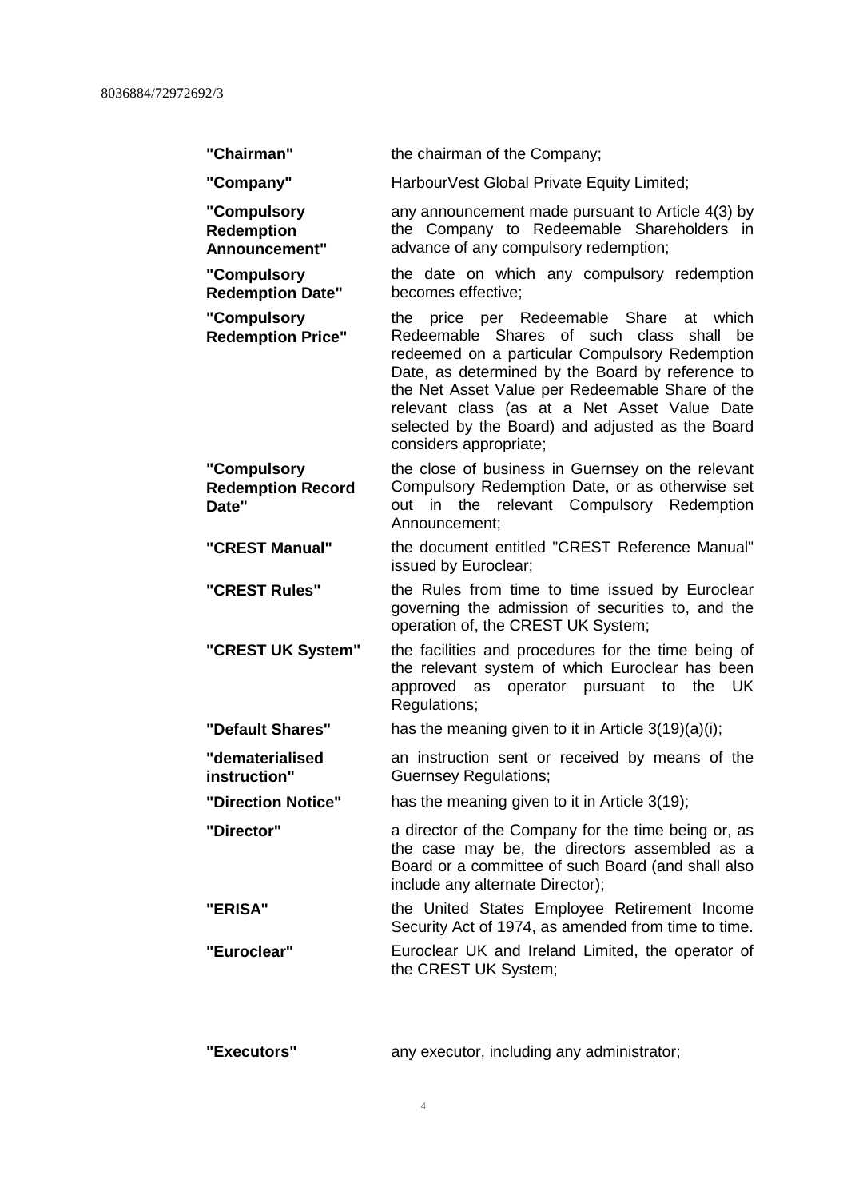| "Chairman"                                        | the chairman of the Company;                                                                                                                                                                                                                                                                                                                                                              |
|---------------------------------------------------|-------------------------------------------------------------------------------------------------------------------------------------------------------------------------------------------------------------------------------------------------------------------------------------------------------------------------------------------------------------------------------------------|
| "Company"                                         | HarbourVest Global Private Equity Limited;                                                                                                                                                                                                                                                                                                                                                |
| "Compulsory<br><b>Redemption</b><br>Announcement" | any announcement made pursuant to Article 4(3) by<br>the Company to Redeemable Shareholders in<br>advance of any compulsory redemption;                                                                                                                                                                                                                                                   |
| "Compulsory<br><b>Redemption Date"</b>            | the date on which any compulsory redemption<br>becomes effective;                                                                                                                                                                                                                                                                                                                         |
| "Compulsory<br><b>Redemption Price"</b>           | the price per Redeemable Share<br>at<br>which<br>Redeemable Shares of such<br>class<br>shall<br>be<br>redeemed on a particular Compulsory Redemption<br>Date, as determined by the Board by reference to<br>the Net Asset Value per Redeemable Share of the<br>relevant class (as at a Net Asset Value Date<br>selected by the Board) and adjusted as the Board<br>considers appropriate; |
| "Compulsory<br><b>Redemption Record</b><br>Date"  | the close of business in Guernsey on the relevant<br>Compulsory Redemption Date, or as otherwise set<br>the relevant Compulsory Redemption<br>out in<br>Announcement;                                                                                                                                                                                                                     |
| "CREST Manual"                                    | the document entitled "CREST Reference Manual"<br>issued by Euroclear;                                                                                                                                                                                                                                                                                                                    |
| "CREST Rules"                                     | the Rules from time to time issued by Euroclear<br>governing the admission of securities to, and the                                                                                                                                                                                                                                                                                      |
|                                                   | operation of, the CREST UK System;                                                                                                                                                                                                                                                                                                                                                        |
| "CREST UK System"                                 | the facilities and procedures for the time being of<br>the relevant system of which Euroclear has been<br>operator pursuant to<br>approved as<br>the<br>– UK<br>Regulations;                                                                                                                                                                                                              |
| "Default Shares"                                  | has the meaning given to it in Article $3(19)(a)(i)$ ;                                                                                                                                                                                                                                                                                                                                    |
| "dematerialised<br>instruction"                   | an instruction sent or received by means of the<br><b>Guernsey Regulations;</b>                                                                                                                                                                                                                                                                                                           |
| "Direction Notice"                                | has the meaning given to it in Article 3(19);                                                                                                                                                                                                                                                                                                                                             |
| "Director"                                        | a director of the Company for the time being or, as<br>the case may be, the directors assembled as a<br>Board or a committee of such Board (and shall also<br>include any alternate Director);                                                                                                                                                                                            |
| "ERISA"                                           | the United States Employee Retirement Income<br>Security Act of 1974, as amended from time to time.                                                                                                                                                                                                                                                                                       |
| "Euroclear"                                       | Euroclear UK and Ireland Limited, the operator of<br>the CREST UK System;                                                                                                                                                                                                                                                                                                                 |

**"Executors"** any executor, including any administrator;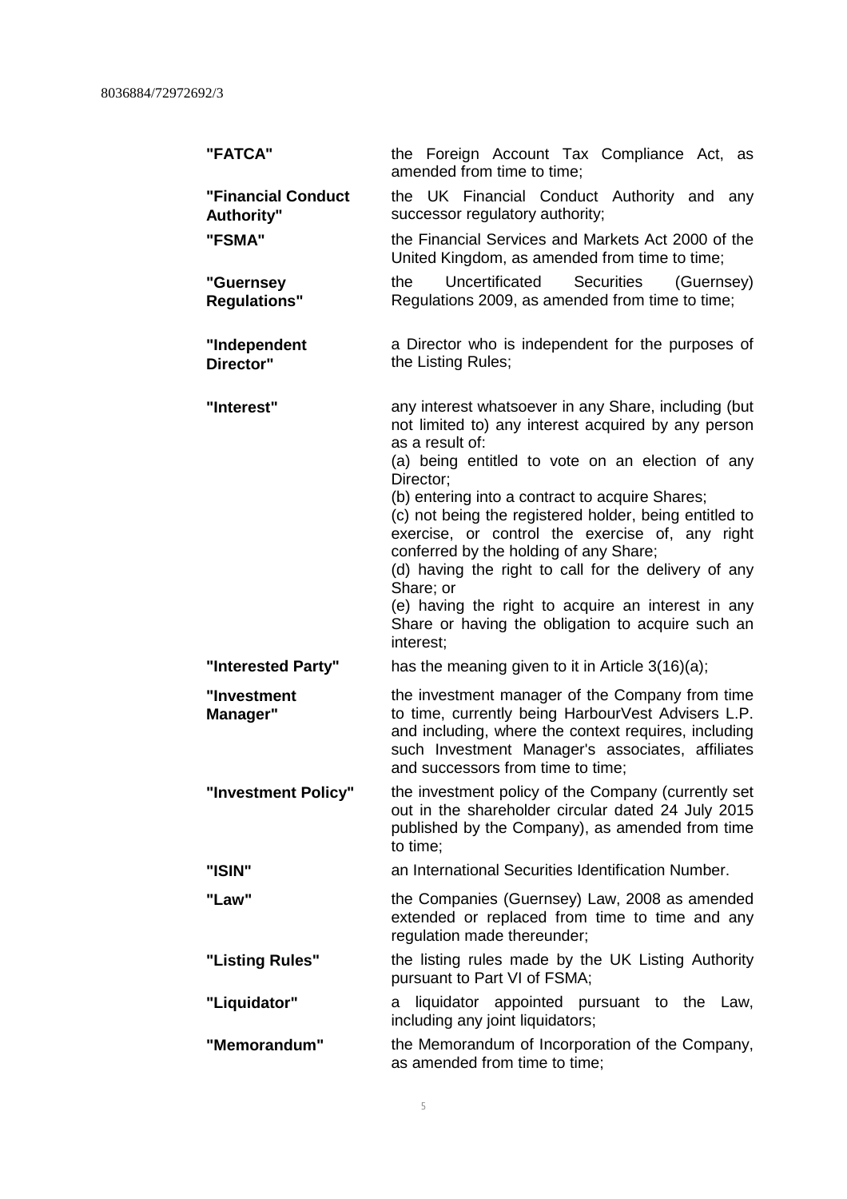| "FATCA"                                 | the Foreign Account Tax Compliance Act, as<br>amended from time to time;                                                                                                                                                                                                                                                                                                                                                                                                                                                                                                                               |
|-----------------------------------------|--------------------------------------------------------------------------------------------------------------------------------------------------------------------------------------------------------------------------------------------------------------------------------------------------------------------------------------------------------------------------------------------------------------------------------------------------------------------------------------------------------------------------------------------------------------------------------------------------------|
| <b>"Financial Conduct</b><br>Authority" | the UK Financial Conduct Authority and any<br>successor regulatory authority;                                                                                                                                                                                                                                                                                                                                                                                                                                                                                                                          |
| "FSMA"                                  | the Financial Services and Markets Act 2000 of the<br>United Kingdom, as amended from time to time;                                                                                                                                                                                                                                                                                                                                                                                                                                                                                                    |
| "Guernsey<br><b>Regulations"</b>        | Uncertificated<br>Securities<br>the<br>(Guernsey)<br>Regulations 2009, as amended from time to time;                                                                                                                                                                                                                                                                                                                                                                                                                                                                                                   |
| "Independent<br>Director"               | a Director who is independent for the purposes of<br>the Listing Rules;                                                                                                                                                                                                                                                                                                                                                                                                                                                                                                                                |
| "Interest"                              | any interest whatsoever in any Share, including (but<br>not limited to) any interest acquired by any person<br>as a result of:<br>(a) being entitled to vote on an election of any<br>Director;<br>(b) entering into a contract to acquire Shares;<br>(c) not being the registered holder, being entitled to<br>exercise, or control the exercise of, any right<br>conferred by the holding of any Share;<br>(d) having the right to call for the delivery of any<br>Share; or<br>(e) having the right to acquire an interest in any<br>Share or having the obligation to acquire such an<br>interest; |
| "Interested Party"                      | has the meaning given to it in Article $3(16)(a)$ ;                                                                                                                                                                                                                                                                                                                                                                                                                                                                                                                                                    |
| "Investment<br>Manager"                 | the investment manager of the Company from time<br>to time, currently being HarbourVest Advisers L.P.<br>and including, where the context requires, including<br>such Investment Manager's associates, affiliates<br>and successors from time to time;                                                                                                                                                                                                                                                                                                                                                 |
| "Investment Policy"                     | the investment policy of the Company (currently set<br>out in the shareholder circular dated 24 July 2015<br>published by the Company), as amended from time<br>to time;                                                                                                                                                                                                                                                                                                                                                                                                                               |
| "ISIN"                                  | an International Securities Identification Number.                                                                                                                                                                                                                                                                                                                                                                                                                                                                                                                                                     |
| "Law"                                   | the Companies (Guernsey) Law, 2008 as amended<br>extended or replaced from time to time and any<br>regulation made thereunder;                                                                                                                                                                                                                                                                                                                                                                                                                                                                         |
| "Listing Rules"                         | the listing rules made by the UK Listing Authority<br>pursuant to Part VI of FSMA;                                                                                                                                                                                                                                                                                                                                                                                                                                                                                                                     |
| "Liquidator"                            | liquidator appointed pursuant to the Law,<br>a<br>including any joint liquidators;                                                                                                                                                                                                                                                                                                                                                                                                                                                                                                                     |
| "Memorandum"                            | the Memorandum of Incorporation of the Company,<br>as amended from time to time;                                                                                                                                                                                                                                                                                                                                                                                                                                                                                                                       |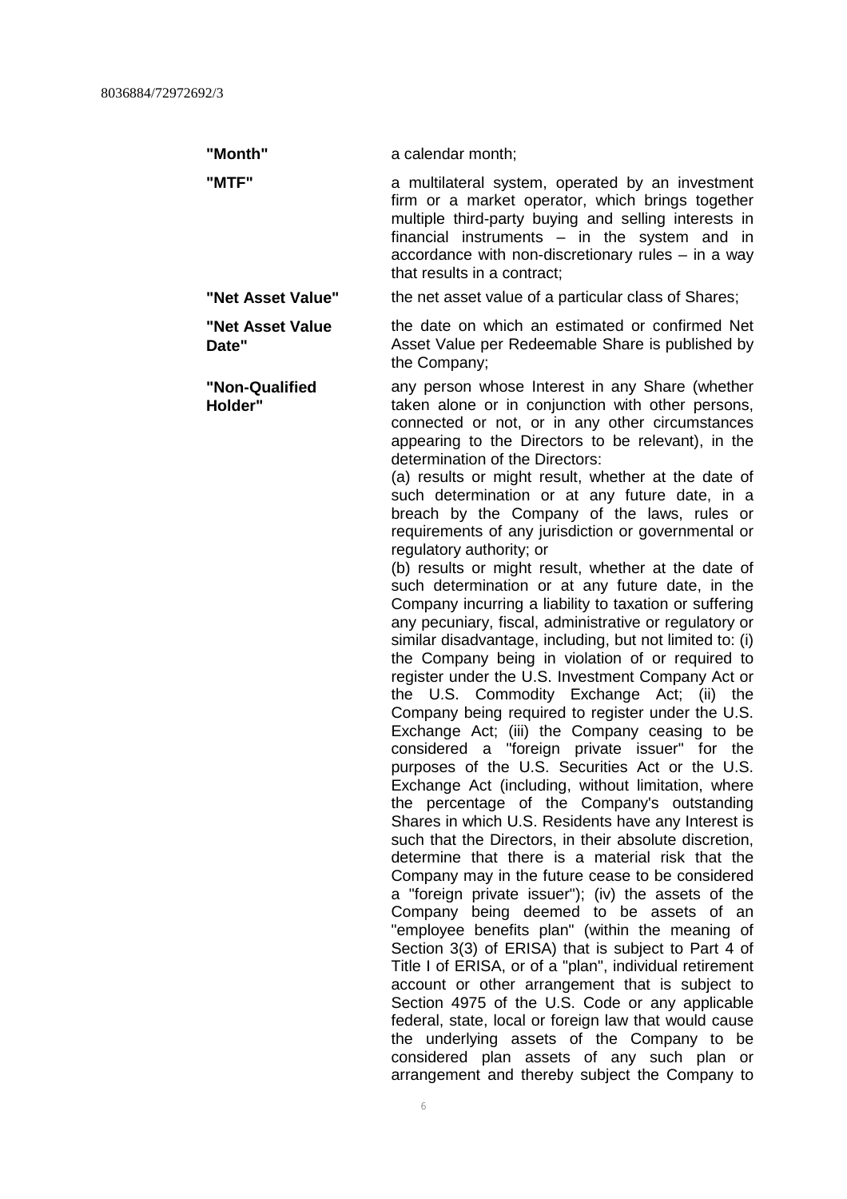**Date"**

**"Month"** a calendar month;

**"MTF"** a multilateral system, operated by an investment firm or a market operator, which brings together multiple third-party buying and selling interests in financial instruments – in the system and in accordance with non-discretionary rules – in a way that results in a contract;

**"Net Asset Value"** the net asset value of a particular class of Shares;

**"Net Asset Value** the date on which an estimated or confirmed Net Asset Value per Redeemable Share is published by the Company;

**"Non-Qualified Holder"** any person whose Interest in any Share (whether taken alone or in conjunction with other persons, connected or not, or in any other circumstances appearing to the Directors to be relevant), in the determination of the Directors:

> (a) results or might result, whether at the date of such determination or at any future date, in a breach by the Company of the laws, rules or requirements of any jurisdiction or governmental or regulatory authority; or

(b) results or might result, whether at the date of such determination or at any future date, in the Company incurring a liability to taxation or suffering any pecuniary, fiscal, administrative or regulatory or similar disadvantage, including, but not limited to: (i) the Company being in violation of or required to register under the U.S. Investment Company Act or the U.S. Commodity Exchange Act; (ii) the Company being required to register under the U.S. Exchange Act; (iii) the Company ceasing to be considered a "foreign private issuer" for the purposes of the U.S. Securities Act or the U.S. Exchange Act (including, without limitation, where the percentage of the Company's outstanding Shares in which U.S. Residents have any Interest is such that the Directors, in their absolute discretion. determine that there is a material risk that the Company may in the future cease to be considered a "foreign private issuer"); (iv) the assets of the Company being deemed to be assets of an "employee benefits plan" (within the meaning of Section 3(3) of ERISA) that is subject to Part 4 of Title I of ERISA, or of a "plan", individual retirement account or other arrangement that is subject to Section 4975 of the U.S. Code or any applicable federal, state, local or foreign law that would cause the underlying assets of the Company to be considered plan assets of any such plan or arrangement and thereby subject the Company to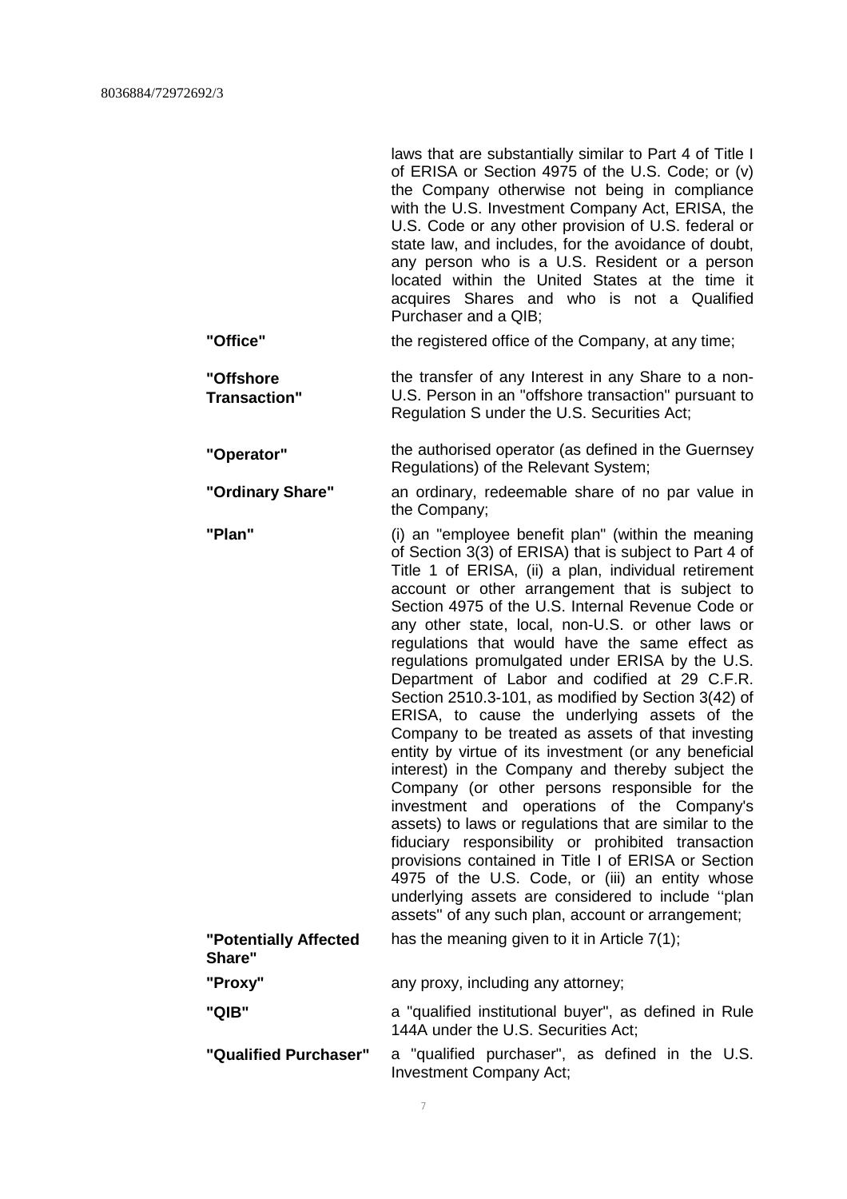|                                  | laws that are substantially similar to Part 4 of Title I<br>of ERISA or Section 4975 of the U.S. Code; or (v)<br>the Company otherwise not being in compliance<br>with the U.S. Investment Company Act, ERISA, the<br>U.S. Code or any other provision of U.S. federal or<br>state law, and includes, for the avoidance of doubt,<br>any person who is a U.S. Resident or a person<br>located within the United States at the time it<br>acquires Shares and who is not a Qualified<br>Purchaser and a QIB:                                                                                                                                                                                                                                                                                                                                                                                                                                                                                                                                                                                                                                                                                         |
|----------------------------------|-----------------------------------------------------------------------------------------------------------------------------------------------------------------------------------------------------------------------------------------------------------------------------------------------------------------------------------------------------------------------------------------------------------------------------------------------------------------------------------------------------------------------------------------------------------------------------------------------------------------------------------------------------------------------------------------------------------------------------------------------------------------------------------------------------------------------------------------------------------------------------------------------------------------------------------------------------------------------------------------------------------------------------------------------------------------------------------------------------------------------------------------------------------------------------------------------------|
| "Office"                         | the registered office of the Company, at any time;                                                                                                                                                                                                                                                                                                                                                                                                                                                                                                                                                                                                                                                                                                                                                                                                                                                                                                                                                                                                                                                                                                                                                  |
| "Offshore<br><b>Transaction"</b> | the transfer of any Interest in any Share to a non-<br>U.S. Person in an "offshore transaction" pursuant to<br>Regulation S under the U.S. Securities Act;                                                                                                                                                                                                                                                                                                                                                                                                                                                                                                                                                                                                                                                                                                                                                                                                                                                                                                                                                                                                                                          |
| "Operator"                       | the authorised operator (as defined in the Guernsey<br>Regulations) of the Relevant System;                                                                                                                                                                                                                                                                                                                                                                                                                                                                                                                                                                                                                                                                                                                                                                                                                                                                                                                                                                                                                                                                                                         |
| "Ordinary Share"                 | an ordinary, redeemable share of no par value in<br>the Company;                                                                                                                                                                                                                                                                                                                                                                                                                                                                                                                                                                                                                                                                                                                                                                                                                                                                                                                                                                                                                                                                                                                                    |
| "Plan"                           | (i) an "employee benefit plan" (within the meaning<br>of Section 3(3) of ERISA) that is subject to Part 4 of<br>Title 1 of ERISA, (ii) a plan, individual retirement<br>account or other arrangement that is subject to<br>Section 4975 of the U.S. Internal Revenue Code or<br>any other state, local, non-U.S. or other laws or<br>regulations that would have the same effect as<br>regulations promulgated under ERISA by the U.S.<br>Department of Labor and codified at 29 C.F.R.<br>Section 2510.3-101, as modified by Section 3(42) of<br>ERISA, to cause the underlying assets of the<br>Company to be treated as assets of that investing<br>entity by virtue of its investment (or any beneficial<br>interest) in the Company and thereby subject the<br>Company (or other persons responsible for the<br>investment and operations of the Company's<br>assets) to laws or regulations that are similar to the<br>fiduciary responsibility or prohibited transaction<br>provisions contained in Title I of ERISA or Section<br>4975 of the U.S. Code, or (iii) an entity whose<br>underlying assets are considered to include "plan<br>assets" of any such plan, account or arrangement; |
| "Potentially Affected<br>Share"  | has the meaning given to it in Article 7(1);                                                                                                                                                                                                                                                                                                                                                                                                                                                                                                                                                                                                                                                                                                                                                                                                                                                                                                                                                                                                                                                                                                                                                        |
| "Proxy"                          | any proxy, including any attorney;                                                                                                                                                                                                                                                                                                                                                                                                                                                                                                                                                                                                                                                                                                                                                                                                                                                                                                                                                                                                                                                                                                                                                                  |
| "QIB"                            | a "qualified institutional buyer", as defined in Rule<br>144A under the U.S. Securities Act;                                                                                                                                                                                                                                                                                                                                                                                                                                                                                                                                                                                                                                                                                                                                                                                                                                                                                                                                                                                                                                                                                                        |
| "Qualified Purchaser"            | a "qualified purchaser", as defined in the U.S.<br>Investment Company Act;                                                                                                                                                                                                                                                                                                                                                                                                                                                                                                                                                                                                                                                                                                                                                                                                                                                                                                                                                                                                                                                                                                                          |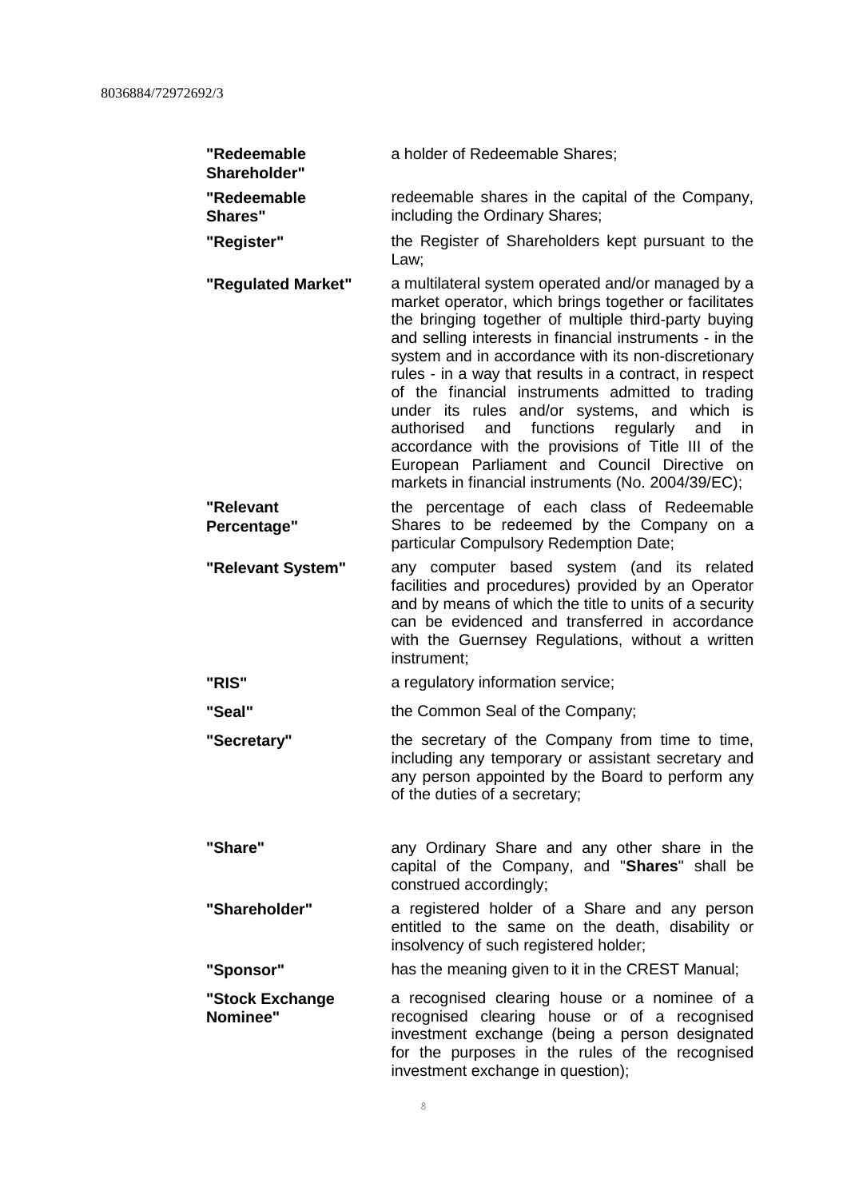| "Redeemable<br>Shareholder"   | a holder of Redeemable Shares;                                                                                                                                                                                                                                                                                                                                                                                                                                                                                                                                                                                                                                            |
|-------------------------------|---------------------------------------------------------------------------------------------------------------------------------------------------------------------------------------------------------------------------------------------------------------------------------------------------------------------------------------------------------------------------------------------------------------------------------------------------------------------------------------------------------------------------------------------------------------------------------------------------------------------------------------------------------------------------|
| "Redeemable<br><b>Shares"</b> | redeemable shares in the capital of the Company,<br>including the Ordinary Shares;                                                                                                                                                                                                                                                                                                                                                                                                                                                                                                                                                                                        |
| "Register"                    | the Register of Shareholders kept pursuant to the<br>Law;                                                                                                                                                                                                                                                                                                                                                                                                                                                                                                                                                                                                                 |
| "Regulated Market"            | a multilateral system operated and/or managed by a<br>market operator, which brings together or facilitates<br>the bringing together of multiple third-party buying<br>and selling interests in financial instruments - in the<br>system and in accordance with its non-discretionary<br>rules - in a way that results in a contract, in respect<br>of the financial instruments admitted to trading<br>under its rules and/or systems, and which is<br>and functions<br>regularly<br>authorised<br>and<br>in<br>accordance with the provisions of Title III of the<br>European Parliament and Council Directive on<br>markets in financial instruments (No. 2004/39/EC); |
| "Relevant<br>Percentage"      | the percentage of each class of Redeemable<br>Shares to be redeemed by the Company on a<br>particular Compulsory Redemption Date;                                                                                                                                                                                                                                                                                                                                                                                                                                                                                                                                         |
| "Relevant System"             | any computer based system (and its related<br>facilities and procedures) provided by an Operator<br>and by means of which the title to units of a security<br>can be evidenced and transferred in accordance<br>with the Guernsey Regulations, without a written<br>instrument;                                                                                                                                                                                                                                                                                                                                                                                           |
| "RIS"                         | a regulatory information service;                                                                                                                                                                                                                                                                                                                                                                                                                                                                                                                                                                                                                                         |
| "Seal"                        | the Common Seal of the Company;                                                                                                                                                                                                                                                                                                                                                                                                                                                                                                                                                                                                                                           |
| "Secretary"                   | the secretary of the Company from time to time,<br>including any temporary or assistant secretary and<br>any person appointed by the Board to perform any<br>of the duties of a secretary;                                                                                                                                                                                                                                                                                                                                                                                                                                                                                |
| "Share"                       | any Ordinary Share and any other share in the<br>capital of the Company, and "Shares" shall be<br>construed accordingly;                                                                                                                                                                                                                                                                                                                                                                                                                                                                                                                                                  |
| "Shareholder"                 | a registered holder of a Share and any person<br>entitled to the same on the death, disability or<br>insolvency of such registered holder;                                                                                                                                                                                                                                                                                                                                                                                                                                                                                                                                |
| "Sponsor"                     | has the meaning given to it in the CREST Manual;                                                                                                                                                                                                                                                                                                                                                                                                                                                                                                                                                                                                                          |
| "Stock Exchange<br>Nominee"   | a recognised clearing house or a nominee of a<br>recognised clearing house or of a recognised<br>investment exchange (being a person designated<br>for the purposes in the rules of the recognised<br>investment exchange in question);                                                                                                                                                                                                                                                                                                                                                                                                                                   |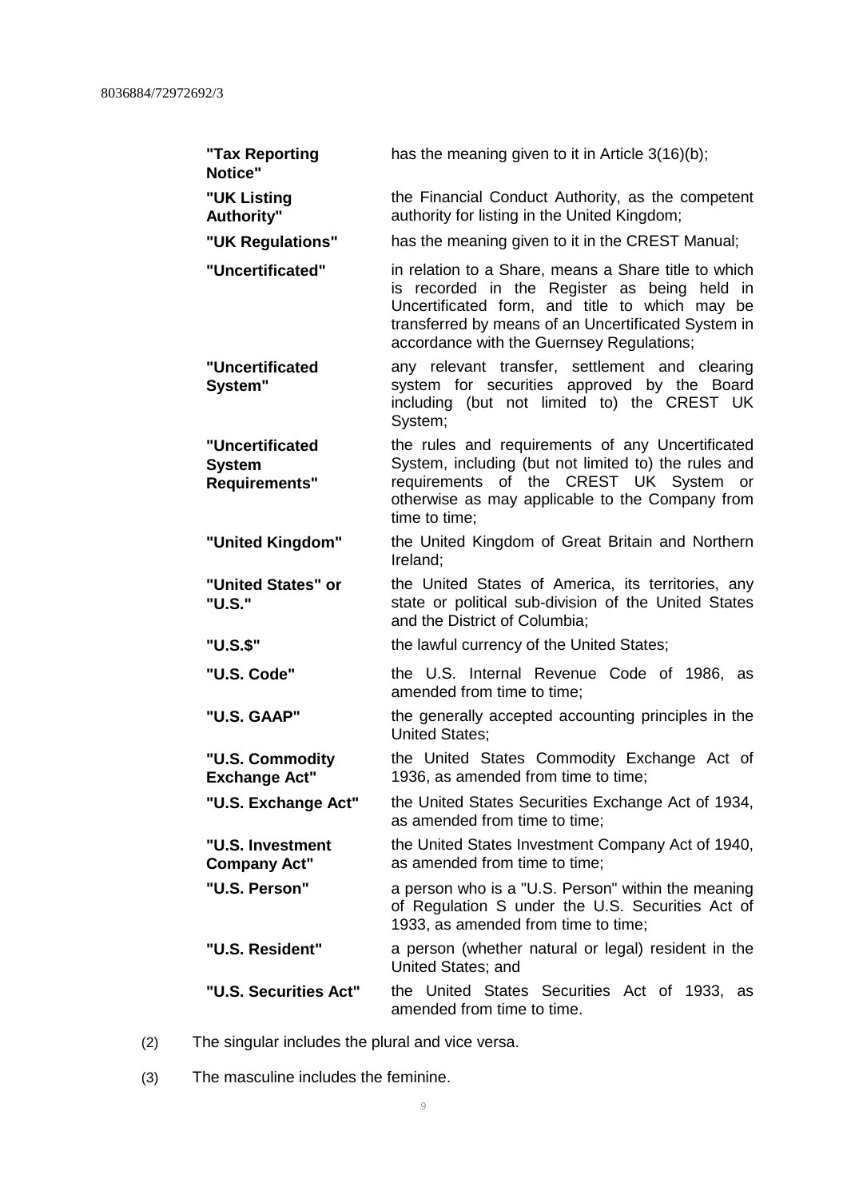| "Tax Reporting<br>Notice"                                | has the meaning given to it in Article 3(16)(b);                                                                                                                                                                                                           |
|----------------------------------------------------------|------------------------------------------------------------------------------------------------------------------------------------------------------------------------------------------------------------------------------------------------------------|
| "UK Listing<br>Authority"                                | the Financial Conduct Authority, as the competent<br>authority for listing in the United Kingdom;                                                                                                                                                          |
| "UK Regulations"                                         | has the meaning given to it in the CREST Manual;                                                                                                                                                                                                           |
| "Uncertificated"                                         | in relation to a Share, means a Share title to which<br>is recorded in the Register as being held in<br>Uncertificated form, and title to which may be<br>transferred by means of an Uncertificated System in<br>accordance with the Guernsey Regulations; |
| "Uncertificated<br>System"                               | any relevant transfer, settlement and clearing<br>system for securities approved by the Board<br>including (but not limited to) the CREST UK<br>System;                                                                                                    |
| "Uncertificated<br><b>System</b><br><b>Requirements"</b> | the rules and requirements of any Uncertificated<br>System, including (but not limited to) the rules and<br>requirements of the CREST UK System or<br>otherwise as may applicable to the Company from<br>time to time:                                     |
| "United Kingdom"                                         | the United Kingdom of Great Britain and Northern<br>Ireland:                                                                                                                                                                                               |
| "United States" or<br>"U.S."                             | the United States of America, its territories, any<br>state or political sub-division of the United States<br>and the District of Columbia;                                                                                                                |
| "U.S.\$"                                                 | the lawful currency of the United States;                                                                                                                                                                                                                  |
| "U.S. Code"                                              | the U.S. Internal Revenue Code of 1986, as<br>amended from time to time;                                                                                                                                                                                   |
| "U.S. GAAP"                                              | the generally accepted accounting principles in the<br><b>United States;</b>                                                                                                                                                                               |
| "U.S. Commodity<br><b>Exchange Act"</b>                  | the United States Commodity Exchange Act of<br>1936, as amended from time to time;                                                                                                                                                                         |
| "U.S. Exchange Act"                                      | the United States Securities Exchange Act of 1934,<br>as amended from time to time;                                                                                                                                                                        |
| "U.S. Investment<br><b>Company Act"</b>                  | the United States Investment Company Act of 1940,<br>as amended from time to time;                                                                                                                                                                         |
| "U.S. Person"                                            | a person who is a "U.S. Person" within the meaning<br>of Regulation S under the U.S. Securities Act of<br>1933, as amended from time to time;                                                                                                              |
| "U.S. Resident"                                          | a person (whether natural or legal) resident in the<br>United States; and                                                                                                                                                                                  |
| "U.S. Securities Act"                                    | the United States Securities Act of 1933, as<br>amended from time to time.                                                                                                                                                                                 |

- (2) The singular includes the plural and vice versa.
- (3) The masculine includes the feminine.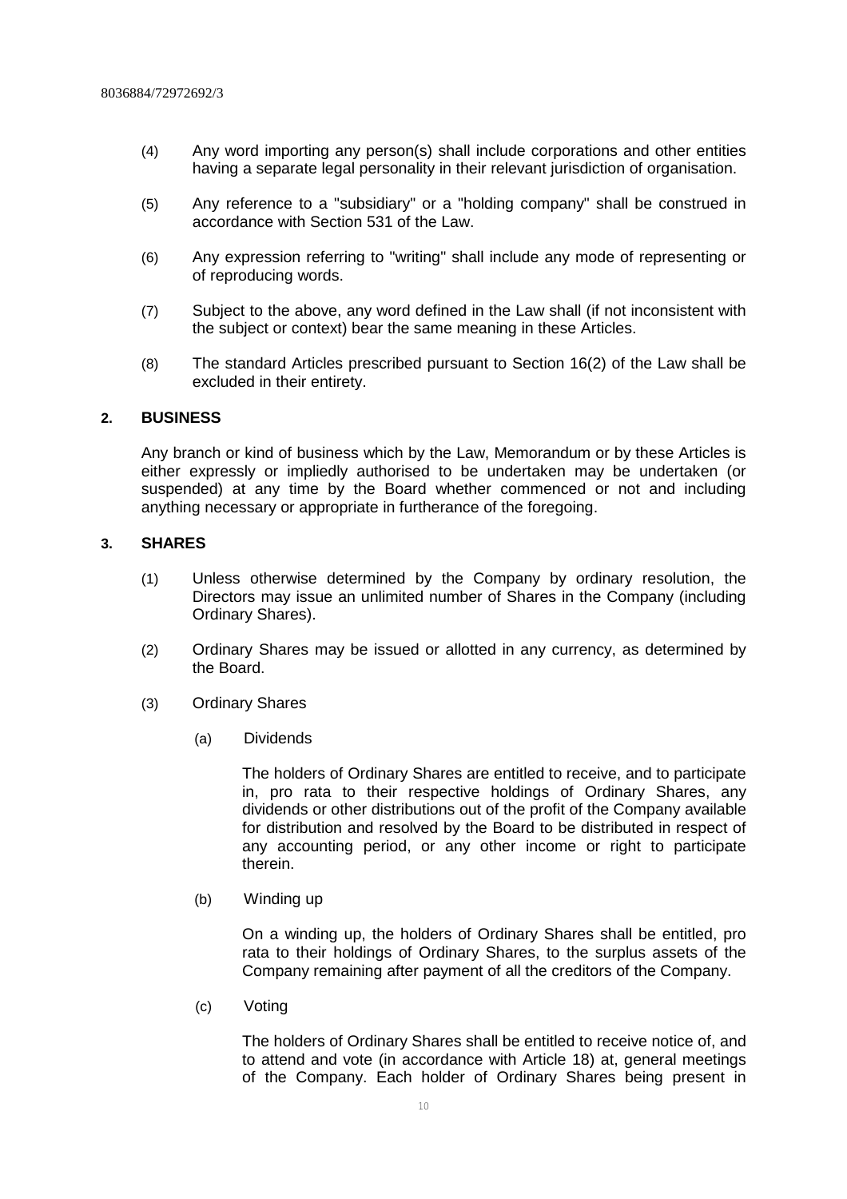- (4) Any word importing any person(s) shall include corporations and other entities having a separate legal personality in their relevant jurisdiction of organisation.
- (5) Any reference to a "subsidiary" or a "holding company" shall be construed in accordance with Section 531 of the Law.
- (6) Any expression referring to "writing" shall include any mode of representing or of reproducing words.
- (7) Subject to the above, any word defined in the Law shall (if not inconsistent with the subject or context) bear the same meaning in these Articles.
- (8) The standard Articles prescribed pursuant to Section 16(2) of the Law shall be excluded in their entirety.

#### **2. BUSINESS**

Any branch or kind of business which by the Law, Memorandum or by these Articles is either expressly or impliedly authorised to be undertaken may be undertaken (or suspended) at any time by the Board whether commenced or not and including anything necessary or appropriate in furtherance of the foregoing.

#### **3. SHARES**

- (1) Unless otherwise determined by the Company by ordinary resolution, the Directors may issue an unlimited number of Shares in the Company (including Ordinary Shares).
- (2) Ordinary Shares may be issued or allotted in any currency, as determined by the Board.
- (3) Ordinary Shares
	- (a) Dividends

The holders of Ordinary Shares are entitled to receive, and to participate in, pro rata to their respective holdings of Ordinary Shares, any dividends or other distributions out of the profit of the Company available for distribution and resolved by the Board to be distributed in respect of any accounting period, or any other income or right to participate therein.

(b) Winding up

On a winding up, the holders of Ordinary Shares shall be entitled, pro rata to their holdings of Ordinary Shares, to the surplus assets of the Company remaining after payment of all the creditors of the Company.

(c) Voting

The holders of Ordinary Shares shall be entitled to receive notice of, and to attend and vote (in accordance with Article 18) at, general meetings of the Company. Each holder of Ordinary Shares being present in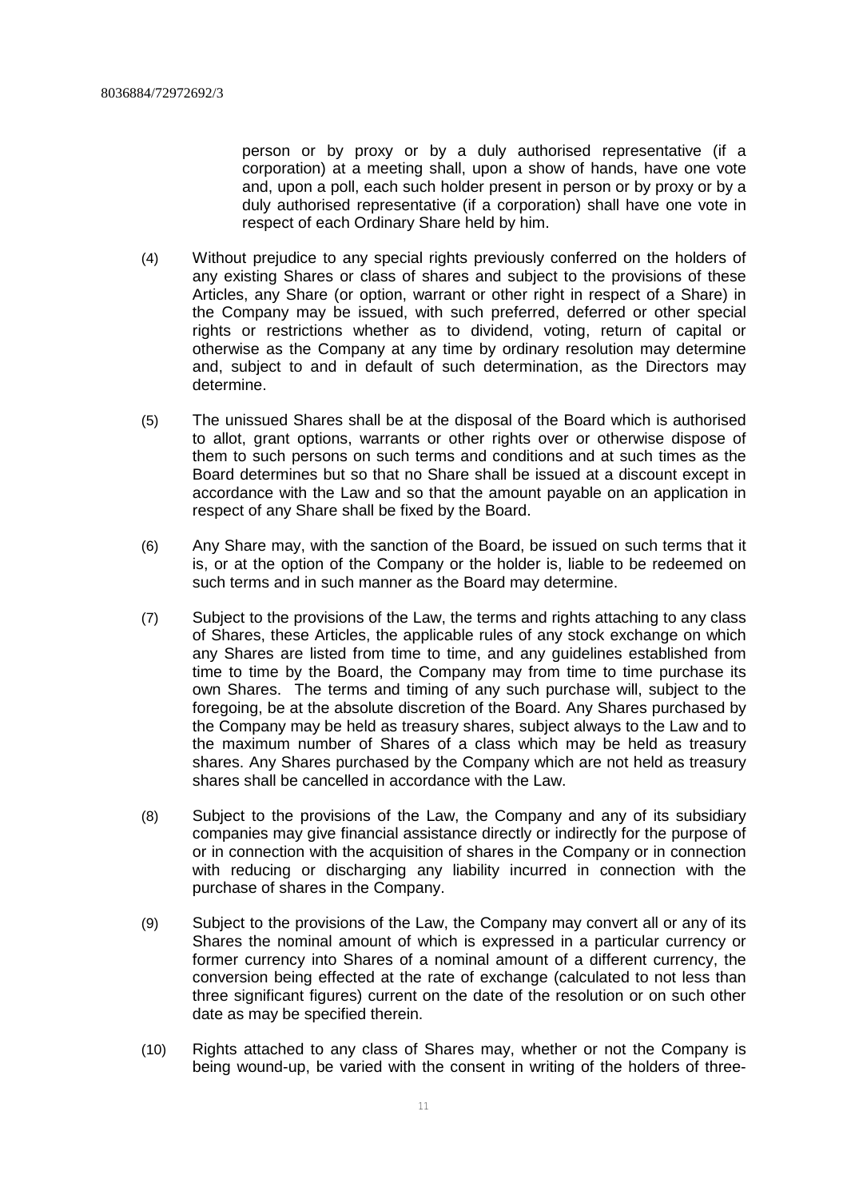person or by proxy or by a duly authorised representative (if a corporation) at a meeting shall, upon a show of hands, have one vote and, upon a poll, each such holder present in person or by proxy or by a duly authorised representative (if a corporation) shall have one vote in respect of each Ordinary Share held by him.

- (4) Without prejudice to any special rights previously conferred on the holders of any existing Shares or class of shares and subject to the provisions of these Articles, any Share (or option, warrant or other right in respect of a Share) in the Company may be issued, with such preferred, deferred or other special rights or restrictions whether as to dividend, voting, return of capital or otherwise as the Company at any time by ordinary resolution may determine and, subject to and in default of such determination, as the Directors may determine.
- (5) The unissued Shares shall be at the disposal of the Board which is authorised to allot, grant options, warrants or other rights over or otherwise dispose of them to such persons on such terms and conditions and at such times as the Board determines but so that no Share shall be issued at a discount except in accordance with the Law and so that the amount payable on an application in respect of any Share shall be fixed by the Board.
- (6) Any Share may, with the sanction of the Board, be issued on such terms that it is, or at the option of the Company or the holder is, liable to be redeemed on such terms and in such manner as the Board may determine.
- (7) Subject to the provisions of the Law, the terms and rights attaching to any class of Shares, these Articles, the applicable rules of any stock exchange on which any Shares are listed from time to time, and any guidelines established from time to time by the Board, the Company may from time to time purchase its own Shares. The terms and timing of any such purchase will, subject to the foregoing, be at the absolute discretion of the Board. Any Shares purchased by the Company may be held as treasury shares, subject always to the Law and to the maximum number of Shares of a class which may be held as treasury shares. Any Shares purchased by the Company which are not held as treasury shares shall be cancelled in accordance with the Law.
- (8) Subject to the provisions of the Law, the Company and any of its subsidiary companies may give financial assistance directly or indirectly for the purpose of or in connection with the acquisition of shares in the Company or in connection with reducing or discharging any liability incurred in connection with the purchase of shares in the Company.
- (9) Subject to the provisions of the Law, the Company may convert all or any of its Shares the nominal amount of which is expressed in a particular currency or former currency into Shares of a nominal amount of a different currency, the conversion being effected at the rate of exchange (calculated to not less than three significant figures) current on the date of the resolution or on such other date as may be specified therein.
- (10) Rights attached to any class of Shares may, whether or not the Company is being wound-up, be varied with the consent in writing of the holders of three-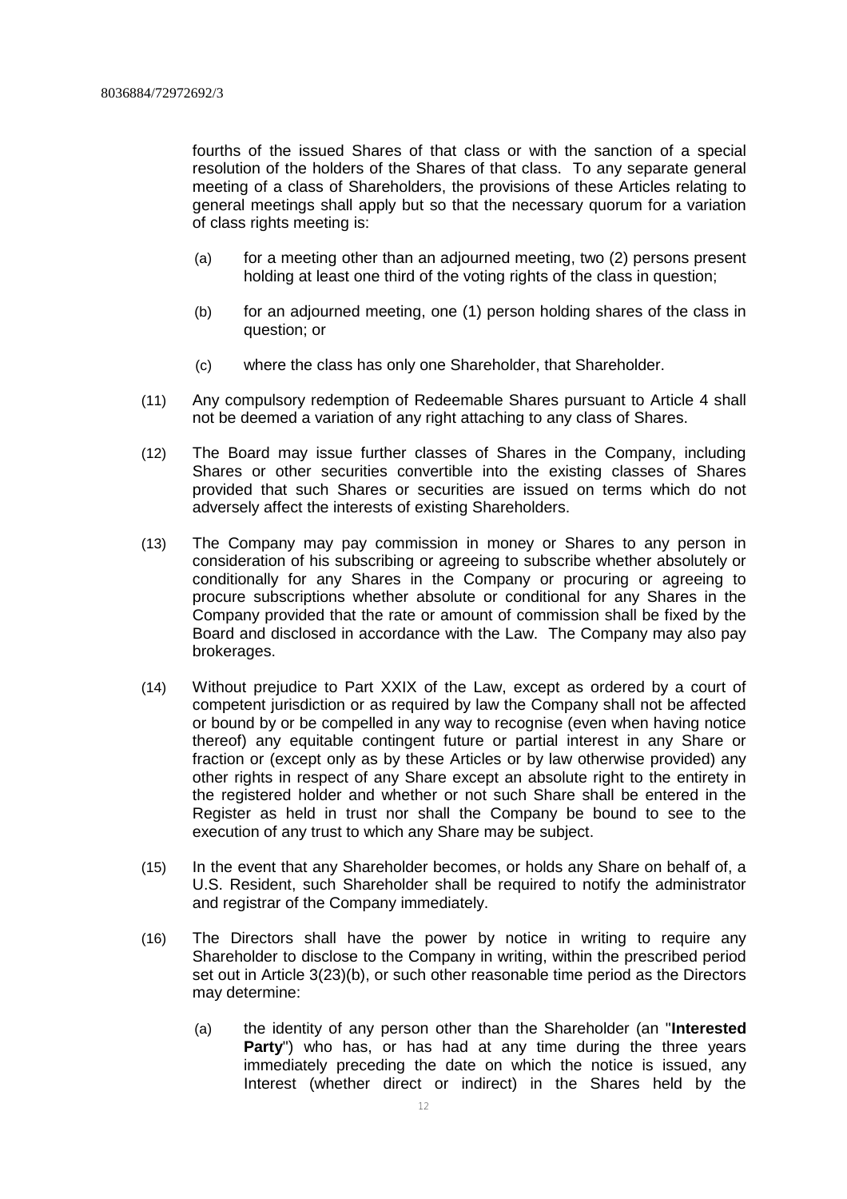fourths of the issued Shares of that class or with the sanction of a special resolution of the holders of the Shares of that class. To any separate general meeting of a class of Shareholders, the provisions of these Articles relating to general meetings shall apply but so that the necessary quorum for a variation of class rights meeting is:

- (a) for a meeting other than an adjourned meeting, two (2) persons present holding at least one third of the voting rights of the class in question;
- (b) for an adjourned meeting, one (1) person holding shares of the class in question; or
- (c) where the class has only one Shareholder, that Shareholder.
- (11) Any compulsory redemption of Redeemable Shares pursuant to Article 4 shall not be deemed a variation of any right attaching to any class of Shares.
- (12) The Board may issue further classes of Shares in the Company, including Shares or other securities convertible into the existing classes of Shares provided that such Shares or securities are issued on terms which do not adversely affect the interests of existing Shareholders.
- (13) The Company may pay commission in money or Shares to any person in consideration of his subscribing or agreeing to subscribe whether absolutely or conditionally for any Shares in the Company or procuring or agreeing to procure subscriptions whether absolute or conditional for any Shares in the Company provided that the rate or amount of commission shall be fixed by the Board and disclosed in accordance with the Law. The Company may also pay brokerages.
- (14) Without prejudice to Part XXIX of the Law, except as ordered by a court of competent jurisdiction or as required by law the Company shall not be affected or bound by or be compelled in any way to recognise (even when having notice thereof) any equitable contingent future or partial interest in any Share or fraction or (except only as by these Articles or by law otherwise provided) any other rights in respect of any Share except an absolute right to the entirety in the registered holder and whether or not such Share shall be entered in the Register as held in trust nor shall the Company be bound to see to the execution of any trust to which any Share may be subject.
- (15) In the event that any Shareholder becomes, or holds any Share on behalf of, a U.S. Resident, such Shareholder shall be required to notify the administrator and registrar of the Company immediately.
- (16) The Directors shall have the power by notice in writing to require any Shareholder to disclose to the Company in writing, within the prescribed period set out in Article 3(23)(b), or such other reasonable time period as the Directors may determine:
	- (a) the identity of any person other than the Shareholder (an "**Interested** Party<sup>"</sup>) who has, or has had at any time during the three years immediately preceding the date on which the notice is issued, any Interest (whether direct or indirect) in the Shares held by the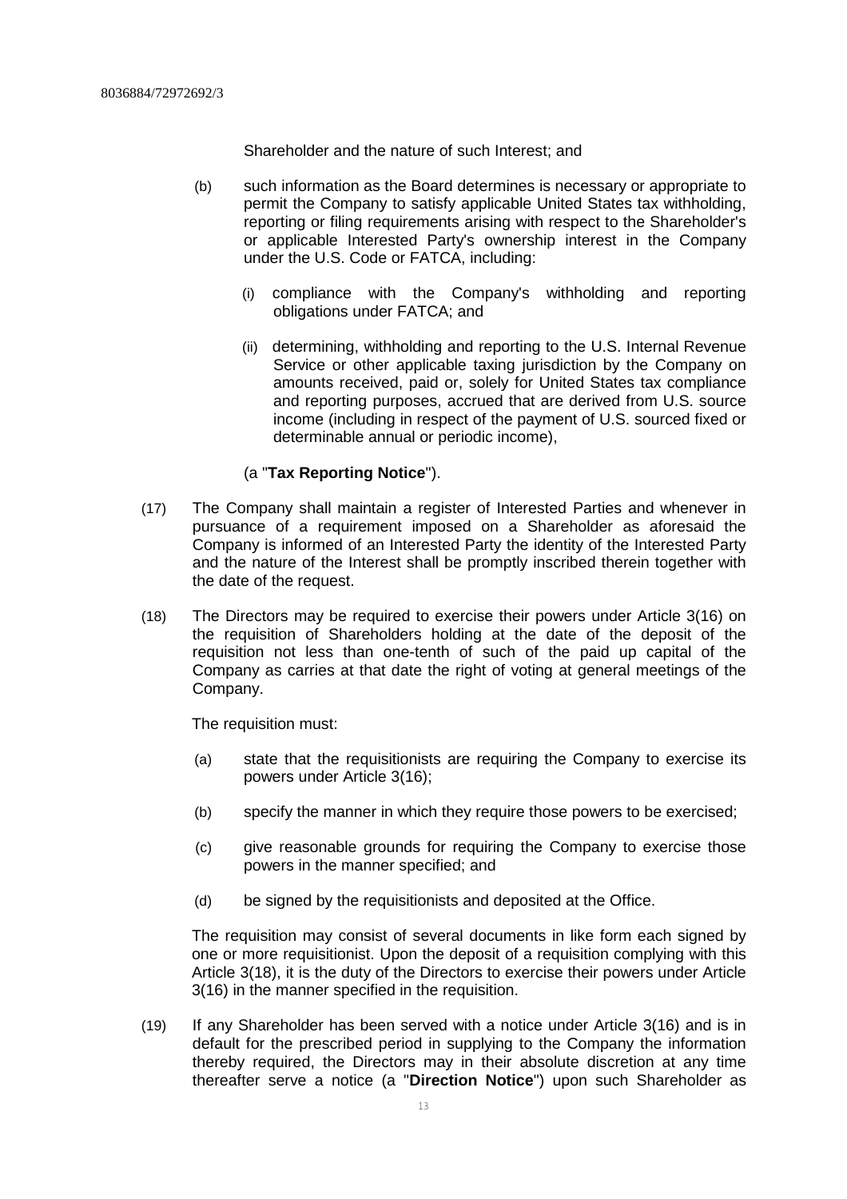Shareholder and the nature of such Interest; and

- (b) such information as the Board determines is necessary or appropriate to permit the Company to satisfy applicable United States tax withholding, reporting or filing requirements arising with respect to the Shareholder's or applicable Interested Party's ownership interest in the Company under the U.S. Code or FATCA, including:
	- (i) compliance with the Company's withholding and reporting obligations under FATCA; and
	- (ii) determining, withholding and reporting to the U.S. Internal Revenue Service or other applicable taxing jurisdiction by the Company on amounts received, paid or, solely for United States tax compliance and reporting purposes, accrued that are derived from U.S. source income (including in respect of the payment of U.S. sourced fixed or determinable annual or periodic income),

#### (a "**Tax Reporting Notice**").

- (17) The Company shall maintain a register of Interested Parties and whenever in pursuance of a requirement imposed on a Shareholder as aforesaid the Company is informed of an Interested Party the identity of the Interested Party and the nature of the Interest shall be promptly inscribed therein together with the date of the request.
- (18) The Directors may be required to exercise their powers under Article 3(16) on the requisition of Shareholders holding at the date of the deposit of the requisition not less than one-tenth of such of the paid up capital of the Company as carries at that date the right of voting at general meetings of the Company.

The requisition must:

- (a) state that the requisitionists are requiring the Company to exercise its powers under Article 3(16);
- (b) specify the manner in which they require those powers to be exercised;
- (c) give reasonable grounds for requiring the Company to exercise those powers in the manner specified; and
- (d) be signed by the requisitionists and deposited at the Office.

The requisition may consist of several documents in like form each signed by one or more requisitionist. Upon the deposit of a requisition complying with this Article 3(18), it is the duty of the Directors to exercise their powers under Article 3(16) in the manner specified in the requisition.

(19) If any Shareholder has been served with a notice under Article 3(16) and is in default for the prescribed period in supplying to the Company the information thereby required, the Directors may in their absolute discretion at any time thereafter serve a notice (a "**Direction Notice**") upon such Shareholder as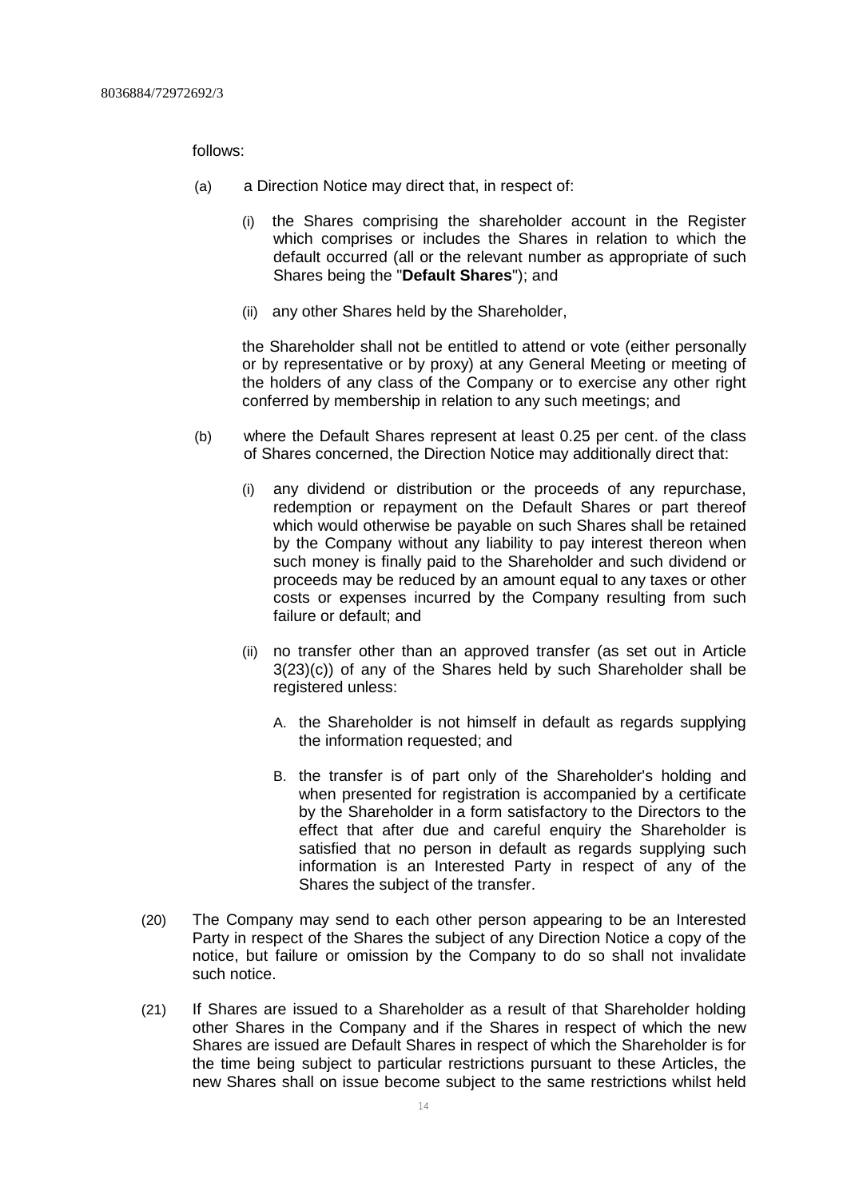follows:

- (a) a Direction Notice may direct that, in respect of:
	- (i) the Shares comprising the shareholder account in the Register which comprises or includes the Shares in relation to which the default occurred (all or the relevant number as appropriate of such Shares being the "**Default Shares**"); and
	- (ii) any other Shares held by the Shareholder,

the Shareholder shall not be entitled to attend or vote (either personally or by representative or by proxy) at any General Meeting or meeting of the holders of any class of the Company or to exercise any other right conferred by membership in relation to any such meetings; and

- (b) where the Default Shares represent at least 0.25 per cent. of the class of Shares concerned, the Direction Notice may additionally direct that:
	- (i) any dividend or distribution or the proceeds of any repurchase, redemption or repayment on the Default Shares or part thereof which would otherwise be payable on such Shares shall be retained by the Company without any liability to pay interest thereon when such money is finally paid to the Shareholder and such dividend or proceeds may be reduced by an amount equal to any taxes or other costs or expenses incurred by the Company resulting from such failure or default; and
	- (ii) no transfer other than an approved transfer (as set out in Article 3(23)(c)) of any of the Shares held by such Shareholder shall be registered unless:
		- A. the Shareholder is not himself in default as regards supplying the information requested; and
		- B. the transfer is of part only of the Shareholder's holding and when presented for registration is accompanied by a certificate by the Shareholder in a form satisfactory to the Directors to the effect that after due and careful enquiry the Shareholder is satisfied that no person in default as regards supplying such information is an Interested Party in respect of any of the Shares the subject of the transfer.
- (20) The Company may send to each other person appearing to be an Interested Party in respect of the Shares the subject of any Direction Notice a copy of the notice, but failure or omission by the Company to do so shall not invalidate such notice.
- (21) If Shares are issued to a Shareholder as a result of that Shareholder holding other Shares in the Company and if the Shares in respect of which the new Shares are issued are Default Shares in respect of which the Shareholder is for the time being subject to particular restrictions pursuant to these Articles, the new Shares shall on issue become subject to the same restrictions whilst held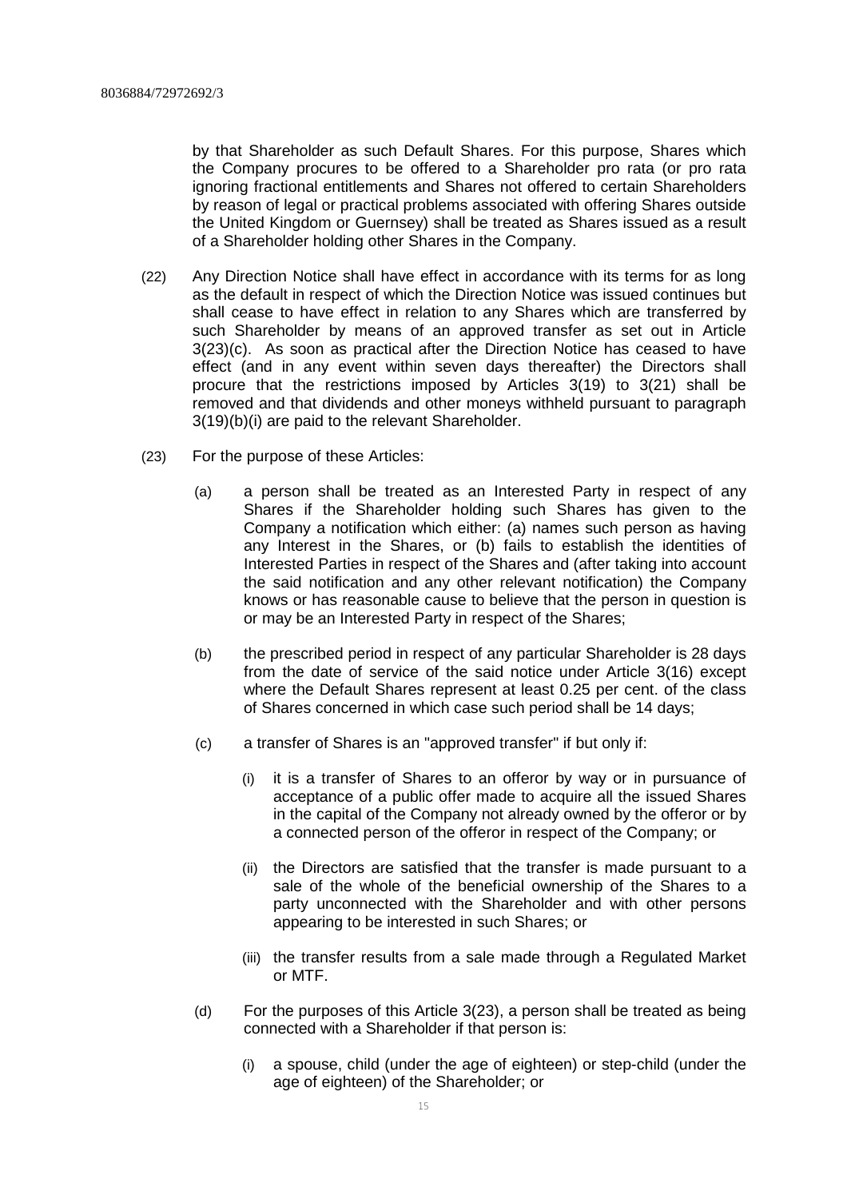by that Shareholder as such Default Shares. For this purpose, Shares which the Company procures to be offered to a Shareholder pro rata (or pro rata ignoring fractional entitlements and Shares not offered to certain Shareholders by reason of legal or practical problems associated with offering Shares outside the United Kingdom or Guernsey) shall be treated as Shares issued as a result of a Shareholder holding other Shares in the Company.

- (22) Any Direction Notice shall have effect in accordance with its terms for as long as the default in respect of which the Direction Notice was issued continues but shall cease to have effect in relation to any Shares which are transferred by such Shareholder by means of an approved transfer as set out in Article 3(23)(c). As soon as practical after the Direction Notice has ceased to have effect (and in any event within seven days thereafter) the Directors shall procure that the restrictions imposed by Articles 3(19) to 3(21) shall be removed and that dividends and other moneys withheld pursuant to paragraph 3(19)(b)(i) are paid to the relevant Shareholder.
- (23) For the purpose of these Articles:
	- (a) a person shall be treated as an Interested Party in respect of any Shares if the Shareholder holding such Shares has given to the Company a notification which either: (a) names such person as having any Interest in the Shares, or (b) fails to establish the identities of Interested Parties in respect of the Shares and (after taking into account the said notification and any other relevant notification) the Company knows or has reasonable cause to believe that the person in question is or may be an Interested Party in respect of the Shares;
	- (b) the prescribed period in respect of any particular Shareholder is 28 days from the date of service of the said notice under Article 3(16) except where the Default Shares represent at least 0.25 per cent. of the class of Shares concerned in which case such period shall be 14 days;
	- (c) a transfer of Shares is an "approved transfer" if but only if:
		- (i) it is a transfer of Shares to an offeror by way or in pursuance of acceptance of a public offer made to acquire all the issued Shares in the capital of the Company not already owned by the offeror or by a connected person of the offeror in respect of the Company; or
		- (ii) the Directors are satisfied that the transfer is made pursuant to a sale of the whole of the beneficial ownership of the Shares to a party unconnected with the Shareholder and with other persons appearing to be interested in such Shares; or
		- (iii) the transfer results from a sale made through a Regulated Market or MTF.
	- (d) For the purposes of this Article 3(23), a person shall be treated as being connected with a Shareholder if that person is:
		- (i) a spouse, child (under the age of eighteen) or step-child (under the age of eighteen) of the Shareholder; or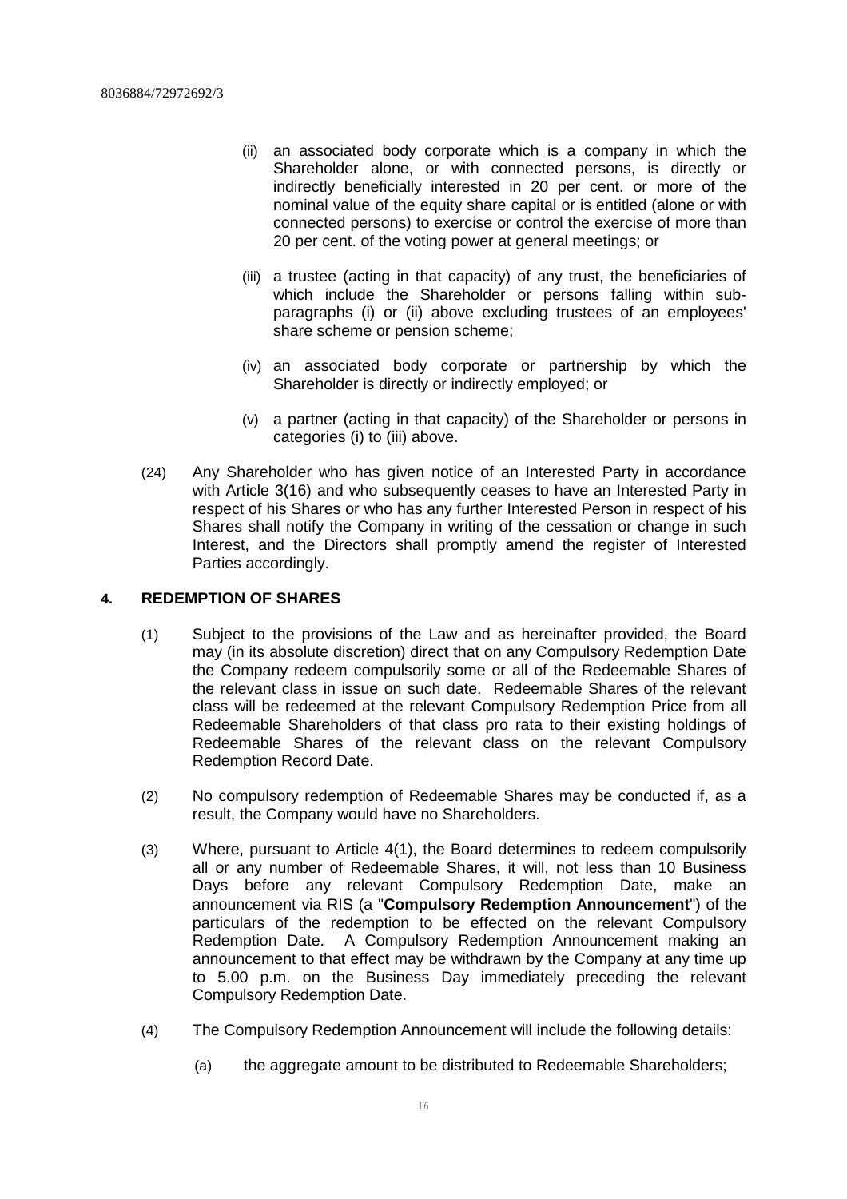- (ii) an associated body corporate which is a company in which the Shareholder alone, or with connected persons, is directly or indirectly beneficially interested in 20 per cent. or more of the nominal value of the equity share capital or is entitled (alone or with connected persons) to exercise or control the exercise of more than 20 per cent. of the voting power at general meetings; or
- (iii) a trustee (acting in that capacity) of any trust, the beneficiaries of which include the Shareholder or persons falling within subparagraphs (i) or (ii) above excluding trustees of an employees' share scheme or pension scheme;
- (iv) an associated body corporate or partnership by which the Shareholder is directly or indirectly employed; or
- (v) a partner (acting in that capacity) of the Shareholder or persons in categories (i) to (iii) above.
- (24) Any Shareholder who has given notice of an Interested Party in accordance with Article 3(16) and who subsequently ceases to have an Interested Party in respect of his Shares or who has any further Interested Person in respect of his Shares shall notify the Company in writing of the cessation or change in such Interest, and the Directors shall promptly amend the register of Interested Parties accordingly.

#### **4. REDEMPTION OF SHARES**

- (1) Subject to the provisions of the Law and as hereinafter provided, the Board may (in its absolute discretion) direct that on any Compulsory Redemption Date the Company redeem compulsorily some or all of the Redeemable Shares of the relevant class in issue on such date. Redeemable Shares of the relevant class will be redeemed at the relevant Compulsory Redemption Price from all Redeemable Shareholders of that class pro rata to their existing holdings of Redeemable Shares of the relevant class on the relevant Compulsory Redemption Record Date.
- (2) No compulsory redemption of Redeemable Shares may be conducted if, as a result, the Company would have no Shareholders.
- (3) Where, pursuant to Article 4(1), the Board determines to redeem compulsorily all or any number of Redeemable Shares, it will, not less than 10 Business Days before any relevant Compulsory Redemption Date, make an announcement via RIS (a "**Compulsory Redemption Announcement**") of the particulars of the redemption to be effected on the relevant Compulsory Redemption Date. A Compulsory Redemption Announcement making an announcement to that effect may be withdrawn by the Company at any time up to 5.00 p.m. on the Business Day immediately preceding the relevant Compulsory Redemption Date.
- (4) The Compulsory Redemption Announcement will include the following details:
	- (a) the aggregate amount to be distributed to Redeemable Shareholders;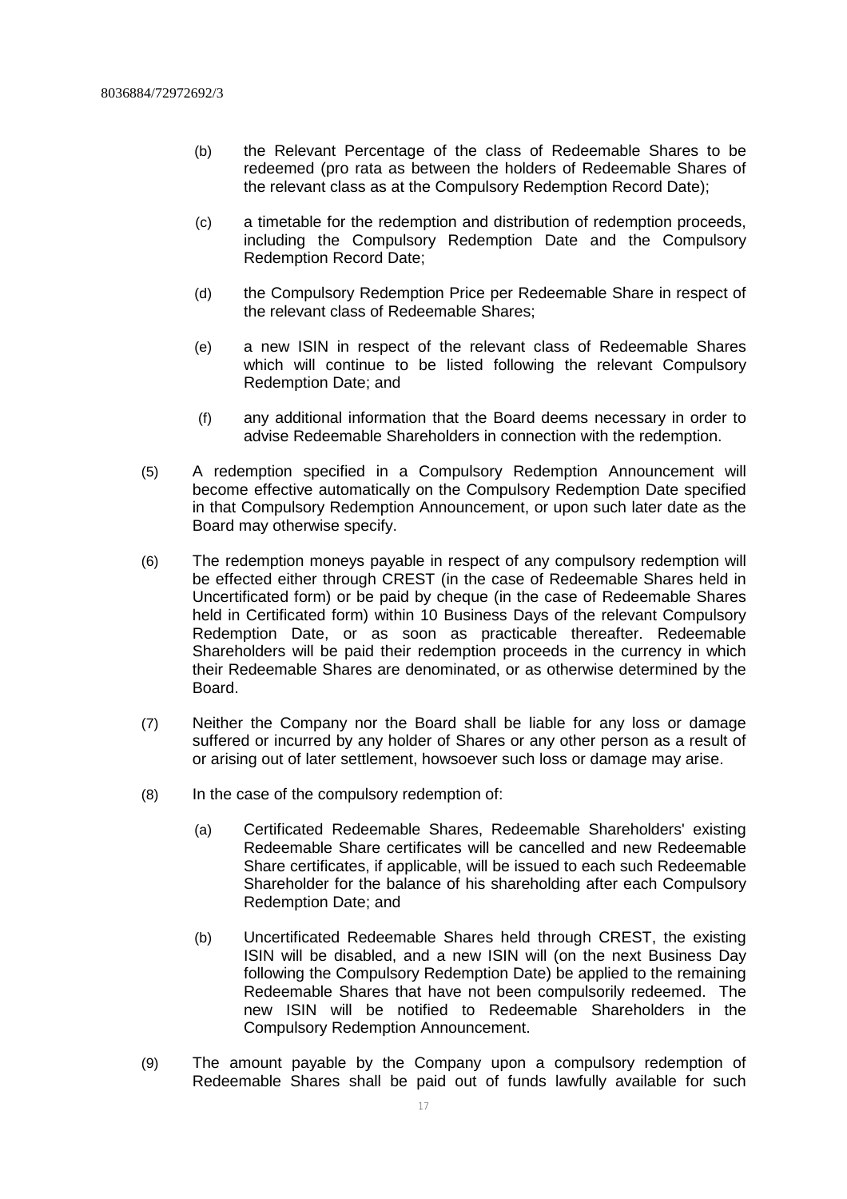- (b) the Relevant Percentage of the class of Redeemable Shares to be redeemed (pro rata as between the holders of Redeemable Shares of the relevant class as at the Compulsory Redemption Record Date);
- (c) a timetable for the redemption and distribution of redemption proceeds, including the Compulsory Redemption Date and the Compulsory Redemption Record Date;
- (d) the Compulsory Redemption Price per Redeemable Share in respect of the relevant class of Redeemable Shares;
- (e) a new ISIN in respect of the relevant class of Redeemable Shares which will continue to be listed following the relevant Compulsory Redemption Date; and
- (f) any additional information that the Board deems necessary in order to advise Redeemable Shareholders in connection with the redemption.
- (5) A redemption specified in a Compulsory Redemption Announcement will become effective automatically on the Compulsory Redemption Date specified in that Compulsory Redemption Announcement, or upon such later date as the Board may otherwise specify.
- (6) The redemption moneys payable in respect of any compulsory redemption will be effected either through CREST (in the case of Redeemable Shares held in Uncertificated form) or be paid by cheque (in the case of Redeemable Shares held in Certificated form) within 10 Business Days of the relevant Compulsory Redemption Date, or as soon as practicable thereafter. Redeemable Shareholders will be paid their redemption proceeds in the currency in which their Redeemable Shares are denominated, or as otherwise determined by the Board.
- (7) Neither the Company nor the Board shall be liable for any loss or damage suffered or incurred by any holder of Shares or any other person as a result of or arising out of later settlement, howsoever such loss or damage may arise.
- (8) In the case of the compulsory redemption of:
	- (a) Certificated Redeemable Shares, Redeemable Shareholders' existing Redeemable Share certificates will be cancelled and new Redeemable Share certificates, if applicable, will be issued to each such Redeemable Shareholder for the balance of his shareholding after each Compulsory Redemption Date; and
	- (b) Uncertificated Redeemable Shares held through CREST, the existing ISIN will be disabled, and a new ISIN will (on the next Business Day following the Compulsory Redemption Date) be applied to the remaining Redeemable Shares that have not been compulsorily redeemed. The new ISIN will be notified to Redeemable Shareholders in the Compulsory Redemption Announcement.
- (9) The amount payable by the Company upon a compulsory redemption of Redeemable Shares shall be paid out of funds lawfully available for such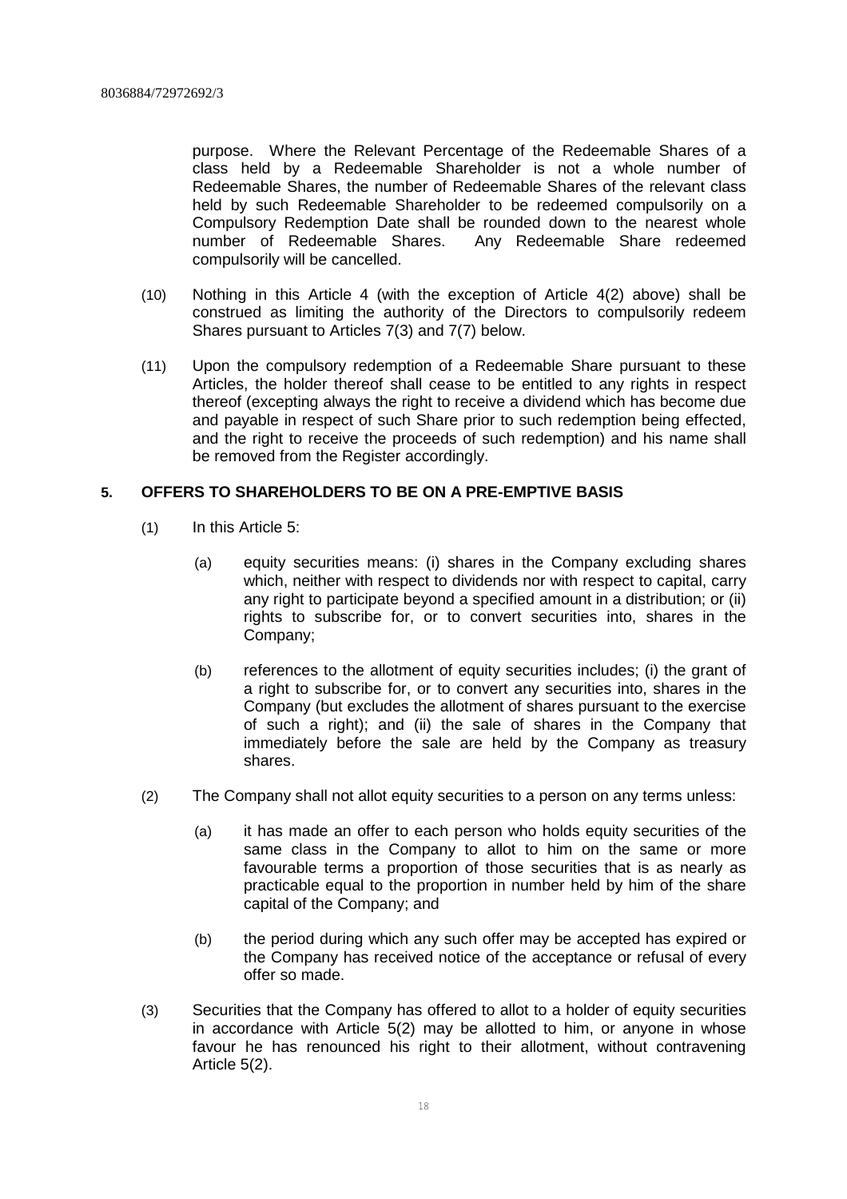purpose. Where the Relevant Percentage of the Redeemable Shares of a class held by a Redeemable Shareholder is not a whole number of Redeemable Shares, the number of Redeemable Shares of the relevant class held by such Redeemable Shareholder to be redeemed compulsorily on a Compulsory Redemption Date shall be rounded down to the nearest whole number of Redeemable Shares. Any Redeemable Share redeemed compulsorily will be cancelled.

- (10) Nothing in this Article 4 (with the exception of Article 4(2) above) shall be construed as limiting the authority of the Directors to compulsorily redeem Shares pursuant to Articles 7(3) and 7(7) below.
- (11) Upon the compulsory redemption of a Redeemable Share pursuant to these Articles, the holder thereof shall cease to be entitled to any rights in respect thereof (excepting always the right to receive a dividend which has become due and payable in respect of such Share prior to such redemption being effected, and the right to receive the proceeds of such redemption) and his name shall be removed from the Register accordingly.

# **5. OFFERS TO SHAREHOLDERS TO BE ON A PRE-EMPTIVE BASIS**

- (1) In this Article 5:
	- (a) equity securities means: (i) shares in the Company excluding shares which, neither with respect to dividends nor with respect to capital, carry any right to participate beyond a specified amount in a distribution; or (ii) rights to subscribe for, or to convert securities into, shares in the Company;
	- (b) references to the allotment of equity securities includes; (i) the grant of a right to subscribe for, or to convert any securities into, shares in the Company (but excludes the allotment of shares pursuant to the exercise of such a right); and (ii) the sale of shares in the Company that immediately before the sale are held by the Company as treasury shares.
- (2) The Company shall not allot equity securities to a person on any terms unless:
	- (a) it has made an offer to each person who holds equity securities of the same class in the Company to allot to him on the same or more favourable terms a proportion of those securities that is as nearly as practicable equal to the proportion in number held by him of the share capital of the Company; and
	- (b) the period during which any such offer may be accepted has expired or the Company has received notice of the acceptance or refusal of every offer so made.
- (3) Securities that the Company has offered to allot to a holder of equity securities in accordance with Article 5(2) may be allotted to him, or anyone in whose favour he has renounced his right to their allotment, without contravening Article 5(2).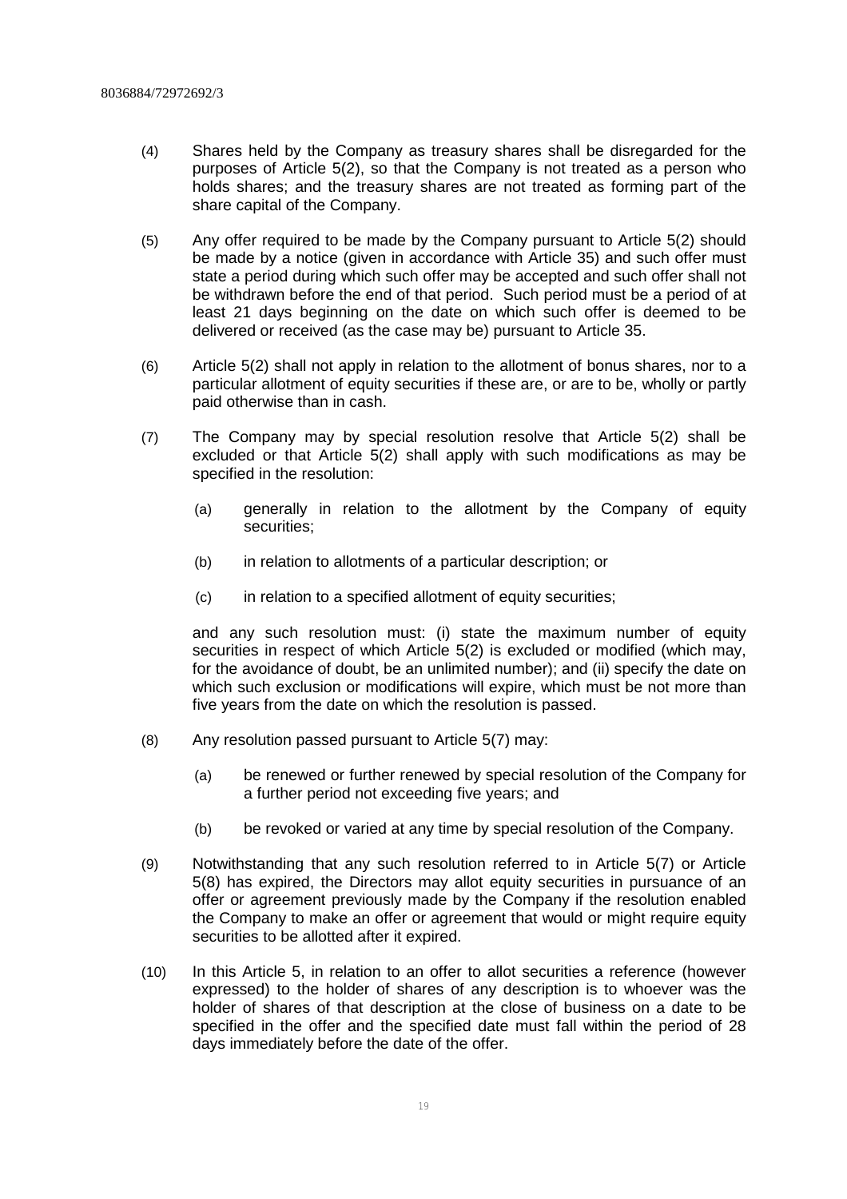- (4) Shares held by the Company as treasury shares shall be disregarded for the purposes of Article 5(2), so that the Company is not treated as a person who holds shares; and the treasury shares are not treated as forming part of the share capital of the Company.
- (5) Any offer required to be made by the Company pursuant to Article 5(2) should be made by a notice (given in accordance with Article 35) and such offer must state a period during which such offer may be accepted and such offer shall not be withdrawn before the end of that period. Such period must be a period of at least 21 days beginning on the date on which such offer is deemed to be delivered or received (as the case may be) pursuant to Article 35.
- (6) Article 5(2) shall not apply in relation to the allotment of bonus shares, nor to a particular allotment of equity securities if these are, or are to be, wholly or partly paid otherwise than in cash.
- (7) The Company may by special resolution resolve that Article 5(2) shall be excluded or that Article 5(2) shall apply with such modifications as may be specified in the resolution:
	- (a) generally in relation to the allotment by the Company of equity securities;
	- (b) in relation to allotments of a particular description; or
	- (c) in relation to a specified allotment of equity securities;

and any such resolution must: (i) state the maximum number of equity securities in respect of which Article 5(2) is excluded or modified (which may, for the avoidance of doubt, be an unlimited number); and (ii) specify the date on which such exclusion or modifications will expire, which must be not more than five years from the date on which the resolution is passed.

- (8) Any resolution passed pursuant to Article 5(7) may:
	- (a) be renewed or further renewed by special resolution of the Company for a further period not exceeding five years; and
	- (b) be revoked or varied at any time by special resolution of the Company.
- (9) Notwithstanding that any such resolution referred to in Article 5(7) or Article 5(8) has expired, the Directors may allot equity securities in pursuance of an offer or agreement previously made by the Company if the resolution enabled the Company to make an offer or agreement that would or might require equity securities to be allotted after it expired.
- (10) In this Article 5, in relation to an offer to allot securities a reference (however expressed) to the holder of shares of any description is to whoever was the holder of shares of that description at the close of business on a date to be specified in the offer and the specified date must fall within the period of 28 days immediately before the date of the offer.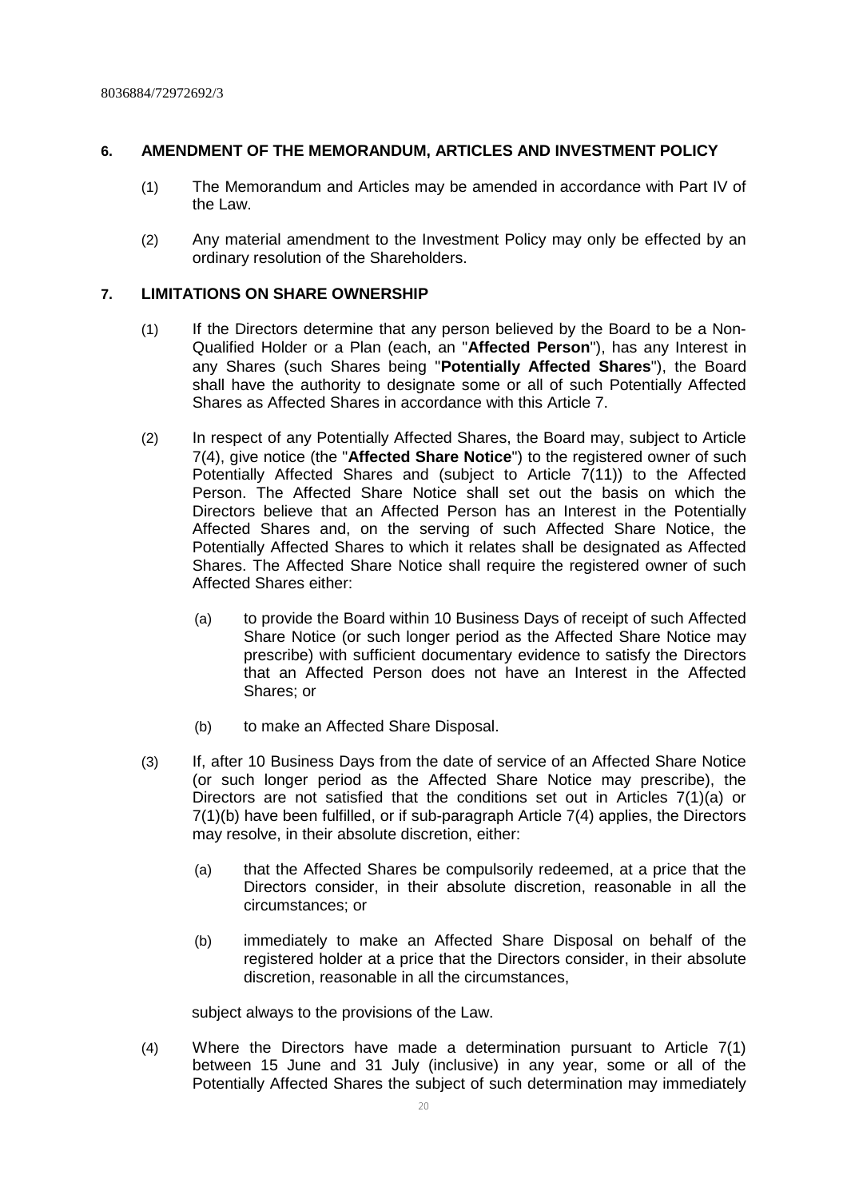# **6. AMENDMENT OF THE MEMORANDUM, ARTICLES AND INVESTMENT POLICY**

- (1) The Memorandum and Articles may be amended in accordance with Part IV of the Law.
- (2) Any material amendment to the Investment Policy may only be effected by an ordinary resolution of the Shareholders.

# **7. LIMITATIONS ON SHARE OWNERSHIP**

- (1) If the Directors determine that any person believed by the Board to be a Non-Qualified Holder or a Plan (each, an "**Affected Person**"), has any Interest in any Shares (such Shares being "**Potentially Affected Shares**"), the Board shall have the authority to designate some or all of such Potentially Affected Shares as Affected Shares in accordance with this Article 7.
- (2) In respect of any Potentially Affected Shares, the Board may, subject to Article 7(4), give notice (the "**Affected Share Notice**") to the registered owner of such Potentially Affected Shares and (subject to Article 7(11)) to the Affected Person. The Affected Share Notice shall set out the basis on which the Directors believe that an Affected Person has an Interest in the Potentially Affected Shares and, on the serving of such Affected Share Notice, the Potentially Affected Shares to which it relates shall be designated as Affected Shares. The Affected Share Notice shall require the registered owner of such Affected Shares either:
	- (a) to provide the Board within 10 Business Days of receipt of such Affected Share Notice (or such longer period as the Affected Share Notice may prescribe) with sufficient documentary evidence to satisfy the Directors that an Affected Person does not have an Interest in the Affected Shares; or
	- (b) to make an Affected Share Disposal.
- (3) If, after 10 Business Days from the date of service of an Affected Share Notice (or such longer period as the Affected Share Notice may prescribe), the Directors are not satisfied that the conditions set out in Articles 7(1)(a) or 7(1)(b) have been fulfilled, or if sub-paragraph Article 7(4) applies, the Directors may resolve, in their absolute discretion, either:
	- (a) that the Affected Shares be compulsorily redeemed, at a price that the Directors consider, in their absolute discretion, reasonable in all the circumstances; or
	- (b) immediately to make an Affected Share Disposal on behalf of the registered holder at a price that the Directors consider, in their absolute discretion, reasonable in all the circumstances,

subject always to the provisions of the Law.

(4) Where the Directors have made a determination pursuant to Article 7(1) between 15 June and 31 July (inclusive) in any year, some or all of the Potentially Affected Shares the subject of such determination may immediately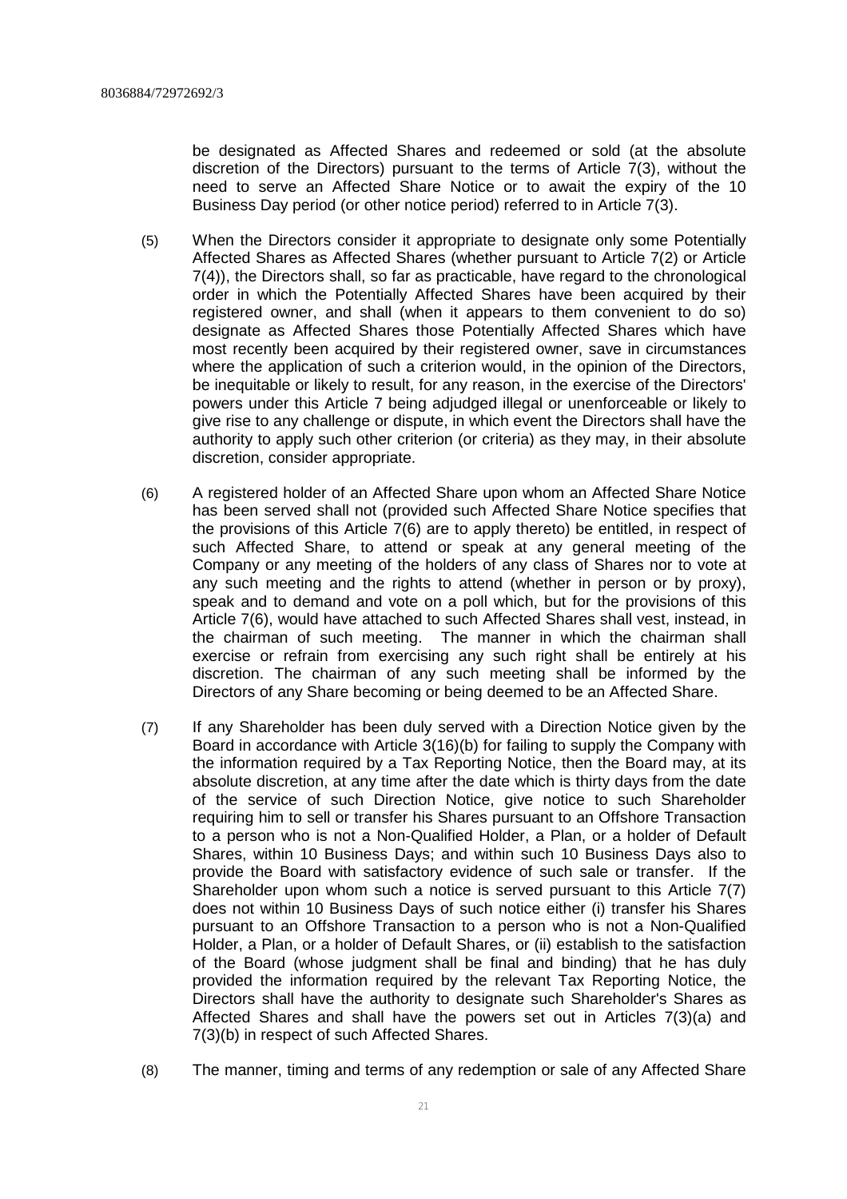be designated as Affected Shares and redeemed or sold (at the absolute discretion of the Directors) pursuant to the terms of Article 7(3), without the need to serve an Affected Share Notice or to await the expiry of the 10 Business Day period (or other notice period) referred to in Article 7(3).

- (5) When the Directors consider it appropriate to designate only some Potentially Affected Shares as Affected Shares (whether pursuant to Article 7(2) or Article 7(4)), the Directors shall, so far as practicable, have regard to the chronological order in which the Potentially Affected Shares have been acquired by their registered owner, and shall (when it appears to them convenient to do so) designate as Affected Shares those Potentially Affected Shares which have most recently been acquired by their registered owner, save in circumstances where the application of such a criterion would, in the opinion of the Directors, be inequitable or likely to result, for any reason, in the exercise of the Directors' powers under this Article 7 being adjudged illegal or unenforceable or likely to give rise to any challenge or dispute, in which event the Directors shall have the authority to apply such other criterion (or criteria) as they may, in their absolute discretion, consider appropriate.
- (6) A registered holder of an Affected Share upon whom an Affected Share Notice has been served shall not (provided such Affected Share Notice specifies that the provisions of this Article 7(6) are to apply thereto) be entitled, in respect of such Affected Share, to attend or speak at any general meeting of the Company or any meeting of the holders of any class of Shares nor to vote at any such meeting and the rights to attend (whether in person or by proxy), speak and to demand and vote on a poll which, but for the provisions of this Article 7(6), would have attached to such Affected Shares shall vest, instead, in the chairman of such meeting. The manner in which the chairman shall exercise or refrain from exercising any such right shall be entirely at his discretion. The chairman of any such meeting shall be informed by the Directors of any Share becoming or being deemed to be an Affected Share.
- (7) If any Shareholder has been duly served with a Direction Notice given by the Board in accordance with Article 3(16)(b) for failing to supply the Company with the information required by a Tax Reporting Notice, then the Board may, at its absolute discretion, at any time after the date which is thirty days from the date of the service of such Direction Notice, give notice to such Shareholder requiring him to sell or transfer his Shares pursuant to an Offshore Transaction to a person who is not a Non-Qualified Holder, a Plan, or a holder of Default Shares, within 10 Business Days; and within such 10 Business Days also to provide the Board with satisfactory evidence of such sale or transfer. If the Shareholder upon whom such a notice is served pursuant to this Article 7(7) does not within 10 Business Days of such notice either (i) transfer his Shares pursuant to an Offshore Transaction to a person who is not a Non-Qualified Holder, a Plan, or a holder of Default Shares, or (ii) establish to the satisfaction of the Board (whose judgment shall be final and binding) that he has duly provided the information required by the relevant Tax Reporting Notice, the Directors shall have the authority to designate such Shareholder's Shares as Affected Shares and shall have the powers set out in Articles 7(3)(a) and 7(3)(b) in respect of such Affected Shares.
- (8) The manner, timing and terms of any redemption or sale of any Affected Share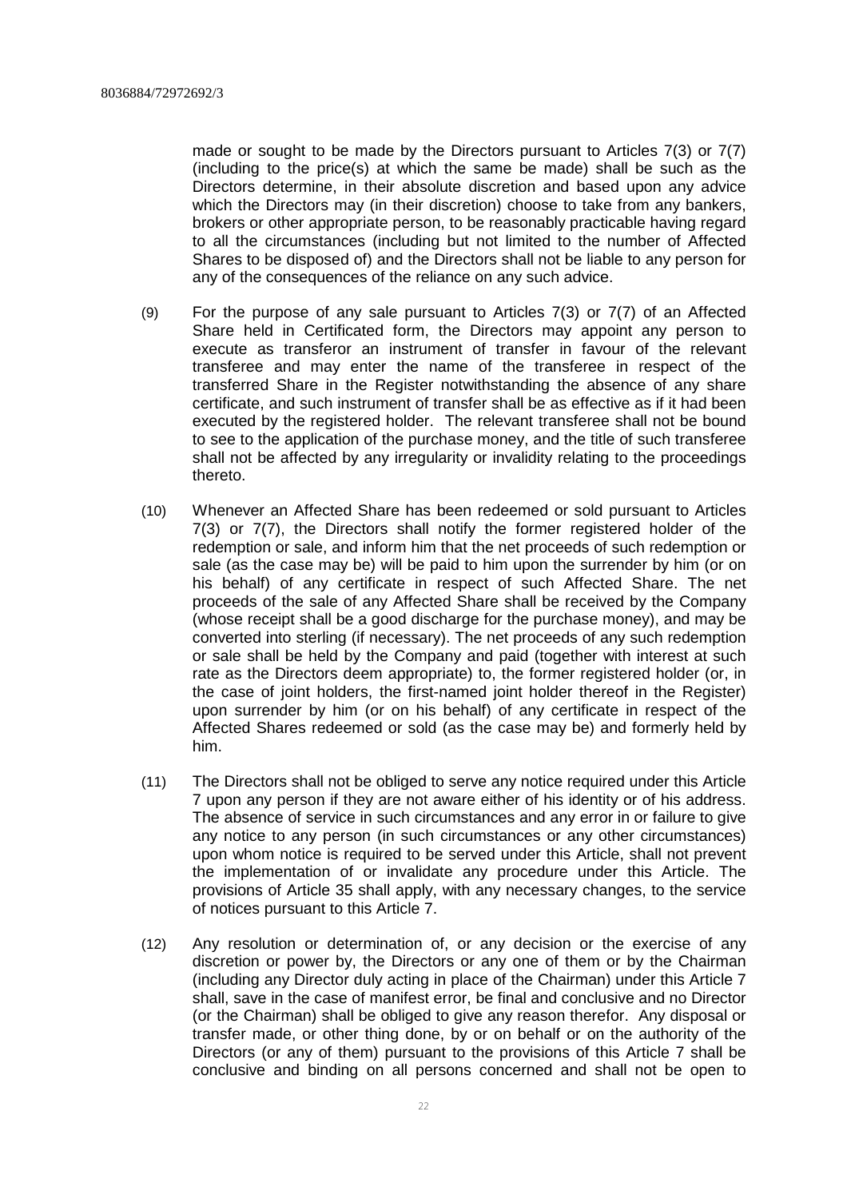made or sought to be made by the Directors pursuant to Articles 7(3) or 7(7) (including to the price(s) at which the same be made) shall be such as the Directors determine, in their absolute discretion and based upon any advice which the Directors may (in their discretion) choose to take from any bankers, brokers or other appropriate person, to be reasonably practicable having regard to all the circumstances (including but not limited to the number of Affected Shares to be disposed of) and the Directors shall not be liable to any person for any of the consequences of the reliance on any such advice.

- (9) For the purpose of any sale pursuant to Articles 7(3) or 7(7) of an Affected Share held in Certificated form, the Directors may appoint any person to execute as transferor an instrument of transfer in favour of the relevant transferee and may enter the name of the transferee in respect of the transferred Share in the Register notwithstanding the absence of any share certificate, and such instrument of transfer shall be as effective as if it had been executed by the registered holder. The relevant transferee shall not be bound to see to the application of the purchase money, and the title of such transferee shall not be affected by any irregularity or invalidity relating to the proceedings thereto.
- (10) Whenever an Affected Share has been redeemed or sold pursuant to Articles 7(3) or 7(7), the Directors shall notify the former registered holder of the redemption or sale, and inform him that the net proceeds of such redemption or sale (as the case may be) will be paid to him upon the surrender by him (or on his behalf) of any certificate in respect of such Affected Share. The net proceeds of the sale of any Affected Share shall be received by the Company (whose receipt shall be a good discharge for the purchase money), and may be converted into sterling (if necessary). The net proceeds of any such redemption or sale shall be held by the Company and paid (together with interest at such rate as the Directors deem appropriate) to, the former registered holder (or, in the case of joint holders, the first-named joint holder thereof in the Register) upon surrender by him (or on his behalf) of any certificate in respect of the Affected Shares redeemed or sold (as the case may be) and formerly held by him.
- (11) The Directors shall not be obliged to serve any notice required under this Article 7 upon any person if they are not aware either of his identity or of his address. The absence of service in such circumstances and any error in or failure to give any notice to any person (in such circumstances or any other circumstances) upon whom notice is required to be served under this Article, shall not prevent the implementation of or invalidate any procedure under this Article. The provisions of Article 35 shall apply, with any necessary changes, to the service of notices pursuant to this Article 7.
- (12) Any resolution or determination of, or any decision or the exercise of any discretion or power by, the Directors or any one of them or by the Chairman (including any Director duly acting in place of the Chairman) under this Article 7 shall, save in the case of manifest error, be final and conclusive and no Director (or the Chairman) shall be obliged to give any reason therefor. Any disposal or transfer made, or other thing done, by or on behalf or on the authority of the Directors (or any of them) pursuant to the provisions of this Article 7 shall be conclusive and binding on all persons concerned and shall not be open to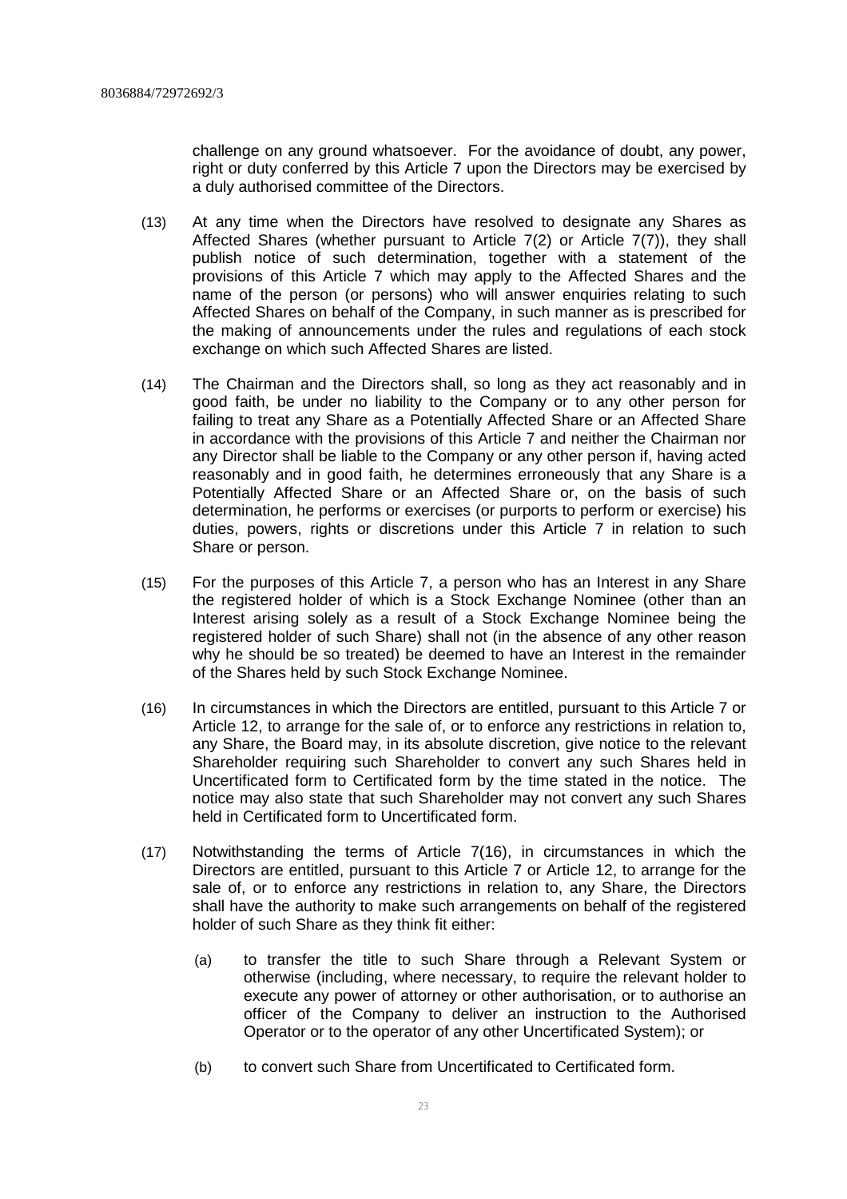challenge on any ground whatsoever. For the avoidance of doubt, any power, right or duty conferred by this Article 7 upon the Directors may be exercised by a duly authorised committee of the Directors.

- (13) At any time when the Directors have resolved to designate any Shares as Affected Shares (whether pursuant to Article 7(2) or Article 7(7)), they shall publish notice of such determination, together with a statement of the provisions of this Article 7 which may apply to the Affected Shares and the name of the person (or persons) who will answer enquiries relating to such Affected Shares on behalf of the Company, in such manner as is prescribed for the making of announcements under the rules and regulations of each stock exchange on which such Affected Shares are listed.
- (14) The Chairman and the Directors shall, so long as they act reasonably and in good faith, be under no liability to the Company or to any other person for failing to treat any Share as a Potentially Affected Share or an Affected Share in accordance with the provisions of this Article 7 and neither the Chairman nor any Director shall be liable to the Company or any other person if, having acted reasonably and in good faith, he determines erroneously that any Share is a Potentially Affected Share or an Affected Share or, on the basis of such determination, he performs or exercises (or purports to perform or exercise) his duties, powers, rights or discretions under this Article 7 in relation to such Share or person.
- (15) For the purposes of this Article 7, a person who has an Interest in any Share the registered holder of which is a Stock Exchange Nominee (other than an Interest arising solely as a result of a Stock Exchange Nominee being the registered holder of such Share) shall not (in the absence of any other reason why he should be so treated) be deemed to have an Interest in the remainder of the Shares held by such Stock Exchange Nominee.
- (16) In circumstances in which the Directors are entitled, pursuant to this Article 7 or Article 12, to arrange for the sale of, or to enforce any restrictions in relation to, any Share, the Board may, in its absolute discretion, give notice to the relevant Shareholder requiring such Shareholder to convert any such Shares held in Uncertificated form to Certificated form by the time stated in the notice. The notice may also state that such Shareholder may not convert any such Shares held in Certificated form to Uncertificated form.
- (17) Notwithstanding the terms of Article 7(16), in circumstances in which the Directors are entitled, pursuant to this Article 7 or Article 12, to arrange for the sale of, or to enforce any restrictions in relation to, any Share, the Directors shall have the authority to make such arrangements on behalf of the registered holder of such Share as they think fit either:
	- (a) to transfer the title to such Share through a Relevant System or otherwise (including, where necessary, to require the relevant holder to execute any power of attorney or other authorisation, or to authorise an officer of the Company to deliver an instruction to the Authorised Operator or to the operator of any other Uncertificated System); or
	- (b) to convert such Share from Uncertificated to Certificated form.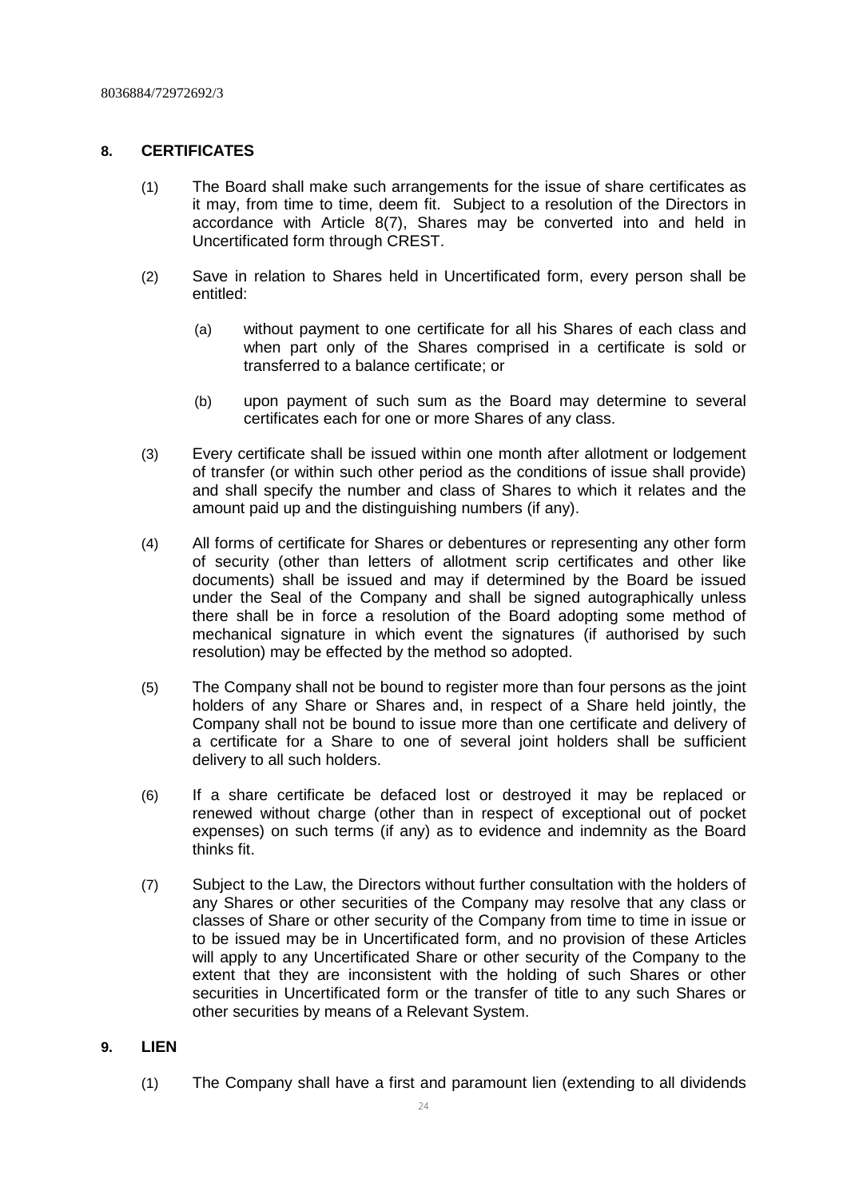# **8. CERTIFICATES**

- (1) The Board shall make such arrangements for the issue of share certificates as it may, from time to time, deem fit. Subject to a resolution of the Directors in accordance with Article 8(7), Shares may be converted into and held in Uncertificated form through CREST.
- (2) Save in relation to Shares held in Uncertificated form, every person shall be entitled:
	- (a) without payment to one certificate for all his Shares of each class and when part only of the Shares comprised in a certificate is sold or transferred to a balance certificate; or
	- (b) upon payment of such sum as the Board may determine to several certificates each for one or more Shares of any class.
- (3) Every certificate shall be issued within one month after allotment or lodgement of transfer (or within such other period as the conditions of issue shall provide) and shall specify the number and class of Shares to which it relates and the amount paid up and the distinguishing numbers (if any).
- (4) All forms of certificate for Shares or debentures or representing any other form of security (other than letters of allotment scrip certificates and other like documents) shall be issued and may if determined by the Board be issued under the Seal of the Company and shall be signed autographically unless there shall be in force a resolution of the Board adopting some method of mechanical signature in which event the signatures (if authorised by such resolution) may be effected by the method so adopted.
- (5) The Company shall not be bound to register more than four persons as the joint holders of any Share or Shares and, in respect of a Share held jointly, the Company shall not be bound to issue more than one certificate and delivery of a certificate for a Share to one of several joint holders shall be sufficient delivery to all such holders.
- (6) If a share certificate be defaced lost or destroyed it may be replaced or renewed without charge (other than in respect of exceptional out of pocket expenses) on such terms (if any) as to evidence and indemnity as the Board thinks fit.
- (7) Subject to the Law, the Directors without further consultation with the holders of any Shares or other securities of the Company may resolve that any class or classes of Share or other security of the Company from time to time in issue or to be issued may be in Uncertificated form, and no provision of these Articles will apply to any Uncertificated Share or other security of the Company to the extent that they are inconsistent with the holding of such Shares or other securities in Uncertificated form or the transfer of title to any such Shares or other securities by means of a Relevant System.

# **9. LIEN**

(1) The Company shall have a first and paramount lien (extending to all dividends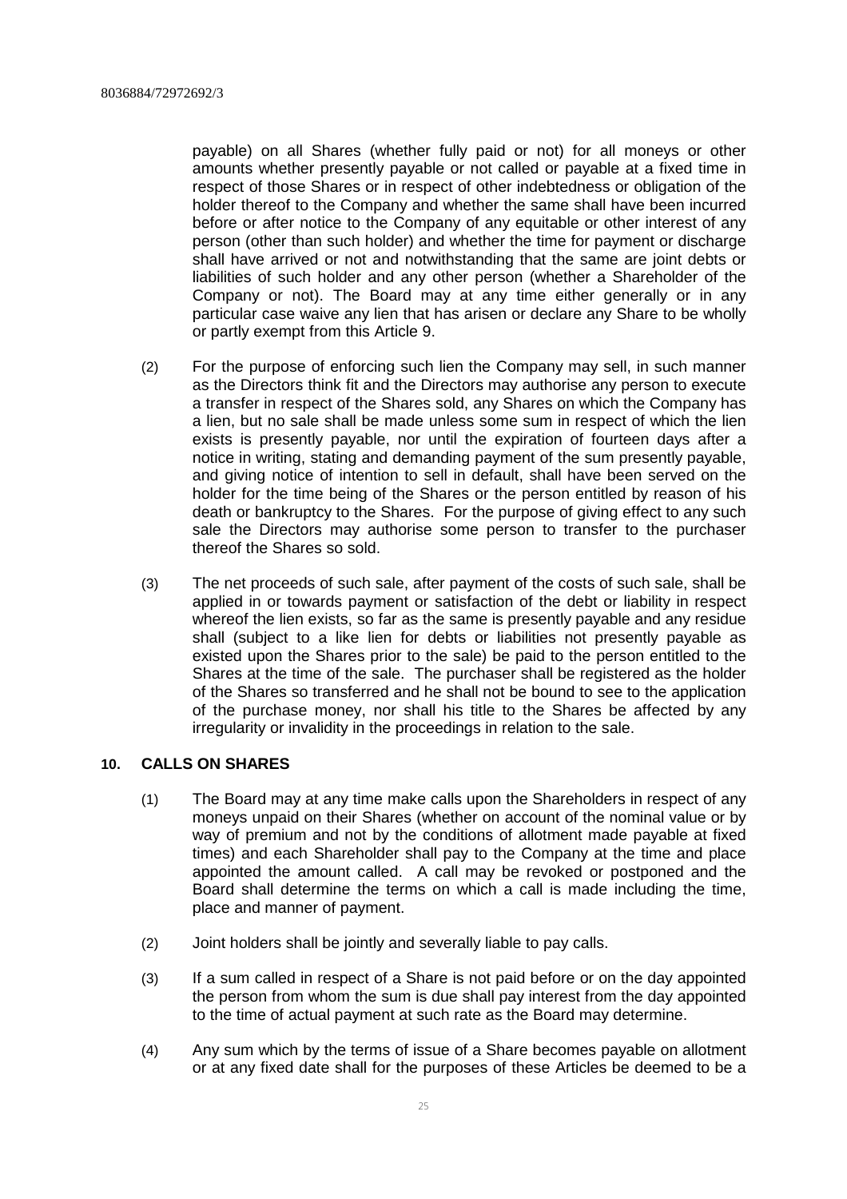payable) on all Shares (whether fully paid or not) for all moneys or other amounts whether presently payable or not called or payable at a fixed time in respect of those Shares or in respect of other indebtedness or obligation of the holder thereof to the Company and whether the same shall have been incurred before or after notice to the Company of any equitable or other interest of any person (other than such holder) and whether the time for payment or discharge shall have arrived or not and notwithstanding that the same are joint debts or liabilities of such holder and any other person (whether a Shareholder of the Company or not). The Board may at any time either generally or in any particular case waive any lien that has arisen or declare any Share to be wholly or partly exempt from this Article 9.

- (2) For the purpose of enforcing such lien the Company may sell, in such manner as the Directors think fit and the Directors may authorise any person to execute a transfer in respect of the Shares sold, any Shares on which the Company has a lien, but no sale shall be made unless some sum in respect of which the lien exists is presently payable, nor until the expiration of fourteen days after a notice in writing, stating and demanding payment of the sum presently payable, and giving notice of intention to sell in default, shall have been served on the holder for the time being of the Shares or the person entitled by reason of his death or bankruptcy to the Shares. For the purpose of giving effect to any such sale the Directors may authorise some person to transfer to the purchaser thereof the Shares so sold.
- (3) The net proceeds of such sale, after payment of the costs of such sale, shall be applied in or towards payment or satisfaction of the debt or liability in respect whereof the lien exists, so far as the same is presently payable and any residue shall (subject to a like lien for debts or liabilities not presently payable as existed upon the Shares prior to the sale) be paid to the person entitled to the Shares at the time of the sale. The purchaser shall be registered as the holder of the Shares so transferred and he shall not be bound to see to the application of the purchase money, nor shall his title to the Shares be affected by any irregularity or invalidity in the proceedings in relation to the sale.

# **10. CALLS ON SHARES**

- (1) The Board may at any time make calls upon the Shareholders in respect of any moneys unpaid on their Shares (whether on account of the nominal value or by way of premium and not by the conditions of allotment made payable at fixed times) and each Shareholder shall pay to the Company at the time and place appointed the amount called. A call may be revoked or postponed and the Board shall determine the terms on which a call is made including the time, place and manner of payment.
- (2) Joint holders shall be jointly and severally liable to pay calls.
- (3) If a sum called in respect of a Share is not paid before or on the day appointed the person from whom the sum is due shall pay interest from the day appointed to the time of actual payment at such rate as the Board may determine.
- (4) Any sum which by the terms of issue of a Share becomes payable on allotment or at any fixed date shall for the purposes of these Articles be deemed to be a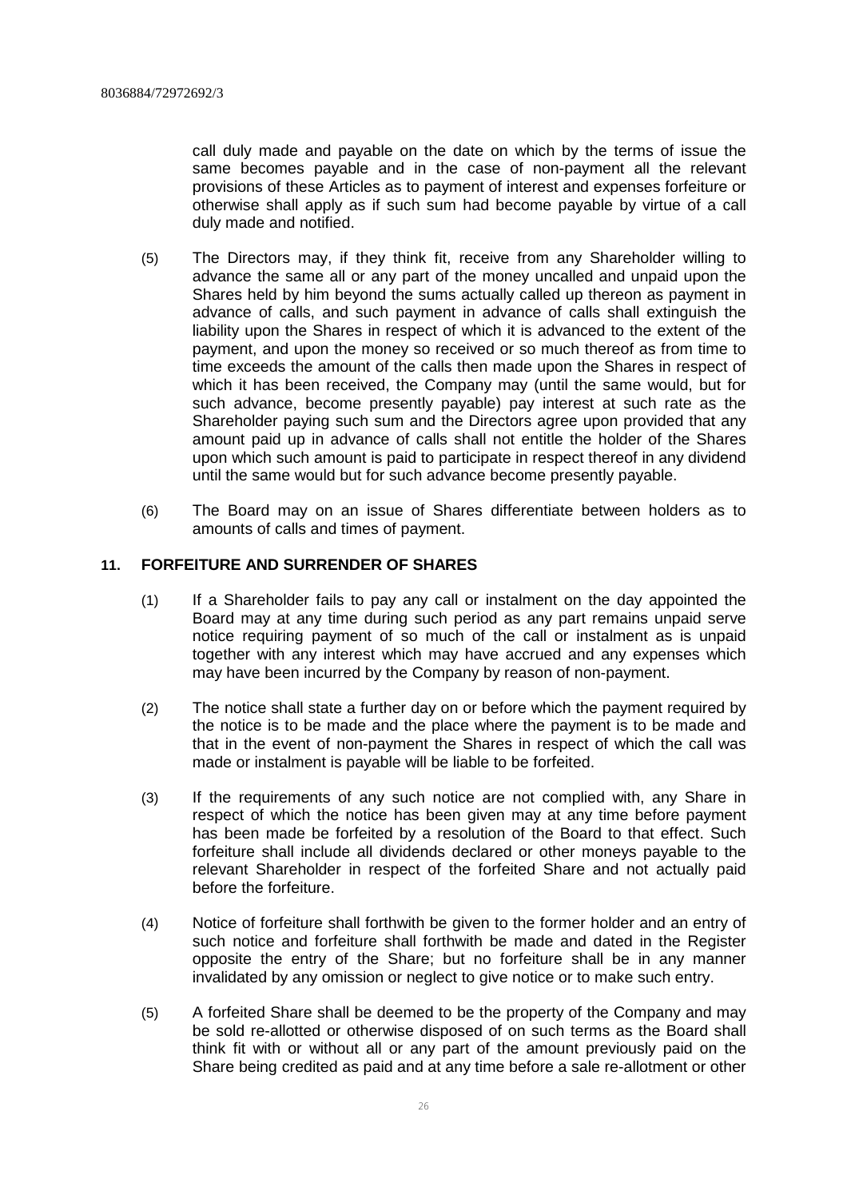call duly made and payable on the date on which by the terms of issue the same becomes payable and in the case of non-payment all the relevant provisions of these Articles as to payment of interest and expenses forfeiture or otherwise shall apply as if such sum had become payable by virtue of a call duly made and notified.

- (5) The Directors may, if they think fit, receive from any Shareholder willing to advance the same all or any part of the money uncalled and unpaid upon the Shares held by him beyond the sums actually called up thereon as payment in advance of calls, and such payment in advance of calls shall extinguish the liability upon the Shares in respect of which it is advanced to the extent of the payment, and upon the money so received or so much thereof as from time to time exceeds the amount of the calls then made upon the Shares in respect of which it has been received, the Company may (until the same would, but for such advance, become presently payable) pay interest at such rate as the Shareholder paying such sum and the Directors agree upon provided that any amount paid up in advance of calls shall not entitle the holder of the Shares upon which such amount is paid to participate in respect thereof in any dividend until the same would but for such advance become presently payable.
- (6) The Board may on an issue of Shares differentiate between holders as to amounts of calls and times of payment.

# **11. FORFEITURE AND SURRENDER OF SHARES**

- (1) If a Shareholder fails to pay any call or instalment on the day appointed the Board may at any time during such period as any part remains unpaid serve notice requiring payment of so much of the call or instalment as is unpaid together with any interest which may have accrued and any expenses which may have been incurred by the Company by reason of non-payment.
- (2) The notice shall state a further day on or before which the payment required by the notice is to be made and the place where the payment is to be made and that in the event of non-payment the Shares in respect of which the call was made or instalment is payable will be liable to be forfeited.
- (3) If the requirements of any such notice are not complied with, any Share in respect of which the notice has been given may at any time before payment has been made be forfeited by a resolution of the Board to that effect. Such forfeiture shall include all dividends declared or other moneys payable to the relevant Shareholder in respect of the forfeited Share and not actually paid before the forfeiture.
- (4) Notice of forfeiture shall forthwith be given to the former holder and an entry of such notice and forfeiture shall forthwith be made and dated in the Register opposite the entry of the Share; but no forfeiture shall be in any manner invalidated by any omission or neglect to give notice or to make such entry.
- (5) A forfeited Share shall be deemed to be the property of the Company and may be sold re-allotted or otherwise disposed of on such terms as the Board shall think fit with or without all or any part of the amount previously paid on the Share being credited as paid and at any time before a sale re-allotment or other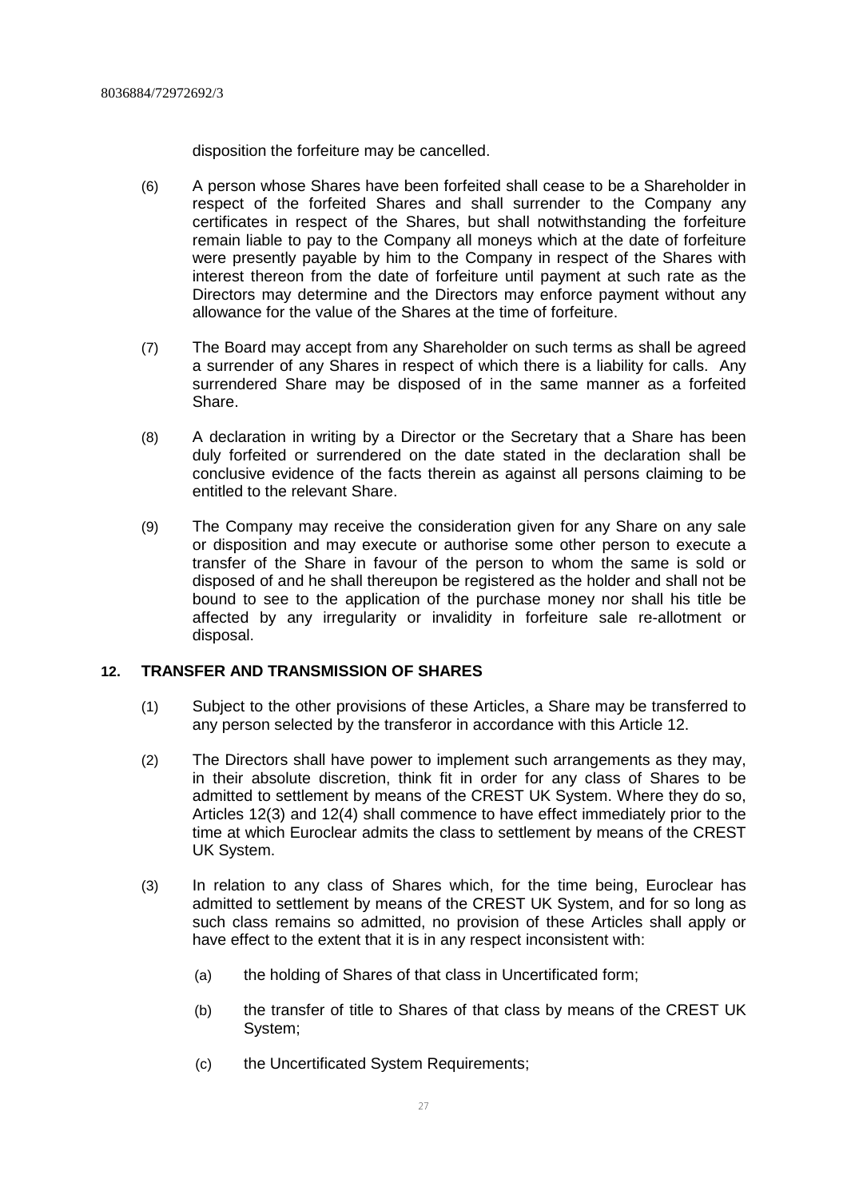disposition the forfeiture may be cancelled.

- (6) A person whose Shares have been forfeited shall cease to be a Shareholder in respect of the forfeited Shares and shall surrender to the Company any certificates in respect of the Shares, but shall notwithstanding the forfeiture remain liable to pay to the Company all moneys which at the date of forfeiture were presently payable by him to the Company in respect of the Shares with interest thereon from the date of forfeiture until payment at such rate as the Directors may determine and the Directors may enforce payment without any allowance for the value of the Shares at the time of forfeiture.
- (7) The Board may accept from any Shareholder on such terms as shall be agreed a surrender of any Shares in respect of which there is a liability for calls. Any surrendered Share may be disposed of in the same manner as a forfeited Share.
- (8) A declaration in writing by a Director or the Secretary that a Share has been duly forfeited or surrendered on the date stated in the declaration shall be conclusive evidence of the facts therein as against all persons claiming to be entitled to the relevant Share.
- (9) The Company may receive the consideration given for any Share on any sale or disposition and may execute or authorise some other person to execute a transfer of the Share in favour of the person to whom the same is sold or disposed of and he shall thereupon be registered as the holder and shall not be bound to see to the application of the purchase money nor shall his title be affected by any irregularity or invalidity in forfeiture sale re-allotment or disposal.

# **12. TRANSFER AND TRANSMISSION OF SHARES**

- (1) Subject to the other provisions of these Articles, a Share may be transferred to any person selected by the transferor in accordance with this Article 12.
- (2) The Directors shall have power to implement such arrangements as they may, in their absolute discretion, think fit in order for any class of Shares to be admitted to settlement by means of the CREST UK System. Where they do so, Articles 12(3) and 12(4) shall commence to have effect immediately prior to the time at which Euroclear admits the class to settlement by means of the CREST UK System.
- (3) In relation to any class of Shares which, for the time being, Euroclear has admitted to settlement by means of the CREST UK System, and for so long as such class remains so admitted, no provision of these Articles shall apply or have effect to the extent that it is in any respect inconsistent with:
	- (a) the holding of Shares of that class in Uncertificated form;
	- (b) the transfer of title to Shares of that class by means of the CREST UK System;
	- (c) the Uncertificated System Requirements;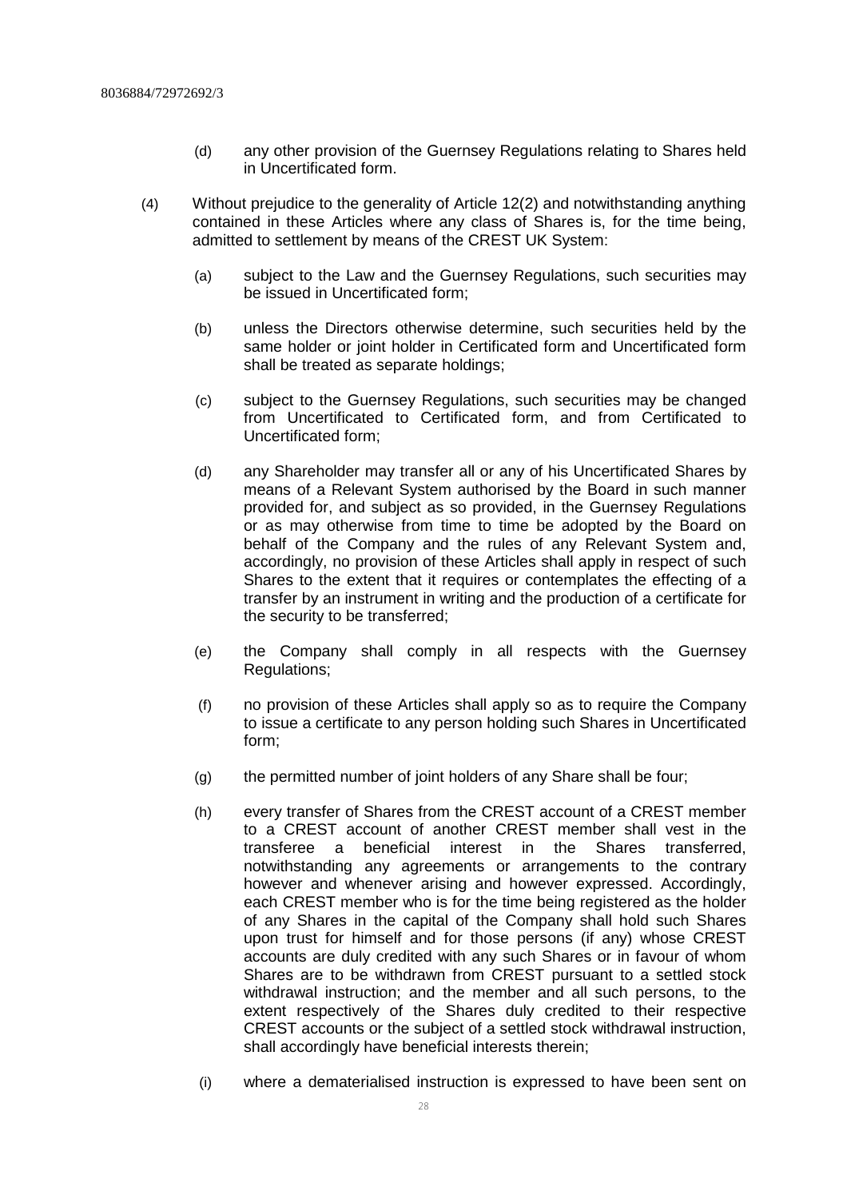- (d) any other provision of the Guernsey Regulations relating to Shares held in Uncertificated form.
- (4) Without prejudice to the generality of Article 12(2) and notwithstanding anything contained in these Articles where any class of Shares is, for the time being, admitted to settlement by means of the CREST UK System:
	- (a) subject to the Law and the Guernsey Regulations, such securities may be issued in Uncertificated form;
	- (b) unless the Directors otherwise determine, such securities held by the same holder or joint holder in Certificated form and Uncertificated form shall be treated as separate holdings;
	- (c) subject to the Guernsey Regulations, such securities may be changed from Uncertificated to Certificated form, and from Certificated to Uncertificated form;
	- (d) any Shareholder may transfer all or any of his Uncertificated Shares by means of a Relevant System authorised by the Board in such manner provided for, and subject as so provided, in the Guernsey Regulations or as may otherwise from time to time be adopted by the Board on behalf of the Company and the rules of any Relevant System and, accordingly, no provision of these Articles shall apply in respect of such Shares to the extent that it requires or contemplates the effecting of a transfer by an instrument in writing and the production of a certificate for the security to be transferred;
	- (e) the Company shall comply in all respects with the Guernsey Regulations;
	- (f) no provision of these Articles shall apply so as to require the Company to issue a certificate to any person holding such Shares in Uncertificated form;
	- (g) the permitted number of joint holders of any Share shall be four;
	- (h) every transfer of Shares from the CREST account of a CREST member to a CREST account of another CREST member shall vest in the transferee a beneficial interest in the Shares transferred, notwithstanding any agreements or arrangements to the contrary however and whenever arising and however expressed. Accordingly, each CREST member who is for the time being registered as the holder of any Shares in the capital of the Company shall hold such Shares upon trust for himself and for those persons (if any) whose CREST accounts are duly credited with any such Shares or in favour of whom Shares are to be withdrawn from CREST pursuant to a settled stock withdrawal instruction; and the member and all such persons, to the extent respectively of the Shares duly credited to their respective CREST accounts or the subject of a settled stock withdrawal instruction, shall accordingly have beneficial interests therein;
	- (i) where a dematerialised instruction is expressed to have been sent on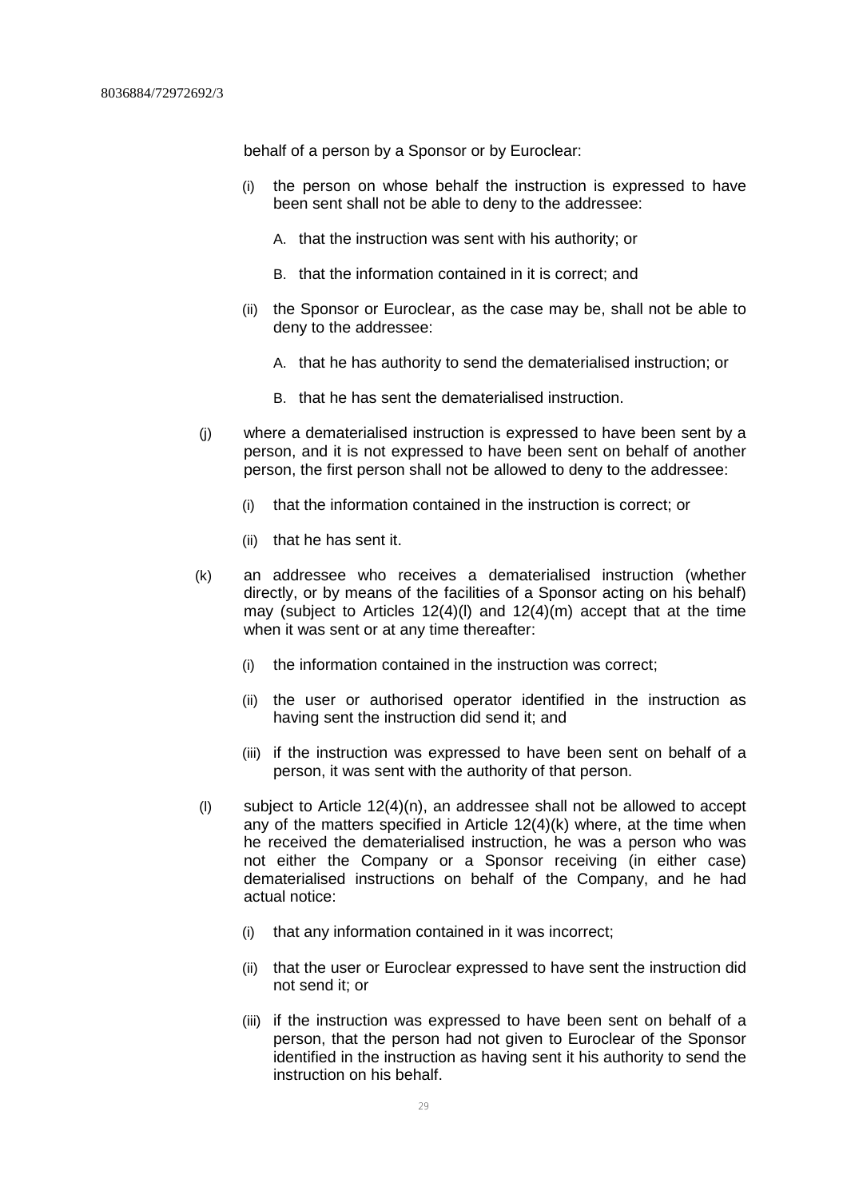behalf of a person by a Sponsor or by Euroclear:

- (i) the person on whose behalf the instruction is expressed to have been sent shall not be able to deny to the addressee:
	- A. that the instruction was sent with his authority; or
	- B. that the information contained in it is correct; and
- (ii) the Sponsor or Euroclear, as the case may be, shall not be able to deny to the addressee:
	- A. that he has authority to send the dematerialised instruction; or
	- B. that he has sent the dematerialised instruction.
- (j) where a dematerialised instruction is expressed to have been sent by a person, and it is not expressed to have been sent on behalf of another person, the first person shall not be allowed to deny to the addressee:
	- (i) that the information contained in the instruction is correct; or
	- (ii) that he has sent it.
- (k) an addressee who receives a dematerialised instruction (whether directly, or by means of the facilities of a Sponsor acting on his behalf) may (subject to Articles  $12(4)(I)$  and  $12(4)(m)$  accept that at the time when it was sent or at any time thereafter:
	- (i) the information contained in the instruction was correct;
	- (ii) the user or authorised operator identified in the instruction as having sent the instruction did send it; and
	- (iii) if the instruction was expressed to have been sent on behalf of a person, it was sent with the authority of that person.
- (I) subject to Article  $12(4)(n)$ , an addressee shall not be allowed to accept any of the matters specified in Article 12(4)(k) where, at the time when he received the dematerialised instruction, he was a person who was not either the Company or a Sponsor receiving (in either case) dematerialised instructions on behalf of the Company, and he had actual notice:
	- (i) that any information contained in it was incorrect;
	- (ii) that the user or Euroclear expressed to have sent the instruction did not send it; or
	- (iii) if the instruction was expressed to have been sent on behalf of a person, that the person had not given to Euroclear of the Sponsor identified in the instruction as having sent it his authority to send the instruction on his behalf.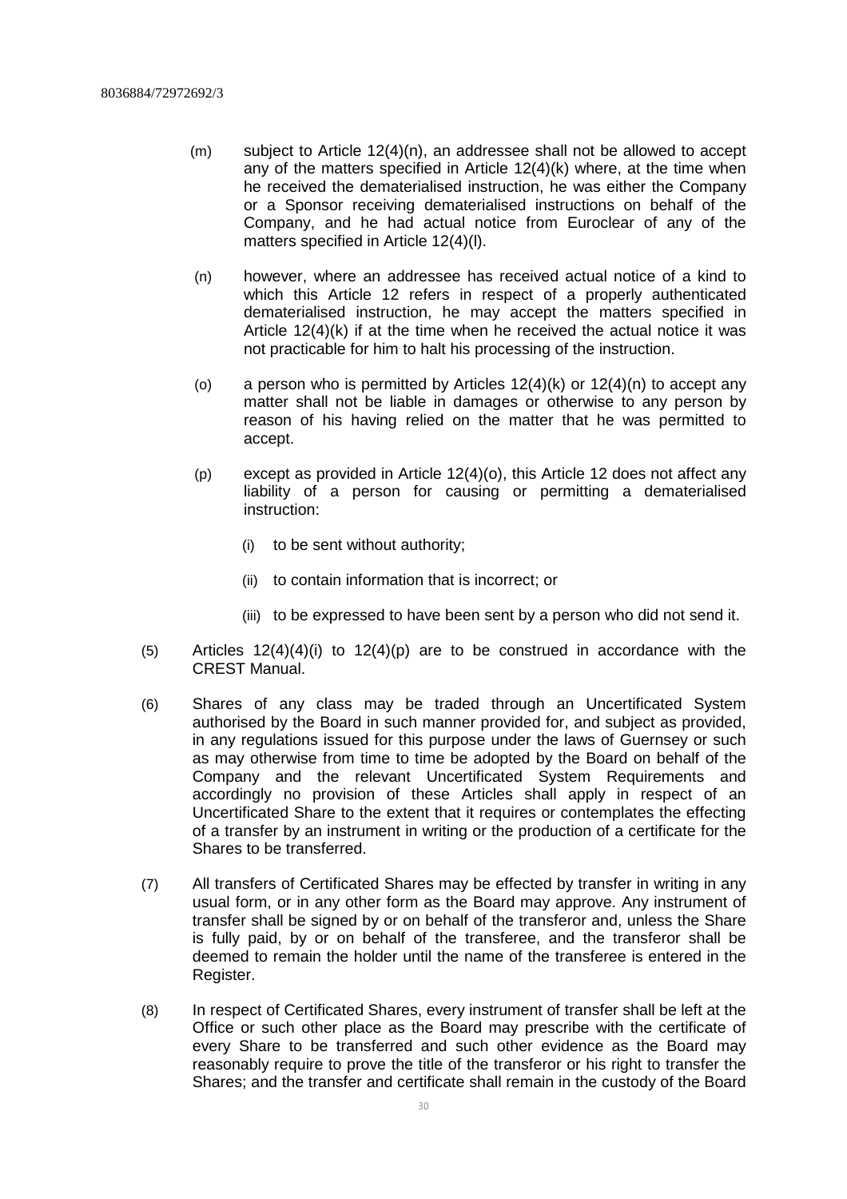- (m) subject to Article 12(4)(n), an addressee shall not be allowed to accept any of the matters specified in Article 12(4)(k) where, at the time when he received the dematerialised instruction, he was either the Company or a Sponsor receiving dematerialised instructions on behalf of the Company, and he had actual notice from Euroclear of any of the matters specified in Article 12(4)(l).
- (n) however, where an addressee has received actual notice of a kind to which this Article 12 refers in respect of a properly authenticated dematerialised instruction, he may accept the matters specified in Article 12(4)(k) if at the time when he received the actual notice it was not practicable for him to halt his processing of the instruction.
- (o) a person who is permitted by Articles  $12(4)(k)$  or  $12(4)(n)$  to accept any matter shall not be liable in damages or otherwise to any person by reason of his having relied on the matter that he was permitted to accept.
- (p) except as provided in Article 12(4)(o), this Article 12 does not affect any liability of a person for causing or permitting a dematerialised instruction:
	- (i) to be sent without authority;
	- (ii) to contain information that is incorrect; or
	- (iii) to be expressed to have been sent by a person who did not send it.
- $(5)$  Articles 12(4)(4)(i) to 12(4)(p) are to be construed in accordance with the CREST Manual.
- (6) Shares of any class may be traded through an Uncertificated System authorised by the Board in such manner provided for, and subject as provided, in any regulations issued for this purpose under the laws of Guernsey or such as may otherwise from time to time be adopted by the Board on behalf of the Company and the relevant Uncertificated System Requirements and accordingly no provision of these Articles shall apply in respect of an Uncertificated Share to the extent that it requires or contemplates the effecting of a transfer by an instrument in writing or the production of a certificate for the Shares to be transferred.
- (7) All transfers of Certificated Shares may be effected by transfer in writing in any usual form, or in any other form as the Board may approve. Any instrument of transfer shall be signed by or on behalf of the transferor and, unless the Share is fully paid, by or on behalf of the transferee, and the transferor shall be deemed to remain the holder until the name of the transferee is entered in the Register.
- (8) In respect of Certificated Shares, every instrument of transfer shall be left at the Office or such other place as the Board may prescribe with the certificate of every Share to be transferred and such other evidence as the Board may reasonably require to prove the title of the transferor or his right to transfer the Shares; and the transfer and certificate shall remain in the custody of the Board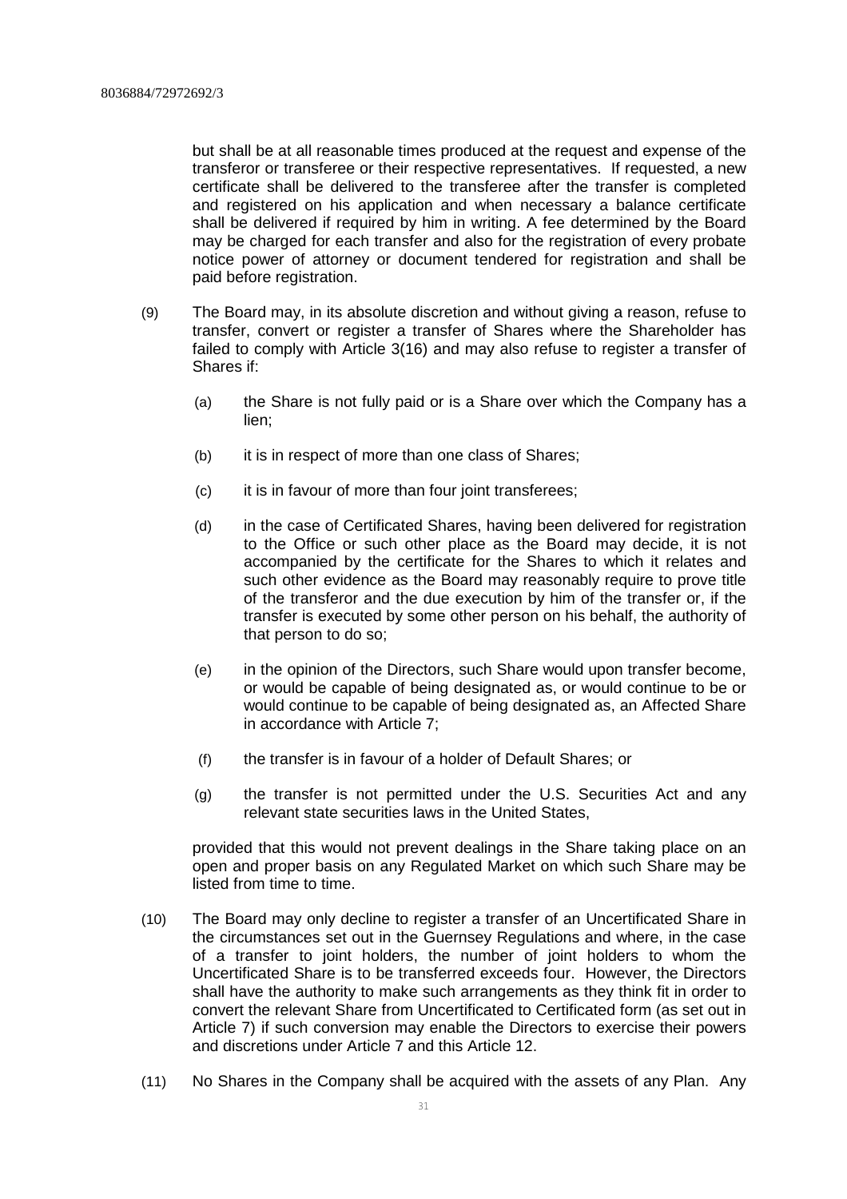but shall be at all reasonable times produced at the request and expense of the transferor or transferee or their respective representatives. If requested, a new certificate shall be delivered to the transferee after the transfer is completed and registered on his application and when necessary a balance certificate shall be delivered if required by him in writing. A fee determined by the Board may be charged for each transfer and also for the registration of every probate notice power of attorney or document tendered for registration and shall be paid before registration.

- (9) The Board may, in its absolute discretion and without giving a reason, refuse to transfer, convert or register a transfer of Shares where the Shareholder has failed to comply with Article 3(16) and may also refuse to register a transfer of Shares if:
	- (a) the Share is not fully paid or is a Share over which the Company has a lien;
	- (b) it is in respect of more than one class of Shares;
	- (c) it is in favour of more than four joint transferees;
	- (d) in the case of Certificated Shares, having been delivered for registration to the Office or such other place as the Board may decide, it is not accompanied by the certificate for the Shares to which it relates and such other evidence as the Board may reasonably require to prove title of the transferor and the due execution by him of the transfer or, if the transfer is executed by some other person on his behalf, the authority of that person to do so;
	- (e) in the opinion of the Directors, such Share would upon transfer become, or would be capable of being designated as, or would continue to be or would continue to be capable of being designated as, an Affected Share in accordance with Article 7;
	- (f) the transfer is in favour of a holder of Default Shares; or
	- (g) the transfer is not permitted under the U.S. Securities Act and any relevant state securities laws in the United States,

provided that this would not prevent dealings in the Share taking place on an open and proper basis on any Regulated Market on which such Share may be listed from time to time.

- (10) The Board may only decline to register a transfer of an Uncertificated Share in the circumstances set out in the Guernsey Regulations and where, in the case of a transfer to joint holders, the number of joint holders to whom the Uncertificated Share is to be transferred exceeds four. However, the Directors shall have the authority to make such arrangements as they think fit in order to convert the relevant Share from Uncertificated to Certificated form (as set out in Article 7) if such conversion may enable the Directors to exercise their powers and discretions under Article 7 and this Article 12.
- (11) No Shares in the Company shall be acquired with the assets of any Plan. Any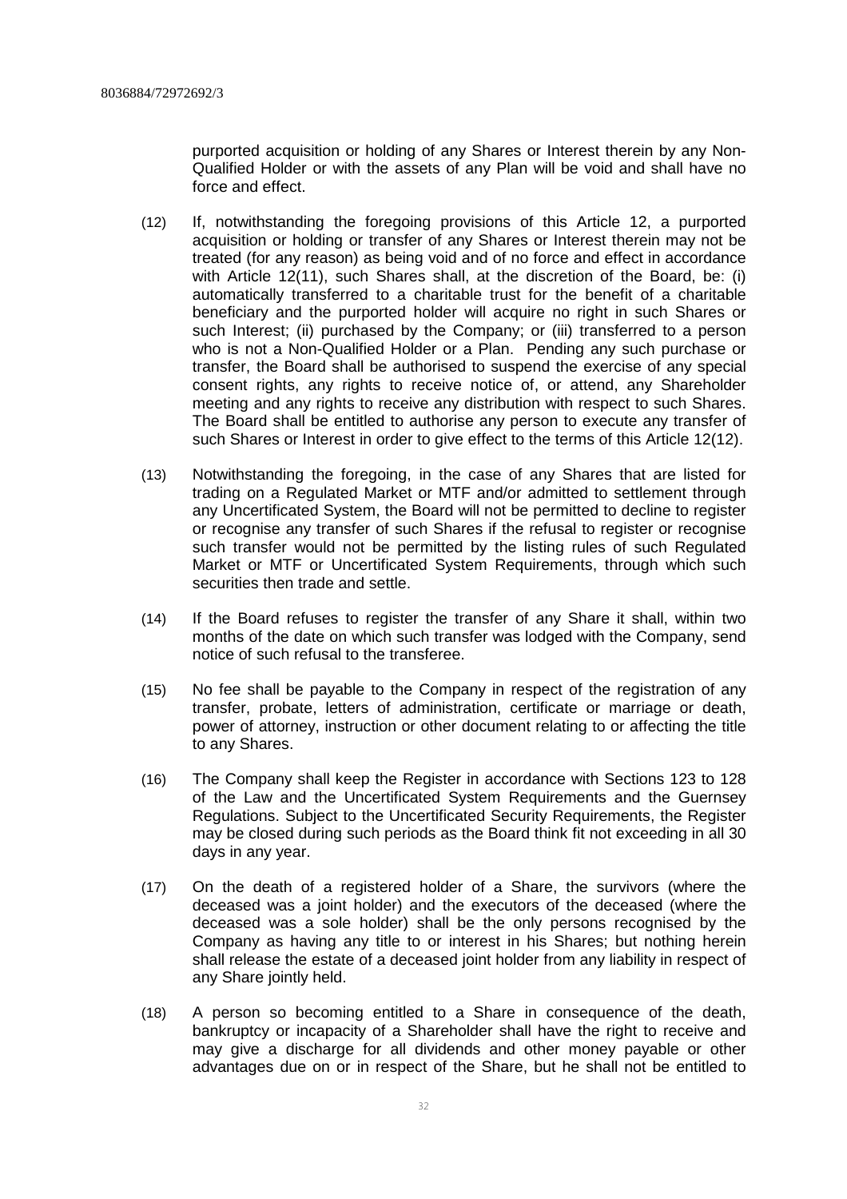purported acquisition or holding of any Shares or Interest therein by any Non-Qualified Holder or with the assets of any Plan will be void and shall have no force and effect.

- (12) If, notwithstanding the foregoing provisions of this Article 12, a purported acquisition or holding or transfer of any Shares or Interest therein may not be treated (for any reason) as being void and of no force and effect in accordance with Article 12(11), such Shares shall, at the discretion of the Board, be: (i) automatically transferred to a charitable trust for the benefit of a charitable beneficiary and the purported holder will acquire no right in such Shares or such Interest; (ii) purchased by the Company; or (iii) transferred to a person who is not a Non-Qualified Holder or a Plan. Pending any such purchase or transfer, the Board shall be authorised to suspend the exercise of any special consent rights, any rights to receive notice of, or attend, any Shareholder meeting and any rights to receive any distribution with respect to such Shares. The Board shall be entitled to authorise any person to execute any transfer of such Shares or Interest in order to give effect to the terms of this Article 12(12).
- (13) Notwithstanding the foregoing, in the case of any Shares that are listed for trading on a Regulated Market or MTF and/or admitted to settlement through any Uncertificated System, the Board will not be permitted to decline to register or recognise any transfer of such Shares if the refusal to register or recognise such transfer would not be permitted by the listing rules of such Regulated Market or MTF or Uncertificated System Requirements, through which such securities then trade and settle.
- (14) If the Board refuses to register the transfer of any Share it shall, within two months of the date on which such transfer was lodged with the Company, send notice of such refusal to the transferee.
- (15) No fee shall be payable to the Company in respect of the registration of any transfer, probate, letters of administration, certificate or marriage or death, power of attorney, instruction or other document relating to or affecting the title to any Shares.
- (16) The Company shall keep the Register in accordance with Sections 123 to 128 of the Law and the Uncertificated System Requirements and the Guernsey Regulations. Subject to the Uncertificated Security Requirements, the Register may be closed during such periods as the Board think fit not exceeding in all 30 days in any year.
- (17) On the death of a registered holder of a Share, the survivors (where the deceased was a joint holder) and the executors of the deceased (where the deceased was a sole holder) shall be the only persons recognised by the Company as having any title to or interest in his Shares; but nothing herein shall release the estate of a deceased joint holder from any liability in respect of any Share jointly held.
- (18) A person so becoming entitled to a Share in consequence of the death, bankruptcy or incapacity of a Shareholder shall have the right to receive and may give a discharge for all dividends and other money payable or other advantages due on or in respect of the Share, but he shall not be entitled to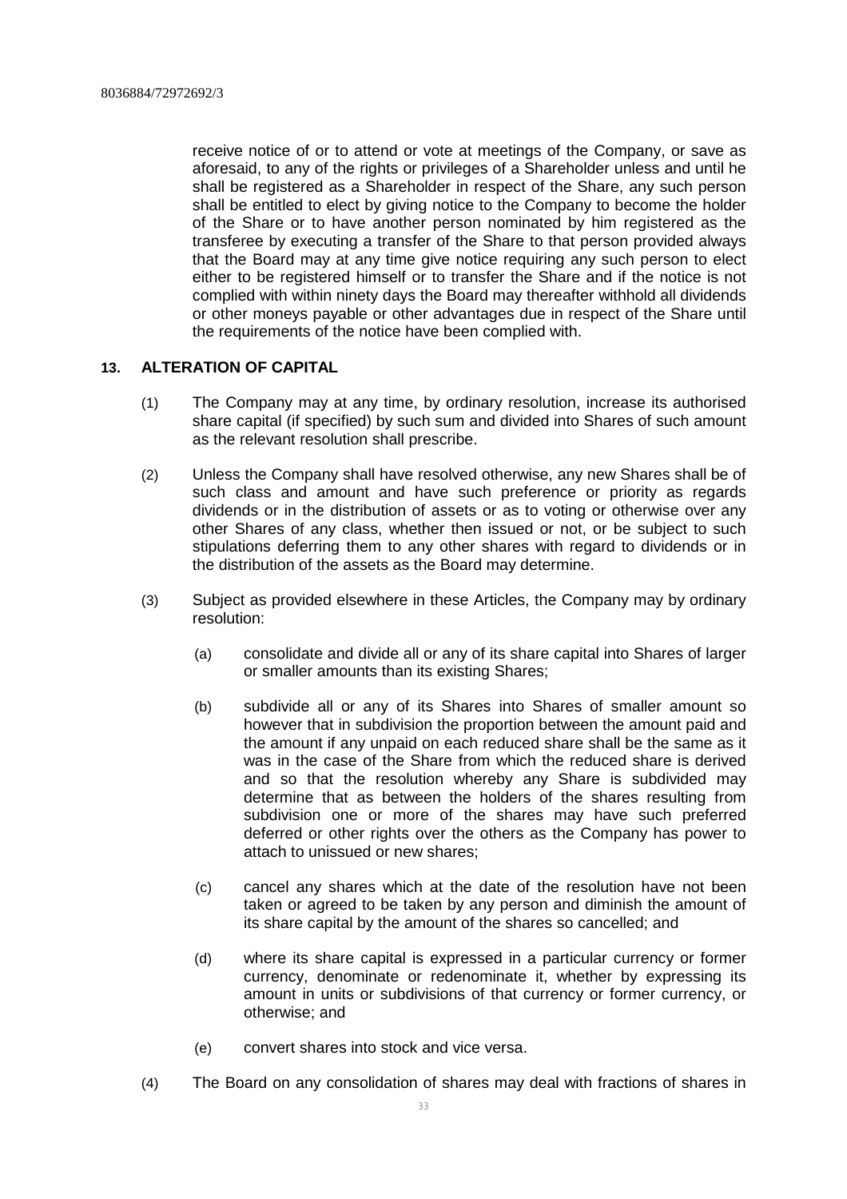receive notice of or to attend or vote at meetings of the Company, or save as aforesaid, to any of the rights or privileges of a Shareholder unless and until he shall be registered as a Shareholder in respect of the Share, any such person shall be entitled to elect by giving notice to the Company to become the holder of the Share or to have another person nominated by him registered as the transferee by executing a transfer of the Share to that person provided always that the Board may at any time give notice requiring any such person to elect either to be registered himself or to transfer the Share and if the notice is not complied with within ninety days the Board may thereafter withhold all dividends or other moneys payable or other advantages due in respect of the Share until the requirements of the notice have been complied with.

# **13. ALTERATION OF CAPITAL**

- (1) The Company may at any time, by ordinary resolution, increase its authorised share capital (if specified) by such sum and divided into Shares of such amount as the relevant resolution shall prescribe.
- (2) Unless the Company shall have resolved otherwise, any new Shares shall be of such class and amount and have such preference or priority as regards dividends or in the distribution of assets or as to voting or otherwise over any other Shares of any class, whether then issued or not, or be subject to such stipulations deferring them to any other shares with regard to dividends or in the distribution of the assets as the Board may determine.
- (3) Subject as provided elsewhere in these Articles, the Company may by ordinary resolution:
	- (a) consolidate and divide all or any of its share capital into Shares of larger or smaller amounts than its existing Shares;
	- (b) subdivide all or any of its Shares into Shares of smaller amount so however that in subdivision the proportion between the amount paid and the amount if any unpaid on each reduced share shall be the same as it was in the case of the Share from which the reduced share is derived and so that the resolution whereby any Share is subdivided may determine that as between the holders of the shares resulting from subdivision one or more of the shares may have such preferred deferred or other rights over the others as the Company has power to attach to unissued or new shares;
	- (c) cancel any shares which at the date of the resolution have not been taken or agreed to be taken by any person and diminish the amount of its share capital by the amount of the shares so cancelled; and
	- (d) where its share capital is expressed in a particular currency or former currency, denominate or redenominate it, whether by expressing its amount in units or subdivisions of that currency or former currency, or otherwise; and
	- (e) convert shares into stock and vice versa.
- (4) The Board on any consolidation of shares may deal with fractions of shares in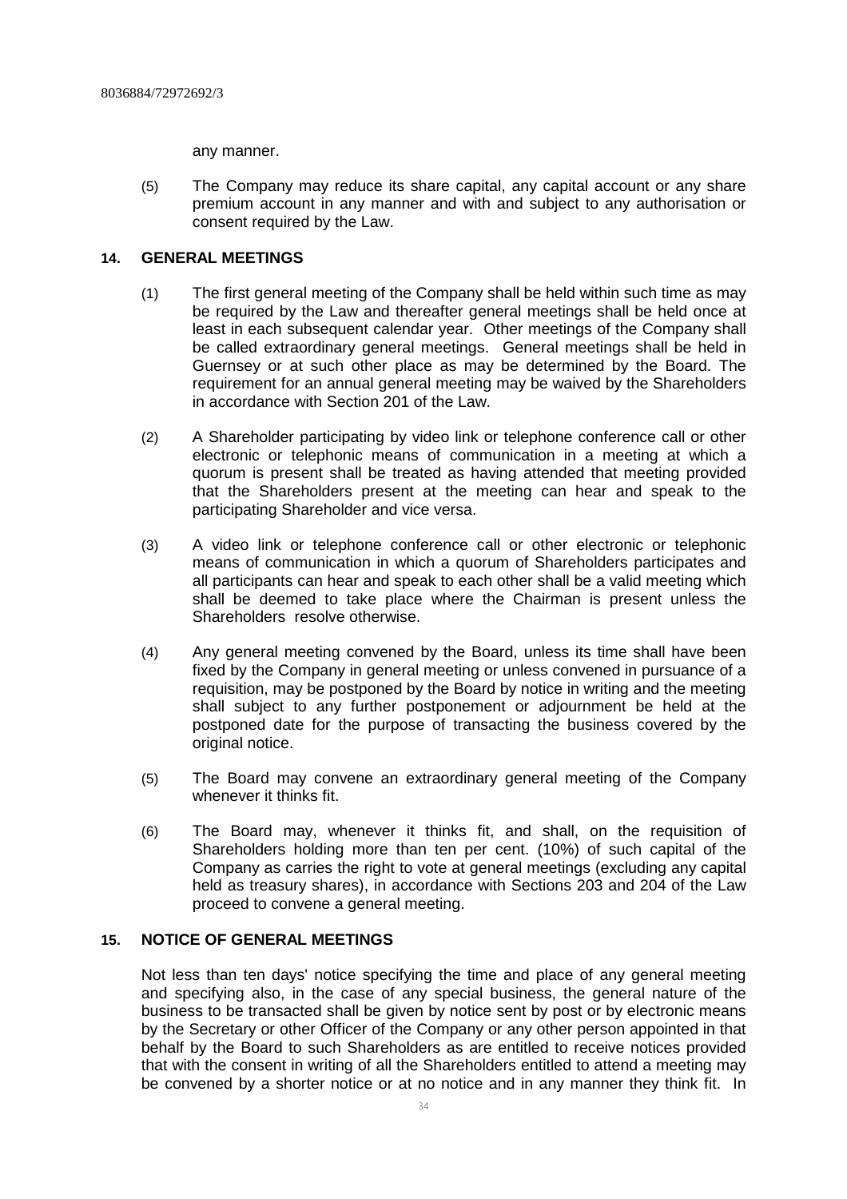any manner.

(5) The Company may reduce its share capital, any capital account or any share premium account in any manner and with and subject to any authorisation or consent required by the Law.

# **14. GENERAL MEETINGS**

- (1) The first general meeting of the Company shall be held within such time as may be required by the Law and thereafter general meetings shall be held once at least in each subsequent calendar year. Other meetings of the Company shall be called extraordinary general meetings. General meetings shall be held in Guernsey or at such other place as may be determined by the Board. The requirement for an annual general meeting may be waived by the Shareholders in accordance with Section 201 of the Law.
- (2) A Shareholder participating by video link or telephone conference call or other electronic or telephonic means of communication in a meeting at which a quorum is present shall be treated as having attended that meeting provided that the Shareholders present at the meeting can hear and speak to the participating Shareholder and vice versa.
- (3) A video link or telephone conference call or other electronic or telephonic means of communication in which a quorum of Shareholders participates and all participants can hear and speak to each other shall be a valid meeting which shall be deemed to take place where the Chairman is present unless the Shareholders resolve otherwise.
- (4) Any general meeting convened by the Board, unless its time shall have been fixed by the Company in general meeting or unless convened in pursuance of a requisition, may be postponed by the Board by notice in writing and the meeting shall subject to any further postponement or adjournment be held at the postponed date for the purpose of transacting the business covered by the original notice.
- (5) The Board may convene an extraordinary general meeting of the Company whenever it thinks fit.
- (6) The Board may, whenever it thinks fit, and shall, on the requisition of Shareholders holding more than ten per cent. (10%) of such capital of the Company as carries the right to vote at general meetings (excluding any capital held as treasury shares), in accordance with Sections 203 and 204 of the Law proceed to convene a general meeting.

# **15. NOTICE OF GENERAL MEETINGS**

Not less than ten days' notice specifying the time and place of any general meeting and specifying also, in the case of any special business, the general nature of the business to be transacted shall be given by notice sent by post or by electronic means by the Secretary or other Officer of the Company or any other person appointed in that behalf by the Board to such Shareholders as are entitled to receive notices provided that with the consent in writing of all the Shareholders entitled to attend a meeting may be convened by a shorter notice or at no notice and in any manner they think fit. In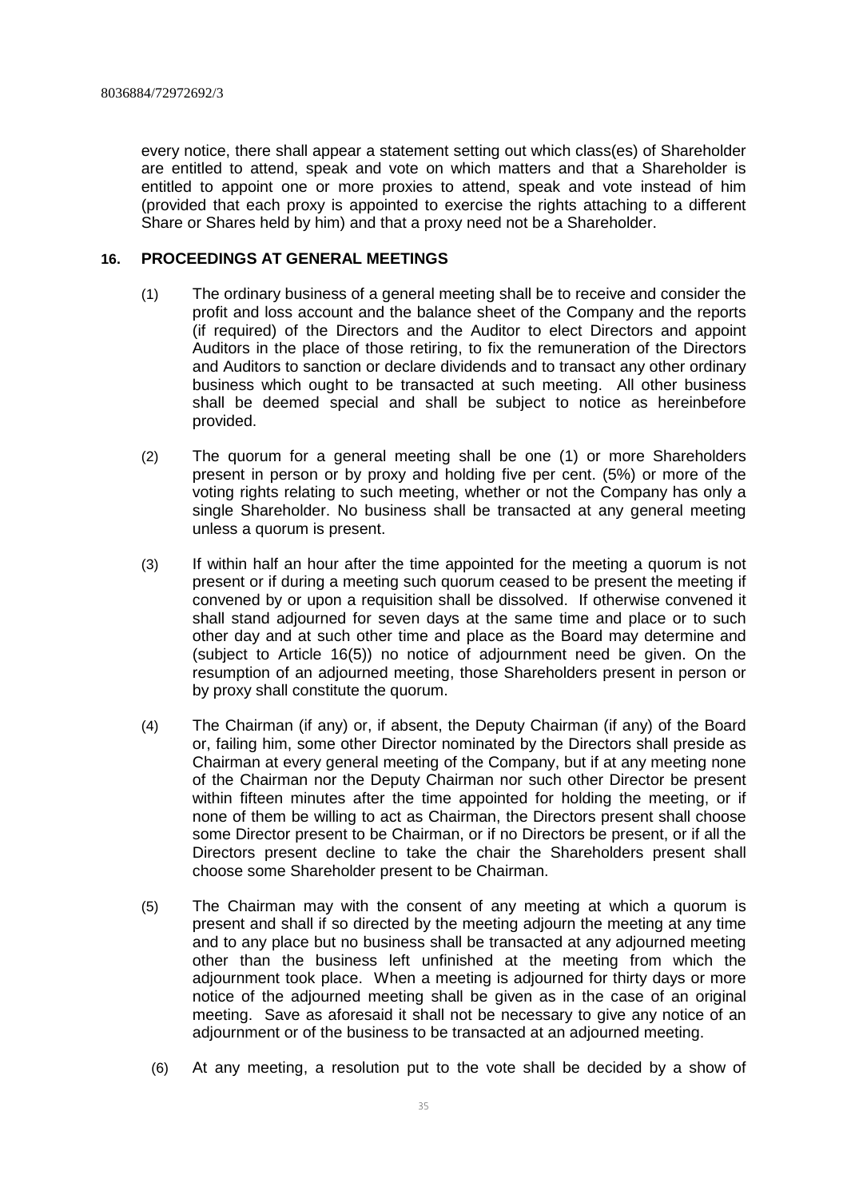every notice, there shall appear a statement setting out which class(es) of Shareholder are entitled to attend, speak and vote on which matters and that a Shareholder is entitled to appoint one or more proxies to attend, speak and vote instead of him (provided that each proxy is appointed to exercise the rights attaching to a different Share or Shares held by him) and that a proxy need not be a Shareholder.

# **16. PROCEEDINGS AT GENERAL MEETINGS**

- (1) The ordinary business of a general meeting shall be to receive and consider the profit and loss account and the balance sheet of the Company and the reports (if required) of the Directors and the Auditor to elect Directors and appoint Auditors in the place of those retiring, to fix the remuneration of the Directors and Auditors to sanction or declare dividends and to transact any other ordinary business which ought to be transacted at such meeting. All other business shall be deemed special and shall be subject to notice as hereinbefore provided.
- (2) The quorum for a general meeting shall be one (1) or more Shareholders present in person or by proxy and holding five per cent. (5%) or more of the voting rights relating to such meeting, whether or not the Company has only a single Shareholder. No business shall be transacted at any general meeting unless a quorum is present.
- (3) If within half an hour after the time appointed for the meeting a quorum is not present or if during a meeting such quorum ceased to be present the meeting if convened by or upon a requisition shall be dissolved. If otherwise convened it shall stand adjourned for seven days at the same time and place or to such other day and at such other time and place as the Board may determine and (subject to Article 16(5)) no notice of adjournment need be given. On the resumption of an adjourned meeting, those Shareholders present in person or by proxy shall constitute the quorum.
- (4) The Chairman (if any) or, if absent, the Deputy Chairman (if any) of the Board or, failing him, some other Director nominated by the Directors shall preside as Chairman at every general meeting of the Company, but if at any meeting none of the Chairman nor the Deputy Chairman nor such other Director be present within fifteen minutes after the time appointed for holding the meeting, or if none of them be willing to act as Chairman, the Directors present shall choose some Director present to be Chairman, or if no Directors be present, or if all the Directors present decline to take the chair the Shareholders present shall choose some Shareholder present to be Chairman.
- (5) The Chairman may with the consent of any meeting at which a quorum is present and shall if so directed by the meeting adjourn the meeting at any time and to any place but no business shall be transacted at any adjourned meeting other than the business left unfinished at the meeting from which the adjournment took place. When a meeting is adjourned for thirty days or more notice of the adjourned meeting shall be given as in the case of an original meeting. Save as aforesaid it shall not be necessary to give any notice of an adjournment or of the business to be transacted at an adjourned meeting.
	- (6) At any meeting, a resolution put to the vote shall be decided by a show of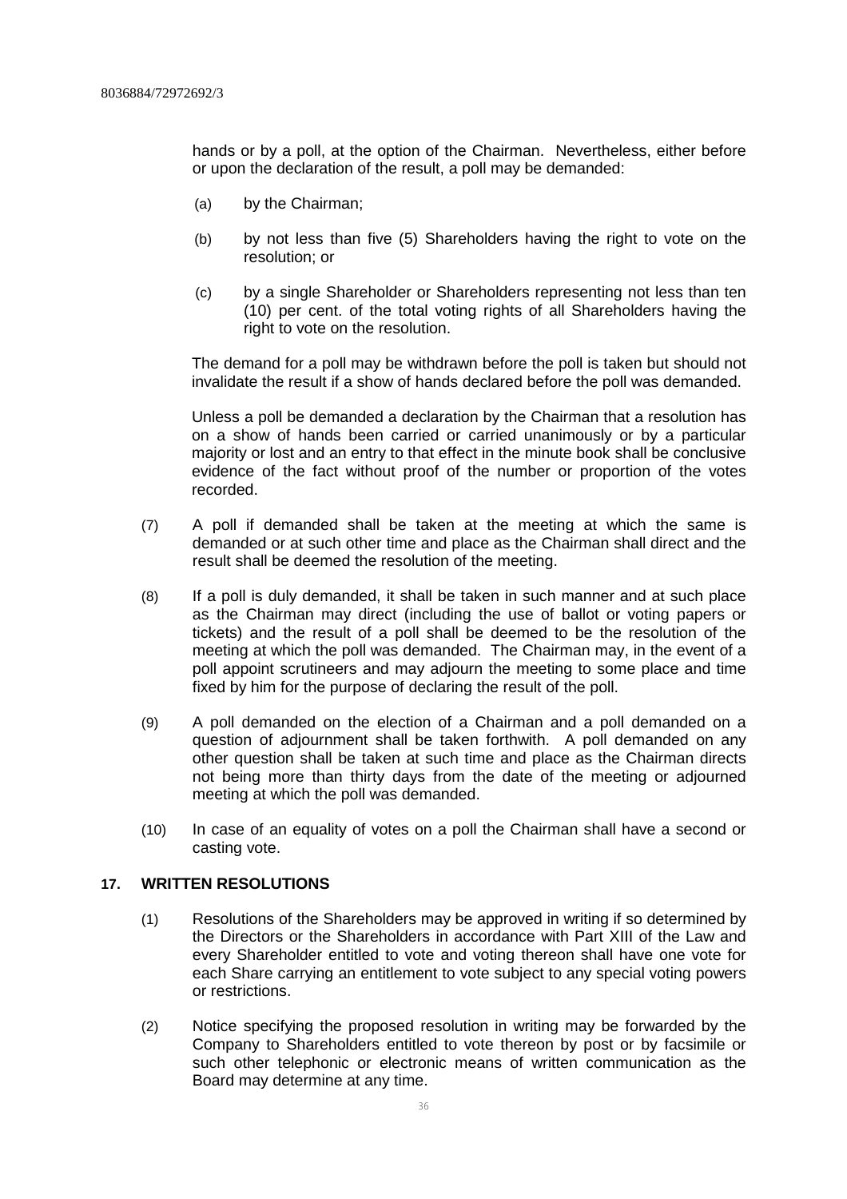hands or by a poll, at the option of the Chairman. Nevertheless, either before or upon the declaration of the result, a poll may be demanded:

- (a) by the Chairman;
- (b) by not less than five (5) Shareholders having the right to vote on the resolution; or
- (c) by a single Shareholder or Shareholders representing not less than ten (10) per cent. of the total voting rights of all Shareholders having the right to vote on the resolution.

The demand for a poll may be withdrawn before the poll is taken but should not invalidate the result if a show of hands declared before the poll was demanded.

Unless a poll be demanded a declaration by the Chairman that a resolution has on a show of hands been carried or carried unanimously or by a particular majority or lost and an entry to that effect in the minute book shall be conclusive evidence of the fact without proof of the number or proportion of the votes recorded.

- (7) A poll if demanded shall be taken at the meeting at which the same is demanded or at such other time and place as the Chairman shall direct and the result shall be deemed the resolution of the meeting.
- (8) If a poll is duly demanded, it shall be taken in such manner and at such place as the Chairman may direct (including the use of ballot or voting papers or tickets) and the result of a poll shall be deemed to be the resolution of the meeting at which the poll was demanded. The Chairman may, in the event of a poll appoint scrutineers and may adjourn the meeting to some place and time fixed by him for the purpose of declaring the result of the poll.
- (9) A poll demanded on the election of a Chairman and a poll demanded on a question of adjournment shall be taken forthwith. A poll demanded on any other question shall be taken at such time and place as the Chairman directs not being more than thirty days from the date of the meeting or adjourned meeting at which the poll was demanded.
- (10) In case of an equality of votes on a poll the Chairman shall have a second or casting vote.

# **17. WRITTEN RESOLUTIONS**

- (1) Resolutions of the Shareholders may be approved in writing if so determined by the Directors or the Shareholders in accordance with Part XIII of the Law and every Shareholder entitled to vote and voting thereon shall have one vote for each Share carrying an entitlement to vote subject to any special voting powers or restrictions.
- (2) Notice specifying the proposed resolution in writing may be forwarded by the Company to Shareholders entitled to vote thereon by post or by facsimile or such other telephonic or electronic means of written communication as the Board may determine at any time.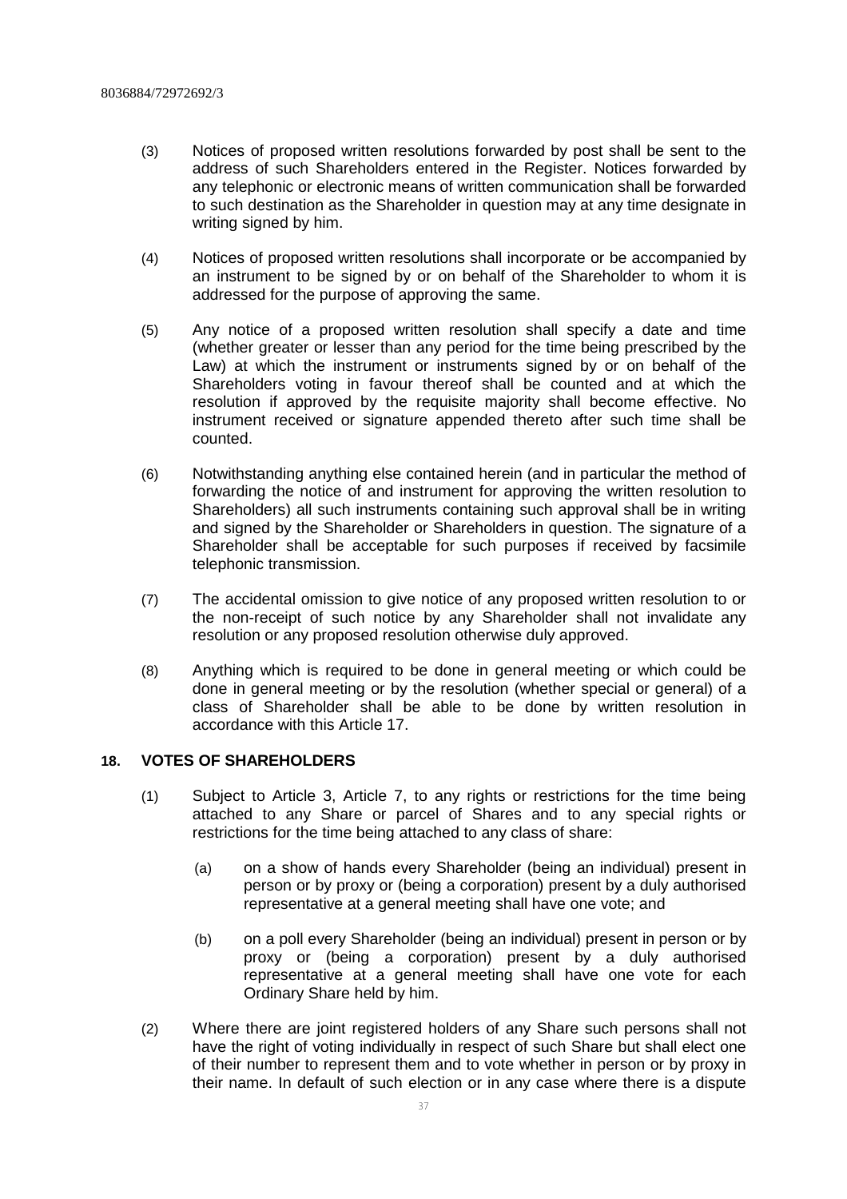- (3) Notices of proposed written resolutions forwarded by post shall be sent to the address of such Shareholders entered in the Register. Notices forwarded by any telephonic or electronic means of written communication shall be forwarded to such destination as the Shareholder in question may at any time designate in writing signed by him.
- (4) Notices of proposed written resolutions shall incorporate or be accompanied by an instrument to be signed by or on behalf of the Shareholder to whom it is addressed for the purpose of approving the same.
- (5) Any notice of a proposed written resolution shall specify a date and time (whether greater or lesser than any period for the time being prescribed by the Law) at which the instrument or instruments signed by or on behalf of the Shareholders voting in favour thereof shall be counted and at which the resolution if approved by the requisite majority shall become effective. No instrument received or signature appended thereto after such time shall be counted.
- (6) Notwithstanding anything else contained herein (and in particular the method of forwarding the notice of and instrument for approving the written resolution to Shareholders) all such instruments containing such approval shall be in writing and signed by the Shareholder or Shareholders in question. The signature of a Shareholder shall be acceptable for such purposes if received by facsimile telephonic transmission.
- (7) The accidental omission to give notice of any proposed written resolution to or the non-receipt of such notice by any Shareholder shall not invalidate any resolution or any proposed resolution otherwise duly approved.
- (8) Anything which is required to be done in general meeting or which could be done in general meeting or by the resolution (whether special or general) of a class of Shareholder shall be able to be done by written resolution in accordance with this Article 17.

# **18. VOTES OF SHAREHOLDERS**

- (1) Subject to Article 3, Article 7, to any rights or restrictions for the time being attached to any Share or parcel of Shares and to any special rights or restrictions for the time being attached to any class of share:
	- (a) on a show of hands every Shareholder (being an individual) present in person or by proxy or (being a corporation) present by a duly authorised representative at a general meeting shall have one vote; and
	- (b) on a poll every Shareholder (being an individual) present in person or by proxy or (being a corporation) present by a duly authorised representative at a general meeting shall have one vote for each Ordinary Share held by him.
- (2) Where there are joint registered holders of any Share such persons shall not have the right of voting individually in respect of such Share but shall elect one of their number to represent them and to vote whether in person or by proxy in their name. In default of such election or in any case where there is a dispute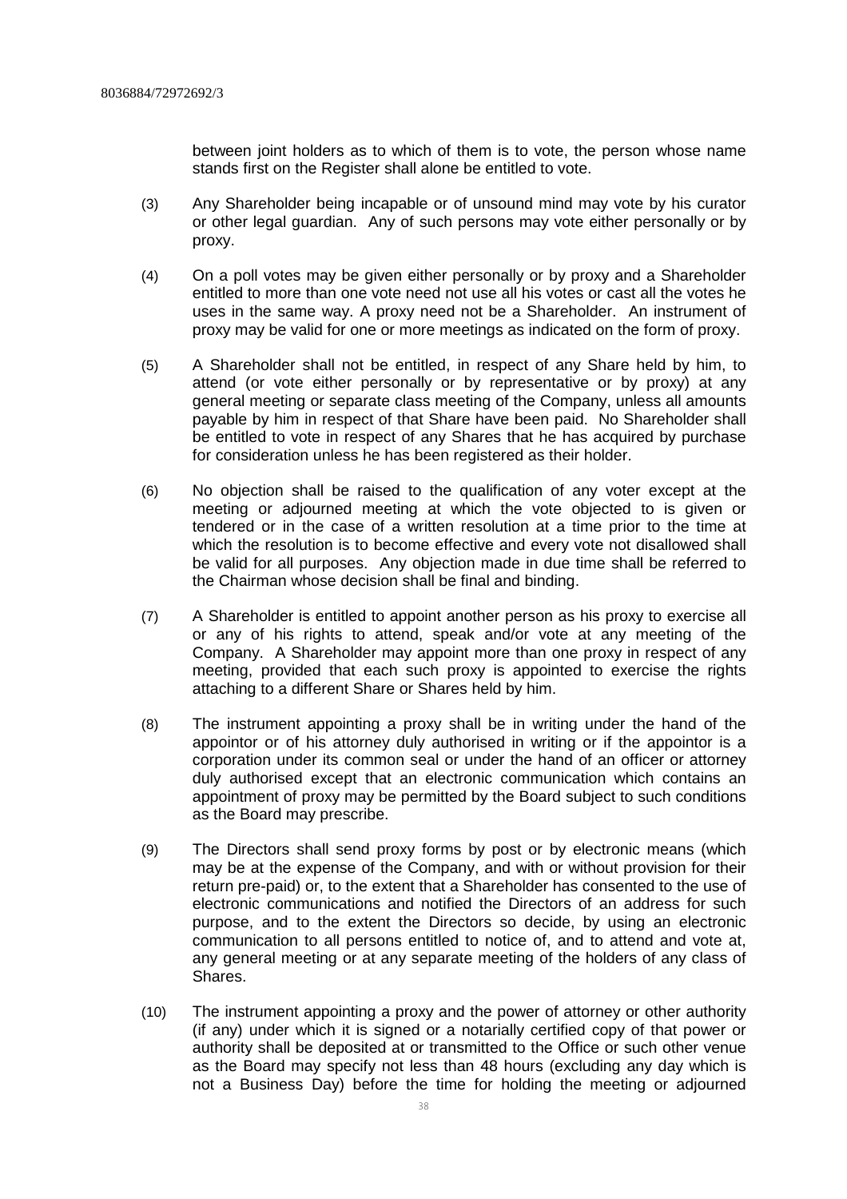between joint holders as to which of them is to vote, the person whose name stands first on the Register shall alone be entitled to vote.

- (3) Any Shareholder being incapable or of unsound mind may vote by his curator or other legal guardian. Any of such persons may vote either personally or by proxy.
- (4) On a poll votes may be given either personally or by proxy and a Shareholder entitled to more than one vote need not use all his votes or cast all the votes he uses in the same way. A proxy need not be a Shareholder. An instrument of proxy may be valid for one or more meetings as indicated on the form of proxy.
- (5) A Shareholder shall not be entitled, in respect of any Share held by him, to attend (or vote either personally or by representative or by proxy) at any general meeting or separate class meeting of the Company, unless all amounts payable by him in respect of that Share have been paid. No Shareholder shall be entitled to vote in respect of any Shares that he has acquired by purchase for consideration unless he has been registered as their holder.
- (6) No objection shall be raised to the qualification of any voter except at the meeting or adjourned meeting at which the vote objected to is given or tendered or in the case of a written resolution at a time prior to the time at which the resolution is to become effective and every vote not disallowed shall be valid for all purposes. Any objection made in due time shall be referred to the Chairman whose decision shall be final and binding.
- (7) A Shareholder is entitled to appoint another person as his proxy to exercise all or any of his rights to attend, speak and/or vote at any meeting of the Company. A Shareholder may appoint more than one proxy in respect of any meeting, provided that each such proxy is appointed to exercise the rights attaching to a different Share or Shares held by him.
- (8) The instrument appointing a proxy shall be in writing under the hand of the appointor or of his attorney duly authorised in writing or if the appointor is a corporation under its common seal or under the hand of an officer or attorney duly authorised except that an electronic communication which contains an appointment of proxy may be permitted by the Board subject to such conditions as the Board may prescribe.
- (9) The Directors shall send proxy forms by post or by electronic means (which may be at the expense of the Company, and with or without provision for their return pre-paid) or, to the extent that a Shareholder has consented to the use of electronic communications and notified the Directors of an address for such purpose, and to the extent the Directors so decide, by using an electronic communication to all persons entitled to notice of, and to attend and vote at, any general meeting or at any separate meeting of the holders of any class of Shares.
- (10) The instrument appointing a proxy and the power of attorney or other authority (if any) under which it is signed or a notarially certified copy of that power or authority shall be deposited at or transmitted to the Office or such other venue as the Board may specify not less than 48 hours (excluding any day which is not a Business Day) before the time for holding the meeting or adjourned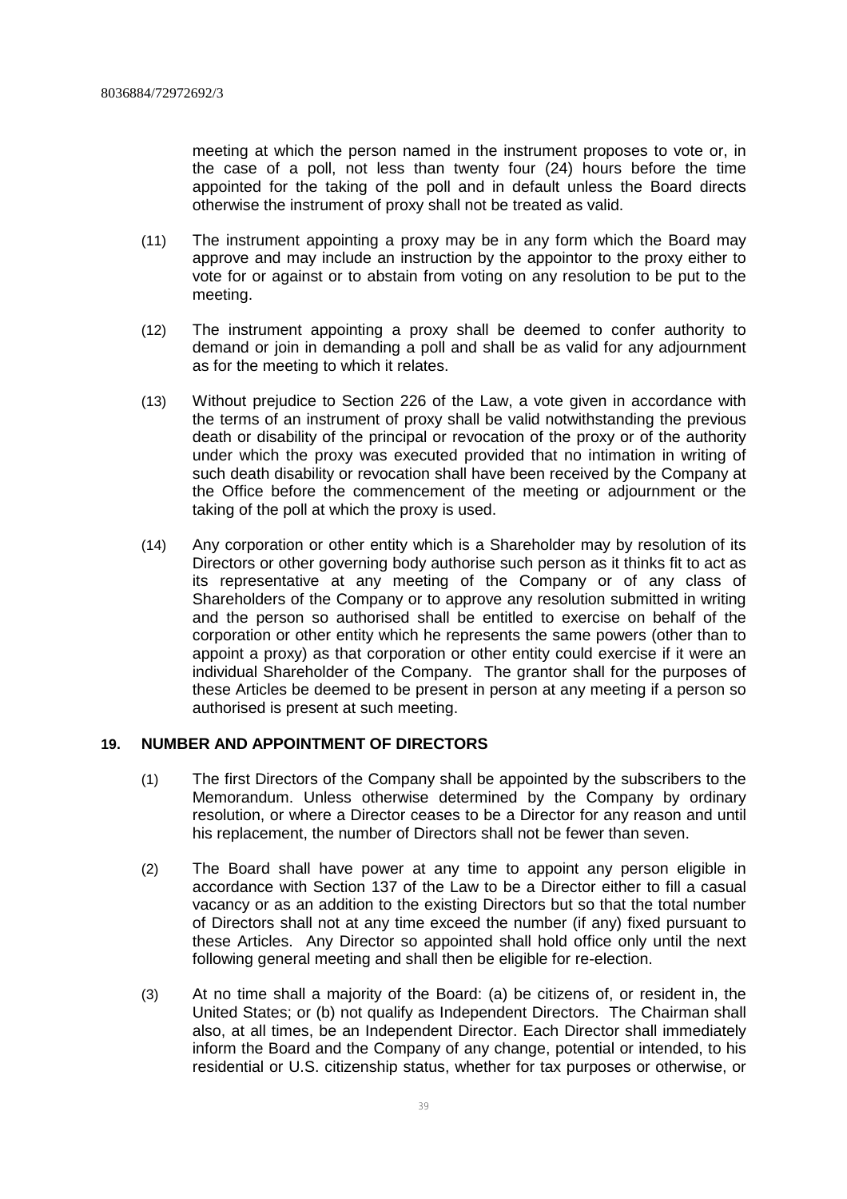meeting at which the person named in the instrument proposes to vote or, in the case of a poll, not less than twenty four (24) hours before the time appointed for the taking of the poll and in default unless the Board directs otherwise the instrument of proxy shall not be treated as valid.

- (11) The instrument appointing a proxy may be in any form which the Board may approve and may include an instruction by the appointor to the proxy either to vote for or against or to abstain from voting on any resolution to be put to the meeting.
- (12) The instrument appointing a proxy shall be deemed to confer authority to demand or join in demanding a poll and shall be as valid for any adjournment as for the meeting to which it relates.
- (13) Without prejudice to Section 226 of the Law, a vote given in accordance with the terms of an instrument of proxy shall be valid notwithstanding the previous death or disability of the principal or revocation of the proxy or of the authority under which the proxy was executed provided that no intimation in writing of such death disability or revocation shall have been received by the Company at the Office before the commencement of the meeting or adjournment or the taking of the poll at which the proxy is used.
- (14) Any corporation or other entity which is a Shareholder may by resolution of its Directors or other governing body authorise such person as it thinks fit to act as its representative at any meeting of the Company or of any class of Shareholders of the Company or to approve any resolution submitted in writing and the person so authorised shall be entitled to exercise on behalf of the corporation or other entity which he represents the same powers (other than to appoint a proxy) as that corporation or other entity could exercise if it were an individual Shareholder of the Company. The grantor shall for the purposes of these Articles be deemed to be present in person at any meeting if a person so authorised is present at such meeting.

# **19. NUMBER AND APPOINTMENT OF DIRECTORS**

- (1) The first Directors of the Company shall be appointed by the subscribers to the Memorandum. Unless otherwise determined by the Company by ordinary resolution, or where a Director ceases to be a Director for any reason and until his replacement, the number of Directors shall not be fewer than seven.
- (2) The Board shall have power at any time to appoint any person eligible in accordance with Section 137 of the Law to be a Director either to fill a casual vacancy or as an addition to the existing Directors but so that the total number of Directors shall not at any time exceed the number (if any) fixed pursuant to these Articles. Any Director so appointed shall hold office only until the next following general meeting and shall then be eligible for re-election.
- (3) At no time shall a majority of the Board: (a) be citizens of, or resident in, the United States; or (b) not qualify as Independent Directors. The Chairman shall also, at all times, be an Independent Director. Each Director shall immediately inform the Board and the Company of any change, potential or intended, to his residential or U.S. citizenship status, whether for tax purposes or otherwise, or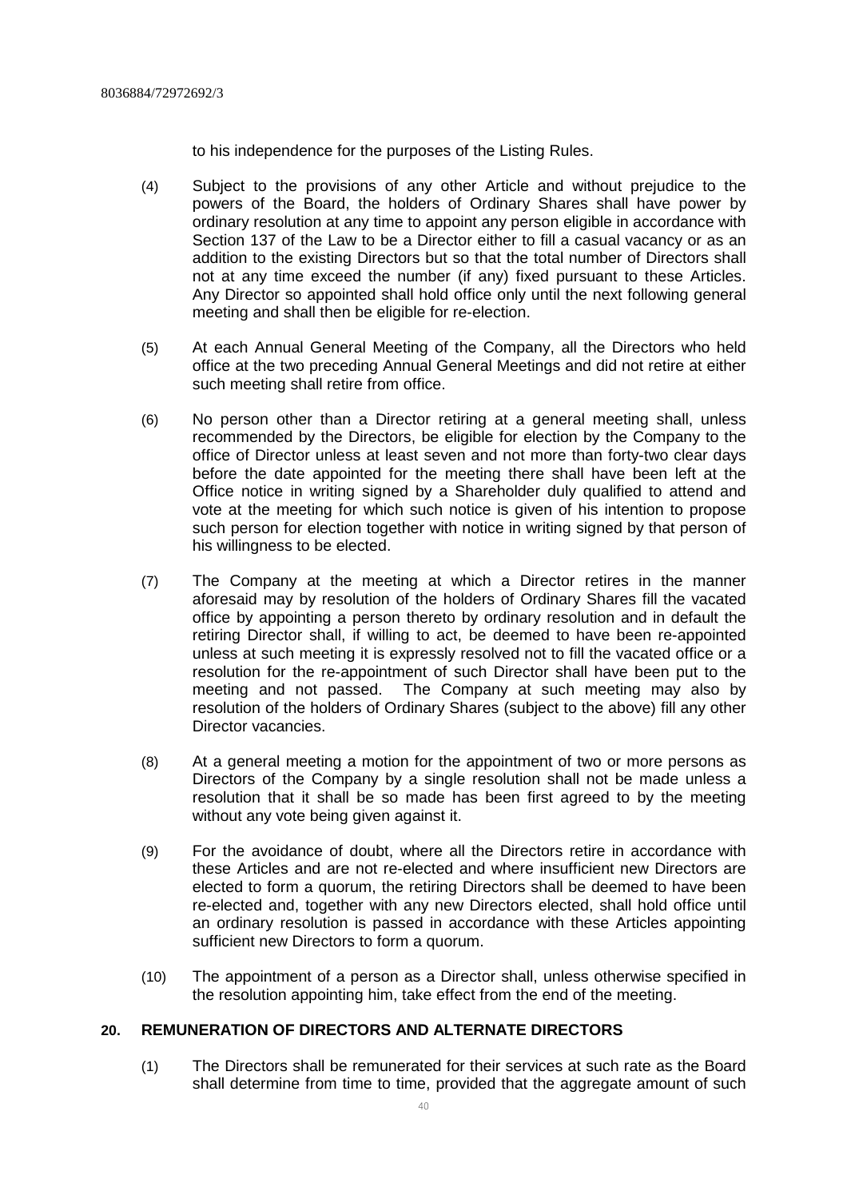to his independence for the purposes of the Listing Rules.

- (4) Subject to the provisions of any other Article and without prejudice to the powers of the Board, the holders of Ordinary Shares shall have power by ordinary resolution at any time to appoint any person eligible in accordance with Section 137 of the Law to be a Director either to fill a casual vacancy or as an addition to the existing Directors but so that the total number of Directors shall not at any time exceed the number (if any) fixed pursuant to these Articles. Any Director so appointed shall hold office only until the next following general meeting and shall then be eligible for re-election.
- (5) At each Annual General Meeting of the Company, all the Directors who held office at the two preceding Annual General Meetings and did not retire at either such meeting shall retire from office.
- (6) No person other than a Director retiring at a general meeting shall, unless recommended by the Directors, be eligible for election by the Company to the office of Director unless at least seven and not more than forty-two clear days before the date appointed for the meeting there shall have been left at the Office notice in writing signed by a Shareholder duly qualified to attend and vote at the meeting for which such notice is given of his intention to propose such person for election together with notice in writing signed by that person of his willingness to be elected.
- (7) The Company at the meeting at which a Director retires in the manner aforesaid may by resolution of the holders of Ordinary Shares fill the vacated office by appointing a person thereto by ordinary resolution and in default the retiring Director shall, if willing to act, be deemed to have been re-appointed unless at such meeting it is expressly resolved not to fill the vacated office or a resolution for the re-appointment of such Director shall have been put to the meeting and not passed. The Company at such meeting may also by resolution of the holders of Ordinary Shares (subject to the above) fill any other Director vacancies.
- (8) At a general meeting a motion for the appointment of two or more persons as Directors of the Company by a single resolution shall not be made unless a resolution that it shall be so made has been first agreed to by the meeting without any vote being given against it.
- (9) For the avoidance of doubt, where all the Directors retire in accordance with these Articles and are not re-elected and where insufficient new Directors are elected to form a quorum, the retiring Directors shall be deemed to have been re-elected and, together with any new Directors elected, shall hold office until an ordinary resolution is passed in accordance with these Articles appointing sufficient new Directors to form a quorum.
- (10) The appointment of a person as a Director shall, unless otherwise specified in the resolution appointing him, take effect from the end of the meeting.

# **20. REMUNERATION OF DIRECTORS AND ALTERNATE DIRECTORS**

(1) The Directors shall be remunerated for their services at such rate as the Board shall determine from time to time, provided that the aggregate amount of such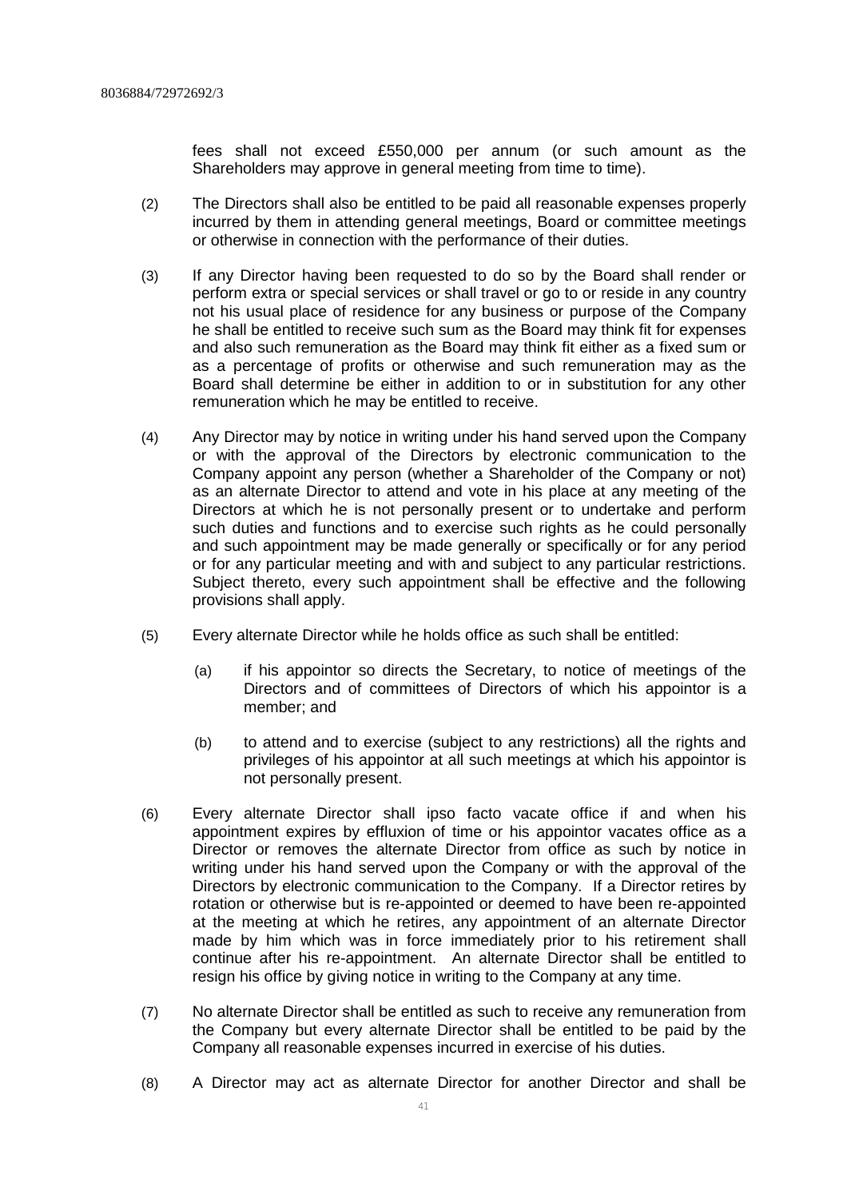fees shall not exceed £550,000 per annum (or such amount as the Shareholders may approve in general meeting from time to time).

- (2) The Directors shall also be entitled to be paid all reasonable expenses properly incurred by them in attending general meetings, Board or committee meetings or otherwise in connection with the performance of their duties.
- (3) If any Director having been requested to do so by the Board shall render or perform extra or special services or shall travel or go to or reside in any country not his usual place of residence for any business or purpose of the Company he shall be entitled to receive such sum as the Board may think fit for expenses and also such remuneration as the Board may think fit either as a fixed sum or as a percentage of profits or otherwise and such remuneration may as the Board shall determine be either in addition to or in substitution for any other remuneration which he may be entitled to receive.
- (4) Any Director may by notice in writing under his hand served upon the Company or with the approval of the Directors by electronic communication to the Company appoint any person (whether a Shareholder of the Company or not) as an alternate Director to attend and vote in his place at any meeting of the Directors at which he is not personally present or to undertake and perform such duties and functions and to exercise such rights as he could personally and such appointment may be made generally or specifically or for any period or for any particular meeting and with and subject to any particular restrictions. Subject thereto, every such appointment shall be effective and the following provisions shall apply.
- (5) Every alternate Director while he holds office as such shall be entitled:
	- (a) if his appointor so directs the Secretary, to notice of meetings of the Directors and of committees of Directors of which his appointor is a member; and
	- (b) to attend and to exercise (subject to any restrictions) all the rights and privileges of his appointor at all such meetings at which his appointor is not personally present.
- (6) Every alternate Director shall ipso facto vacate office if and when his appointment expires by effluxion of time or his appointor vacates office as a Director or removes the alternate Director from office as such by notice in writing under his hand served upon the Company or with the approval of the Directors by electronic communication to the Company. If a Director retires by rotation or otherwise but is re-appointed or deemed to have been re-appointed at the meeting at which he retires, any appointment of an alternate Director made by him which was in force immediately prior to his retirement shall continue after his re-appointment. An alternate Director shall be entitled to resign his office by giving notice in writing to the Company at any time.
- (7) No alternate Director shall be entitled as such to receive any remuneration from the Company but every alternate Director shall be entitled to be paid by the Company all reasonable expenses incurred in exercise of his duties.
- (8) A Director may act as alternate Director for another Director and shall be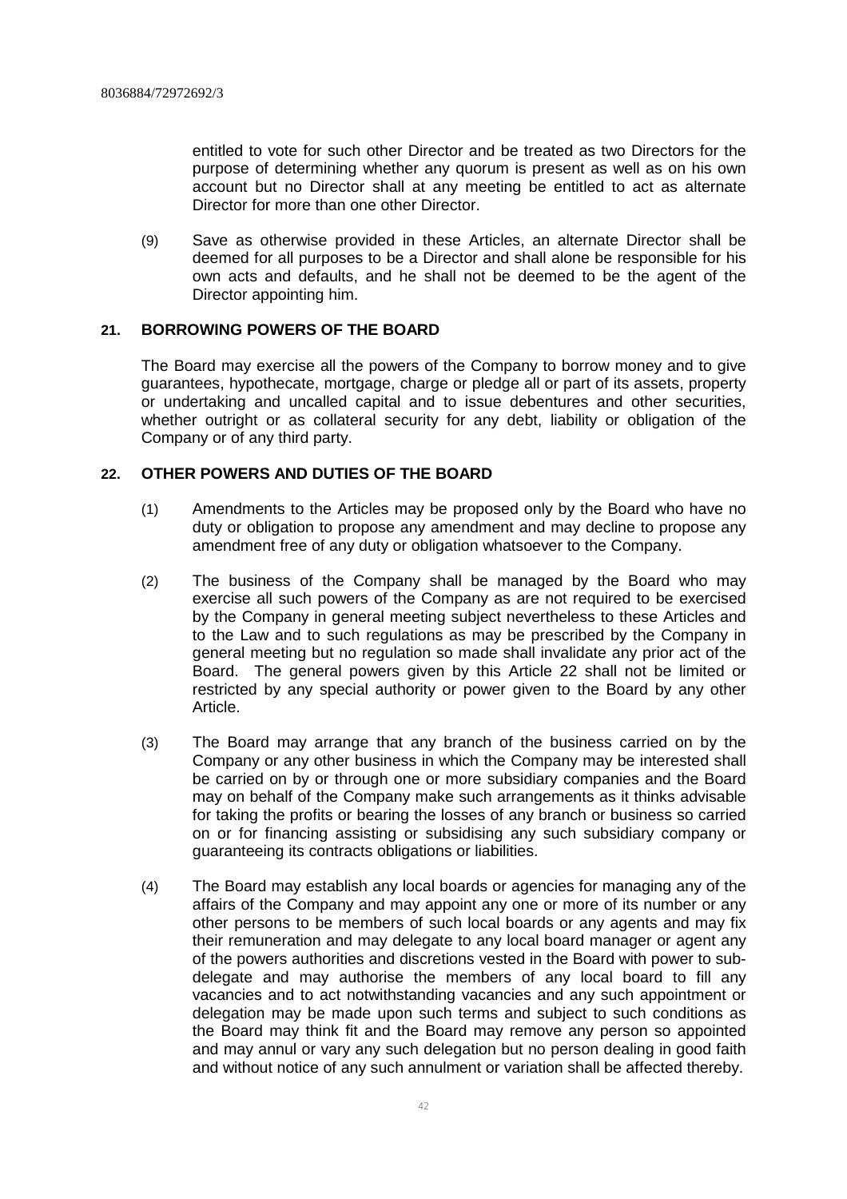entitled to vote for such other Director and be treated as two Directors for the purpose of determining whether any quorum is present as well as on his own account but no Director shall at any meeting be entitled to act as alternate Director for more than one other Director.

(9) Save as otherwise provided in these Articles, an alternate Director shall be deemed for all purposes to be a Director and shall alone be responsible for his own acts and defaults, and he shall not be deemed to be the agent of the Director appointing him.

# **21. BORROWING POWERS OF THE BOARD**

The Board may exercise all the powers of the Company to borrow money and to give guarantees, hypothecate, mortgage, charge or pledge all or part of its assets, property or undertaking and uncalled capital and to issue debentures and other securities, whether outright or as collateral security for any debt, liability or obligation of the Company or of any third party.

# **22. OTHER POWERS AND DUTIES OF THE BOARD**

- (1) Amendments to the Articles may be proposed only by the Board who have no duty or obligation to propose any amendment and may decline to propose any amendment free of any duty or obligation whatsoever to the Company.
- (2) The business of the Company shall be managed by the Board who may exercise all such powers of the Company as are not required to be exercised by the Company in general meeting subject nevertheless to these Articles and to the Law and to such regulations as may be prescribed by the Company in general meeting but no regulation so made shall invalidate any prior act of the Board. The general powers given by this Article 22 shall not be limited or restricted by any special authority or power given to the Board by any other Article.
- (3) The Board may arrange that any branch of the business carried on by the Company or any other business in which the Company may be interested shall be carried on by or through one or more subsidiary companies and the Board may on behalf of the Company make such arrangements as it thinks advisable for taking the profits or bearing the losses of any branch or business so carried on or for financing assisting or subsidising any such subsidiary company or guaranteeing its contracts obligations or liabilities.
- (4) The Board may establish any local boards or agencies for managing any of the affairs of the Company and may appoint any one or more of its number or any other persons to be members of such local boards or any agents and may fix their remuneration and may delegate to any local board manager or agent any of the powers authorities and discretions vested in the Board with power to subdelegate and may authorise the members of any local board to fill any vacancies and to act notwithstanding vacancies and any such appointment or delegation may be made upon such terms and subject to such conditions as the Board may think fit and the Board may remove any person so appointed and may annul or vary any such delegation but no person dealing in good faith and without notice of any such annulment or variation shall be affected thereby.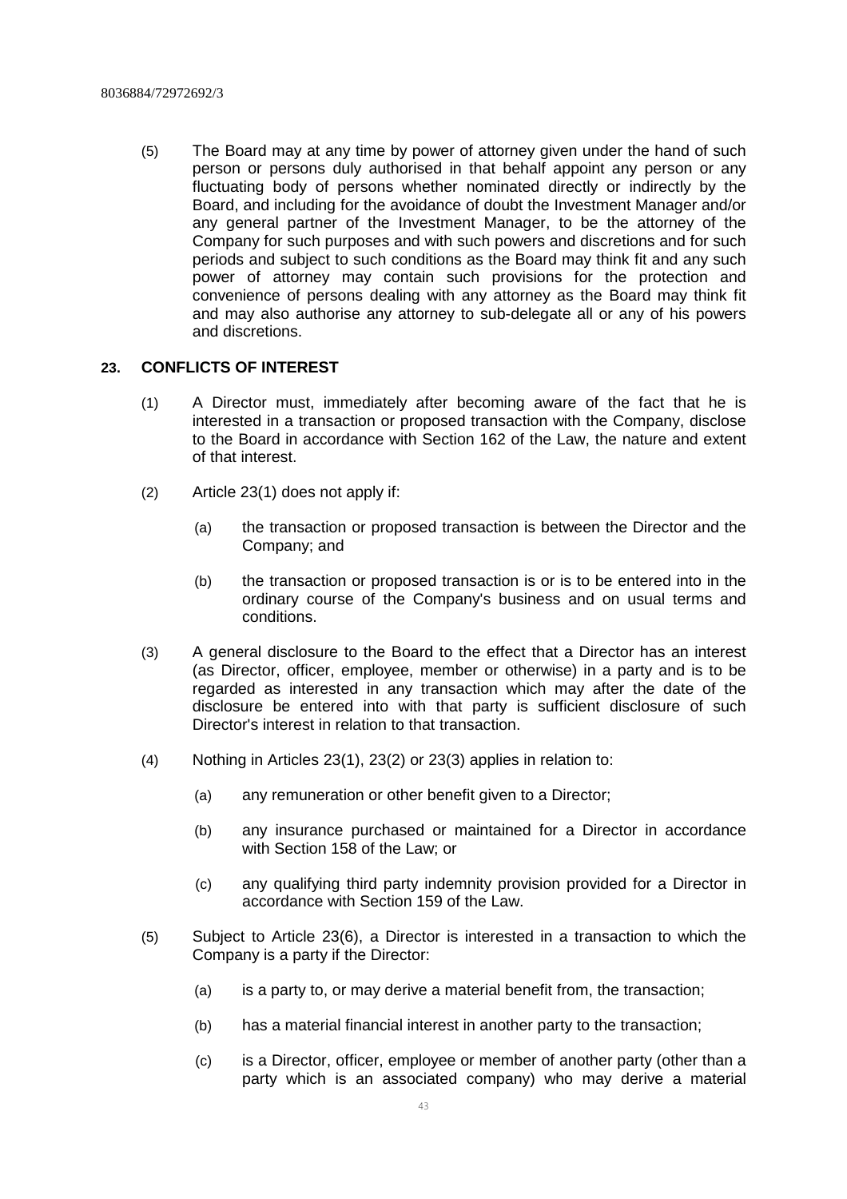(5) The Board may at any time by power of attorney given under the hand of such person or persons duly authorised in that behalf appoint any person or any fluctuating body of persons whether nominated directly or indirectly by the Board, and including for the avoidance of doubt the Investment Manager and/or any general partner of the Investment Manager, to be the attorney of the Company for such purposes and with such powers and discretions and for such periods and subject to such conditions as the Board may think fit and any such power of attorney may contain such provisions for the protection and convenience of persons dealing with any attorney as the Board may think fit and may also authorise any attorney to sub-delegate all or any of his powers and discretions.

# **23. CONFLICTS OF INTEREST**

- (1) A Director must, immediately after becoming aware of the fact that he is interested in a transaction or proposed transaction with the Company, disclose to the Board in accordance with Section 162 of the Law, the nature and extent of that interest.
- (2) Article 23(1) does not apply if:
	- (a) the transaction or proposed transaction is between the Director and the Company; and
	- (b) the transaction or proposed transaction is or is to be entered into in the ordinary course of the Company's business and on usual terms and conditions.
- (3) A general disclosure to the Board to the effect that a Director has an interest (as Director, officer, employee, member or otherwise) in a party and is to be regarded as interested in any transaction which may after the date of the disclosure be entered into with that party is sufficient disclosure of such Director's interest in relation to that transaction.
- (4) Nothing in Articles 23(1), 23(2) or 23(3) applies in relation to:
	- (a) any remuneration or other benefit given to a Director;
	- (b) any insurance purchased or maintained for a Director in accordance with Section 158 of the Law; or
	- (c) any qualifying third party indemnity provision provided for a Director in accordance with Section 159 of the Law.
- (5) Subject to Article 23(6), a Director is interested in a transaction to which the Company is a party if the Director:
	- (a) is a party to, or may derive a material benefit from, the transaction;
	- (b) has a material financial interest in another party to the transaction;
	- (c) is a Director, officer, employee or member of another party (other than a party which is an associated company) who may derive a material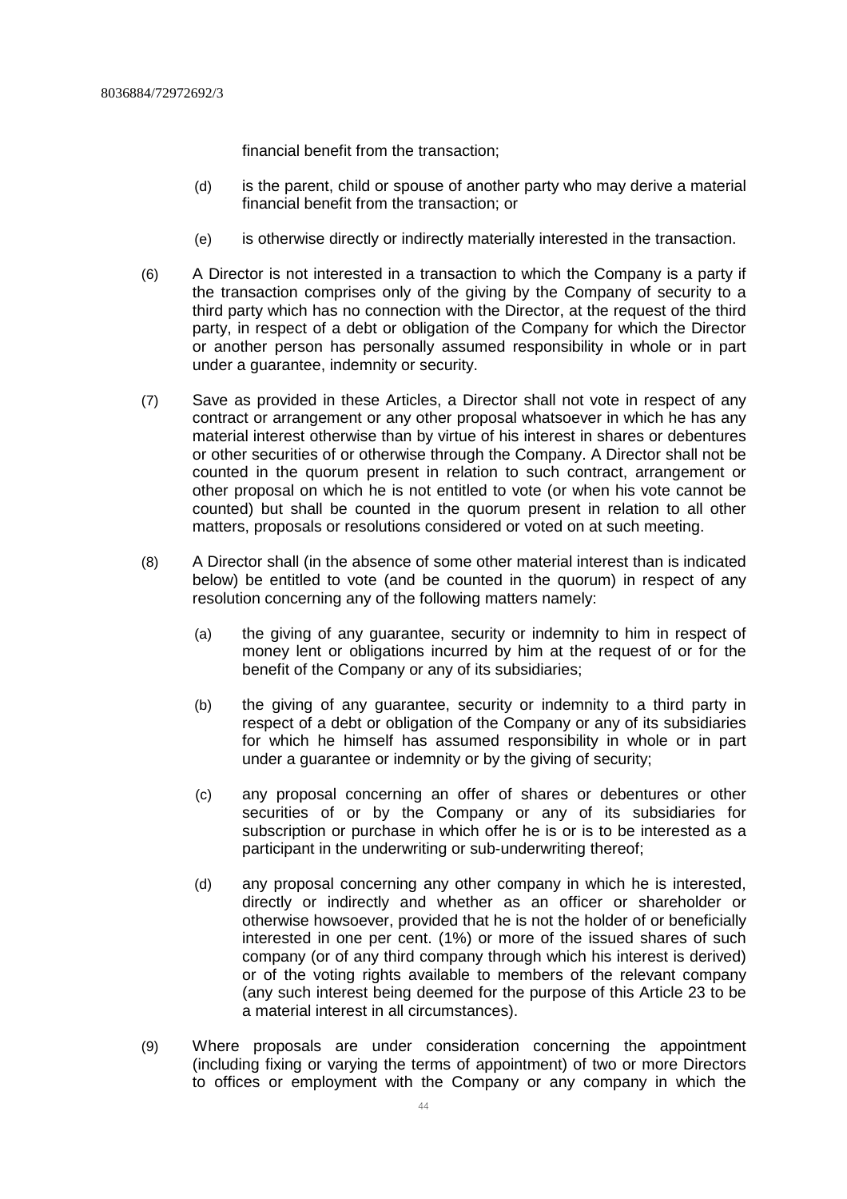financial benefit from the transaction;

- (d) is the parent, child or spouse of another party who may derive a material financial benefit from the transaction; or
- (e) is otherwise directly or indirectly materially interested in the transaction.
- (6) A Director is not interested in a transaction to which the Company is a party if the transaction comprises only of the giving by the Company of security to a third party which has no connection with the Director, at the request of the third party, in respect of a debt or obligation of the Company for which the Director or another person has personally assumed responsibility in whole or in part under a guarantee, indemnity or security.
- (7) Save as provided in these Articles, a Director shall not vote in respect of any contract or arrangement or any other proposal whatsoever in which he has any material interest otherwise than by virtue of his interest in shares or debentures or other securities of or otherwise through the Company. A Director shall not be counted in the quorum present in relation to such contract, arrangement or other proposal on which he is not entitled to vote (or when his vote cannot be counted) but shall be counted in the quorum present in relation to all other matters, proposals or resolutions considered or voted on at such meeting.
- (8) A Director shall (in the absence of some other material interest than is indicated below) be entitled to vote (and be counted in the quorum) in respect of any resolution concerning any of the following matters namely:
	- (a) the giving of any guarantee, security or indemnity to him in respect of money lent or obligations incurred by him at the request of or for the benefit of the Company or any of its subsidiaries;
	- (b) the giving of any guarantee, security or indemnity to a third party in respect of a debt or obligation of the Company or any of its subsidiaries for which he himself has assumed responsibility in whole or in part under a guarantee or indemnity or by the giving of security;
	- (c) any proposal concerning an offer of shares or debentures or other securities of or by the Company or any of its subsidiaries for subscription or purchase in which offer he is or is to be interested as a participant in the underwriting or sub-underwriting thereof;
	- (d) any proposal concerning any other company in which he is interested, directly or indirectly and whether as an officer or shareholder or otherwise howsoever, provided that he is not the holder of or beneficially interested in one per cent. (1%) or more of the issued shares of such company (or of any third company through which his interest is derived) or of the voting rights available to members of the relevant company (any such interest being deemed for the purpose of this Article 23 to be a material interest in all circumstances).
- (9) Where proposals are under consideration concerning the appointment (including fixing or varying the terms of appointment) of two or more Directors to offices or employment with the Company or any company in which the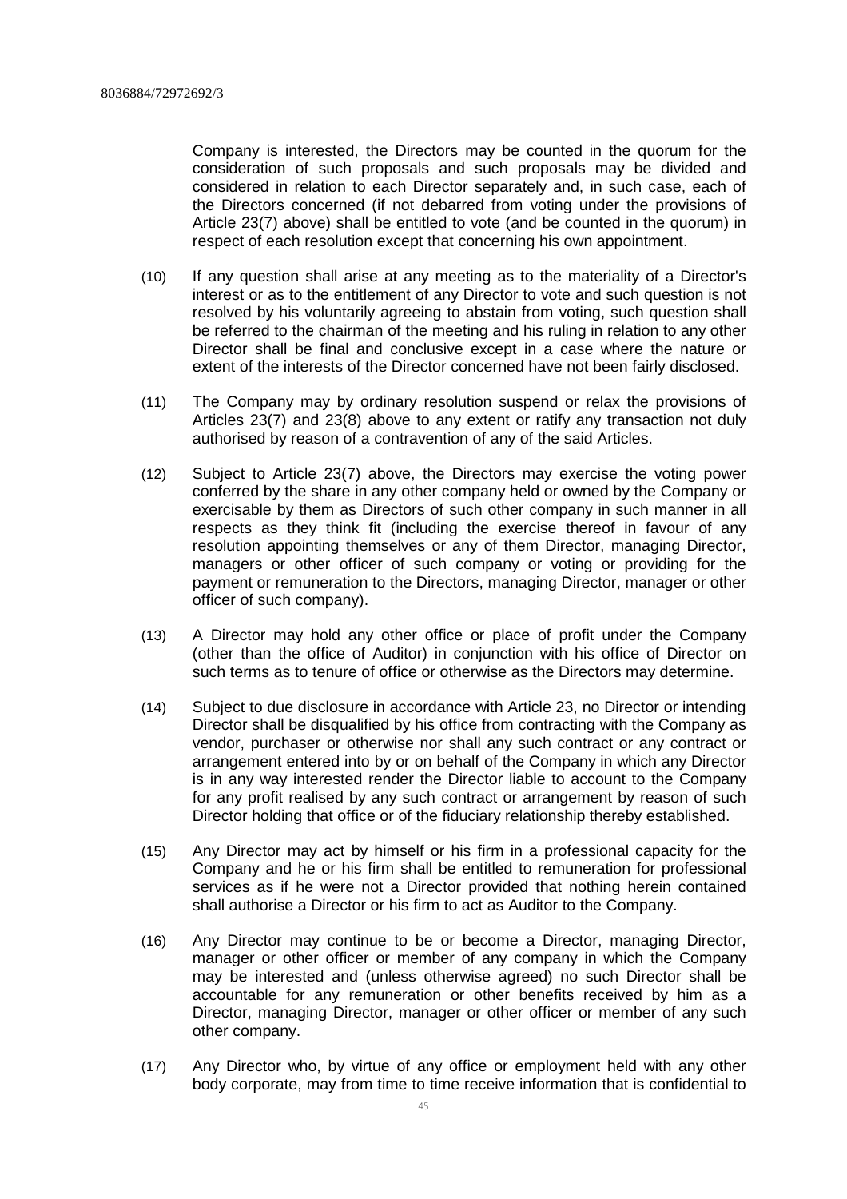Company is interested, the Directors may be counted in the quorum for the consideration of such proposals and such proposals may be divided and considered in relation to each Director separately and, in such case, each of the Directors concerned (if not debarred from voting under the provisions of Article 23(7) above) shall be entitled to vote (and be counted in the quorum) in respect of each resolution except that concerning his own appointment.

- (10) If any question shall arise at any meeting as to the materiality of a Director's interest or as to the entitlement of any Director to vote and such question is not resolved by his voluntarily agreeing to abstain from voting, such question shall be referred to the chairman of the meeting and his ruling in relation to any other Director shall be final and conclusive except in a case where the nature or extent of the interests of the Director concerned have not been fairly disclosed.
- (11) The Company may by ordinary resolution suspend or relax the provisions of Articles 23(7) and 23(8) above to any extent or ratify any transaction not duly authorised by reason of a contravention of any of the said Articles.
- (12) Subject to Article 23(7) above, the Directors may exercise the voting power conferred by the share in any other company held or owned by the Company or exercisable by them as Directors of such other company in such manner in all respects as they think fit (including the exercise thereof in favour of any resolution appointing themselves or any of them Director, managing Director, managers or other officer of such company or voting or providing for the payment or remuneration to the Directors, managing Director, manager or other officer of such company).
- (13) A Director may hold any other office or place of profit under the Company (other than the office of Auditor) in conjunction with his office of Director on such terms as to tenure of office or otherwise as the Directors may determine.
- (14) Subject to due disclosure in accordance with Article 23, no Director or intending Director shall be disqualified by his office from contracting with the Company as vendor, purchaser or otherwise nor shall any such contract or any contract or arrangement entered into by or on behalf of the Company in which any Director is in any way interested render the Director liable to account to the Company for any profit realised by any such contract or arrangement by reason of such Director holding that office or of the fiduciary relationship thereby established.
- (15) Any Director may act by himself or his firm in a professional capacity for the Company and he or his firm shall be entitled to remuneration for professional services as if he were not a Director provided that nothing herein contained shall authorise a Director or his firm to act as Auditor to the Company.
- (16) Any Director may continue to be or become a Director, managing Director, manager or other officer or member of any company in which the Company may be interested and (unless otherwise agreed) no such Director shall be accountable for any remuneration or other benefits received by him as a Director, managing Director, manager or other officer or member of any such other company.
- (17) Any Director who, by virtue of any office or employment held with any other body corporate, may from time to time receive information that is confidential to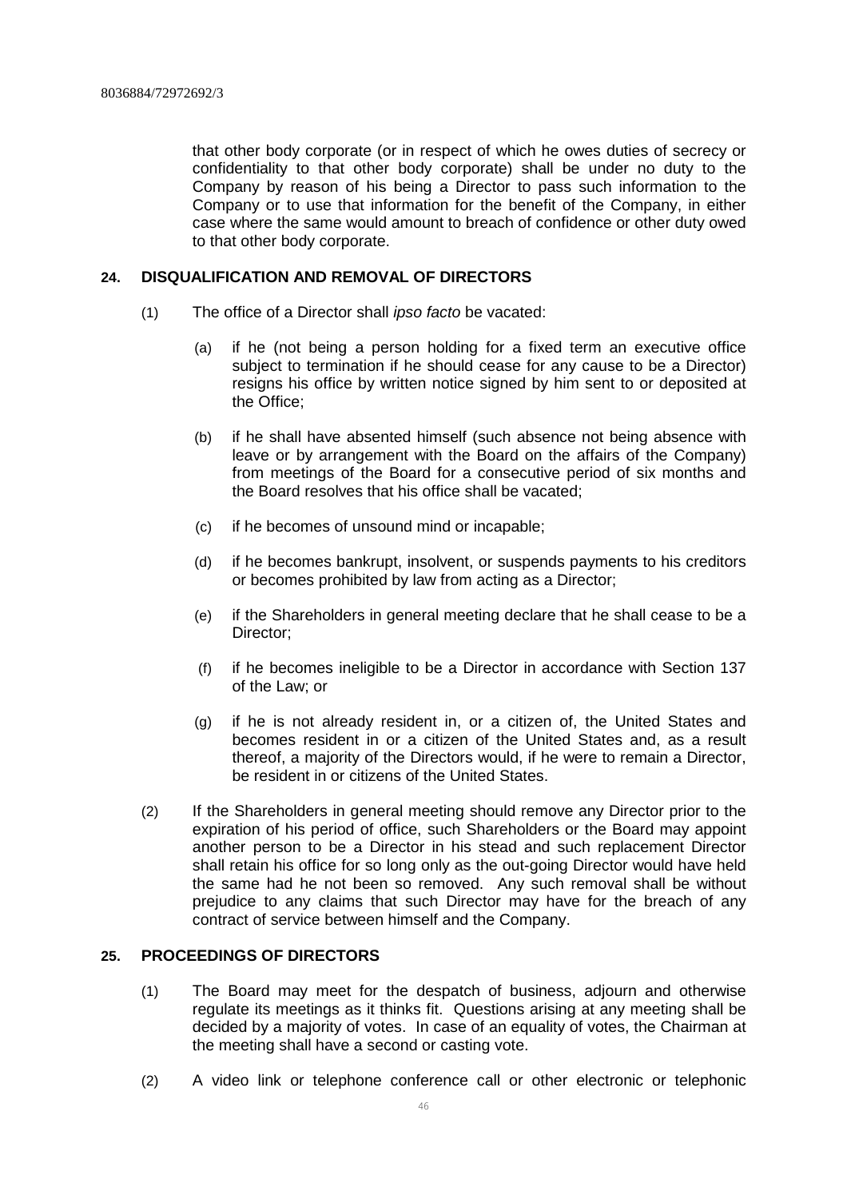that other body corporate (or in respect of which he owes duties of secrecy or confidentiality to that other body corporate) shall be under no duty to the Company by reason of his being a Director to pass such information to the Company or to use that information for the benefit of the Company, in either case where the same would amount to breach of confidence or other duty owed to that other body corporate.

#### **24. DISQUALIFICATION AND REMOVAL OF DIRECTORS**

- (1) The office of a Director shall *ipso facto* be vacated:
	- (a) if he (not being a person holding for a fixed term an executive office subject to termination if he should cease for any cause to be a Director) resigns his office by written notice signed by him sent to or deposited at the Office;
	- (b) if he shall have absented himself (such absence not being absence with leave or by arrangement with the Board on the affairs of the Company) from meetings of the Board for a consecutive period of six months and the Board resolves that his office shall be vacated;
	- (c) if he becomes of unsound mind or incapable;
	- (d) if he becomes bankrupt, insolvent, or suspends payments to his creditors or becomes prohibited by law from acting as a Director;
	- (e) if the Shareholders in general meeting declare that he shall cease to be a Director;
	- (f) if he becomes ineligible to be a Director in accordance with Section 137 of the Law; or
	- (g) if he is not already resident in, or a citizen of, the United States and becomes resident in or a citizen of the United States and, as a result thereof, a majority of the Directors would, if he were to remain a Director, be resident in or citizens of the United States.
- (2) If the Shareholders in general meeting should remove any Director prior to the expiration of his period of office, such Shareholders or the Board may appoint another person to be a Director in his stead and such replacement Director shall retain his office for so long only as the out-going Director would have held the same had he not been so removed. Any such removal shall be without prejudice to any claims that such Director may have for the breach of any contract of service between himself and the Company.

#### **25. PROCEEDINGS OF DIRECTORS**

- (1) The Board may meet for the despatch of business, adjourn and otherwise regulate its meetings as it thinks fit. Questions arising at any meeting shall be decided by a majority of votes. In case of an equality of votes, the Chairman at the meeting shall have a second or casting vote.
- (2) A video link or telephone conference call or other electronic or telephonic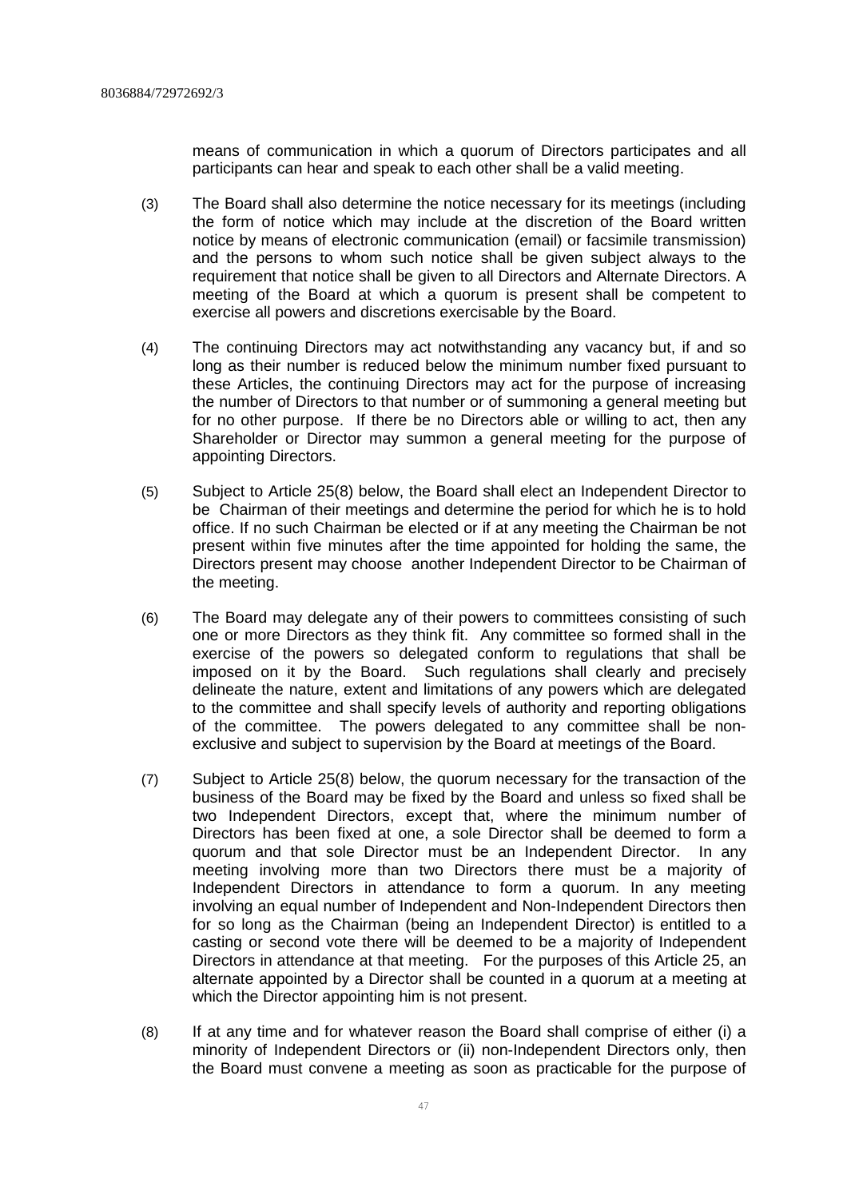means of communication in which a quorum of Directors participates and all participants can hear and speak to each other shall be a valid meeting.

- (3) The Board shall also determine the notice necessary for its meetings (including the form of notice which may include at the discretion of the Board written notice by means of electronic communication (email) or facsimile transmission) and the persons to whom such notice shall be given subject always to the requirement that notice shall be given to all Directors and Alternate Directors. A meeting of the Board at which a quorum is present shall be competent to exercise all powers and discretions exercisable by the Board.
- (4) The continuing Directors may act notwithstanding any vacancy but, if and so long as their number is reduced below the minimum number fixed pursuant to these Articles, the continuing Directors may act for the purpose of increasing the number of Directors to that number or of summoning a general meeting but for no other purpose. If there be no Directors able or willing to act, then any Shareholder or Director may summon a general meeting for the purpose of appointing Directors.
- (5) Subject to Article 25(8) below, the Board shall elect an Independent Director to be Chairman of their meetings and determine the period for which he is to hold office. If no such Chairman be elected or if at any meeting the Chairman be not present within five minutes after the time appointed for holding the same, the Directors present may choose another Independent Director to be Chairman of the meeting.
- (6) The Board may delegate any of their powers to committees consisting of such one or more Directors as they think fit. Any committee so formed shall in the exercise of the powers so delegated conform to regulations that shall be imposed on it by the Board. Such regulations shall clearly and precisely delineate the nature, extent and limitations of any powers which are delegated to the committee and shall specify levels of authority and reporting obligations of the committee. The powers delegated to any committee shall be nonexclusive and subject to supervision by the Board at meetings of the Board.
- (7) Subject to Article 25(8) below, the quorum necessary for the transaction of the business of the Board may be fixed by the Board and unless so fixed shall be two Independent Directors, except that, where the minimum number of Directors has been fixed at one, a sole Director shall be deemed to form a quorum and that sole Director must be an Independent Director. In any meeting involving more than two Directors there must be a majority of Independent Directors in attendance to form a quorum. In any meeting involving an equal number of Independent and Non-Independent Directors then for so long as the Chairman (being an Independent Director) is entitled to a casting or second vote there will be deemed to be a majority of Independent Directors in attendance at that meeting. For the purposes of this Article 25, an alternate appointed by a Director shall be counted in a quorum at a meeting at which the Director appointing him is not present.
- (8) If at any time and for whatever reason the Board shall comprise of either (i) a minority of Independent Directors or (ii) non-Independent Directors only, then the Board must convene a meeting as soon as practicable for the purpose of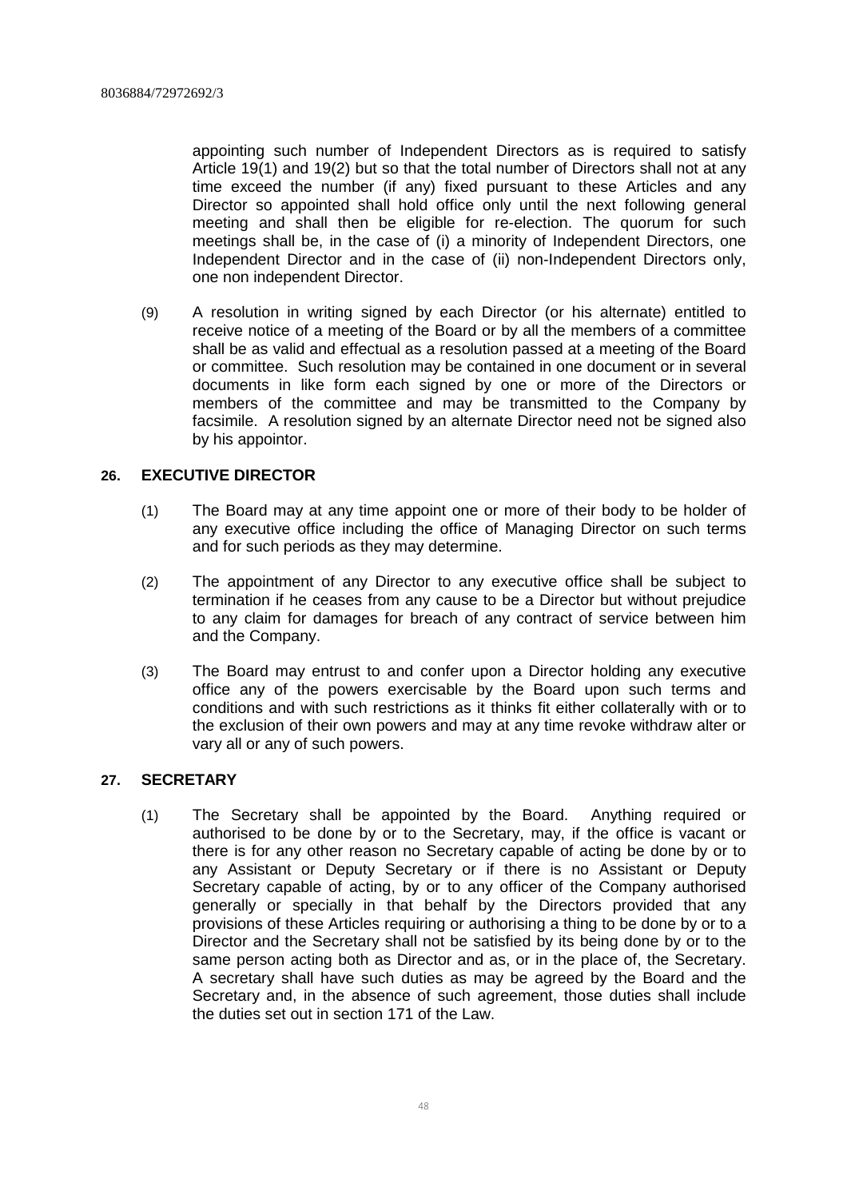appointing such number of Independent Directors as is required to satisfy Article 19(1) and 19(2) but so that the total number of Directors shall not at any time exceed the number (if any) fixed pursuant to these Articles and any Director so appointed shall hold office only until the next following general meeting and shall then be eligible for re-election. The quorum for such meetings shall be, in the case of (i) a minority of Independent Directors, one Independent Director and in the case of (ii) non-Independent Directors only, one non independent Director.

(9) A resolution in writing signed by each Director (or his alternate) entitled to receive notice of a meeting of the Board or by all the members of a committee shall be as valid and effectual as a resolution passed at a meeting of the Board or committee. Such resolution may be contained in one document or in several documents in like form each signed by one or more of the Directors or members of the committee and may be transmitted to the Company by facsimile. A resolution signed by an alternate Director need not be signed also by his appointor.

# **26. EXECUTIVE DIRECTOR**

- (1) The Board may at any time appoint one or more of their body to be holder of any executive office including the office of Managing Director on such terms and for such periods as they may determine.
- (2) The appointment of any Director to any executive office shall be subject to termination if he ceases from any cause to be a Director but without prejudice to any claim for damages for breach of any contract of service between him and the Company.
- (3) The Board may entrust to and confer upon a Director holding any executive office any of the powers exercisable by the Board upon such terms and conditions and with such restrictions as it thinks fit either collaterally with or to the exclusion of their own powers and may at any time revoke withdraw alter or vary all or any of such powers.

# **27. SECRETARY**

(1) The Secretary shall be appointed by the Board. Anything required or authorised to be done by or to the Secretary, may, if the office is vacant or there is for any other reason no Secretary capable of acting be done by or to any Assistant or Deputy Secretary or if there is no Assistant or Deputy Secretary capable of acting, by or to any officer of the Company authorised generally or specially in that behalf by the Directors provided that any provisions of these Articles requiring or authorising a thing to be done by or to a Director and the Secretary shall not be satisfied by its being done by or to the same person acting both as Director and as, or in the place of, the Secretary. A secretary shall have such duties as may be agreed by the Board and the Secretary and, in the absence of such agreement, those duties shall include the duties set out in section 171 of the Law.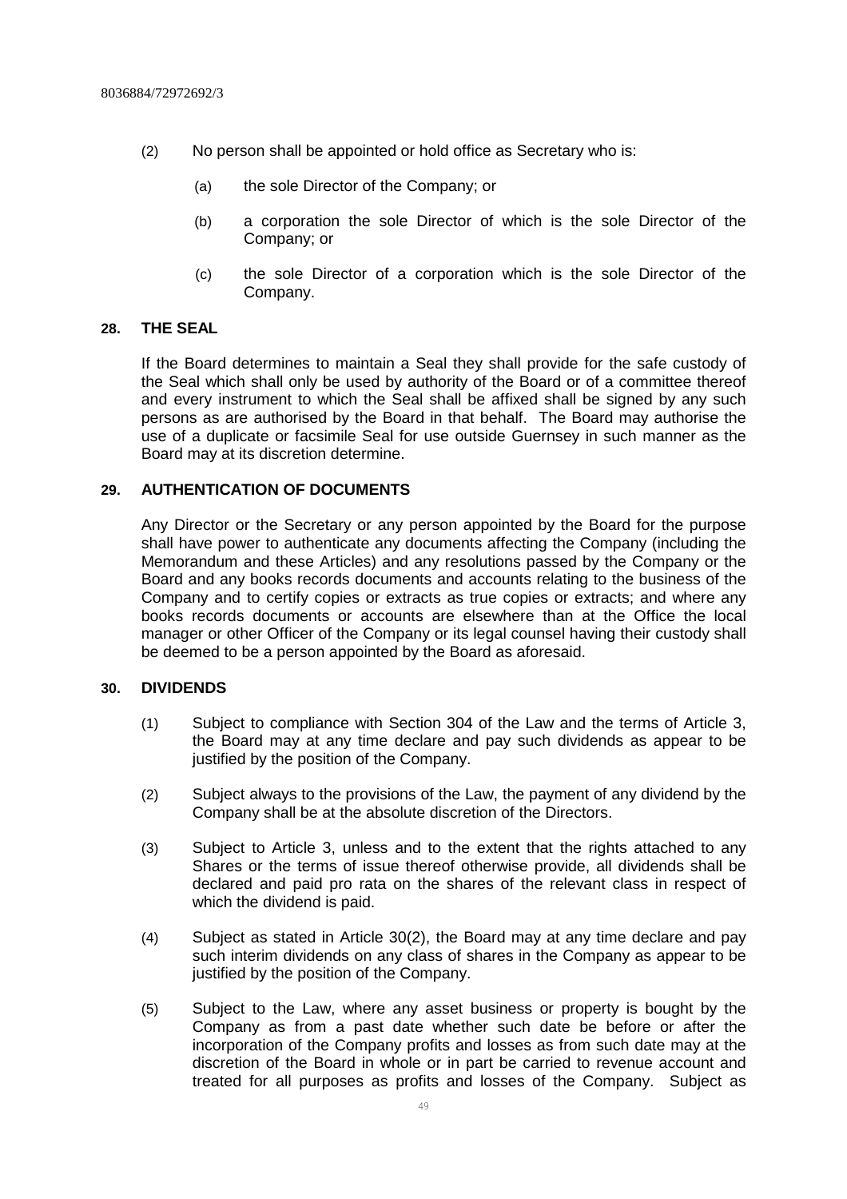- (2) No person shall be appointed or hold office as Secretary who is:
	- (a) the sole Director of the Company; or
	- (b) a corporation the sole Director of which is the sole Director of the Company; or
	- (c) the sole Director of a corporation which is the sole Director of the Company.

#### **28. THE SEAL**

If the Board determines to maintain a Seal they shall provide for the safe custody of the Seal which shall only be used by authority of the Board or of a committee thereof and every instrument to which the Seal shall be affixed shall be signed by any such persons as are authorised by the Board in that behalf. The Board may authorise the use of a duplicate or facsimile Seal for use outside Guernsey in such manner as the Board may at its discretion determine.

#### **29. AUTHENTICATION OF DOCUMENTS**

Any Director or the Secretary or any person appointed by the Board for the purpose shall have power to authenticate any documents affecting the Company (including the Memorandum and these Articles) and any resolutions passed by the Company or the Board and any books records documents and accounts relating to the business of the Company and to certify copies or extracts as true copies or extracts; and where any books records documents or accounts are elsewhere than at the Office the local manager or other Officer of the Company or its legal counsel having their custody shall be deemed to be a person appointed by the Board as aforesaid.

#### **30. DIVIDENDS**

- (1) Subject to compliance with Section 304 of the Law and the terms of Article 3, the Board may at any time declare and pay such dividends as appear to be justified by the position of the Company.
- (2) Subject always to the provisions of the Law, the payment of any dividend by the Company shall be at the absolute discretion of the Directors.
- (3) Subject to Article 3, unless and to the extent that the rights attached to any Shares or the terms of issue thereof otherwise provide, all dividends shall be declared and paid pro rata on the shares of the relevant class in respect of which the dividend is paid.
- (4) Subject as stated in Article 30(2), the Board may at any time declare and pay such interim dividends on any class of shares in the Company as appear to be justified by the position of the Company.
- (5) Subject to the Law, where any asset business or property is bought by the Company as from a past date whether such date be before or after the incorporation of the Company profits and losses as from such date may at the discretion of the Board in whole or in part be carried to revenue account and treated for all purposes as profits and losses of the Company. Subject as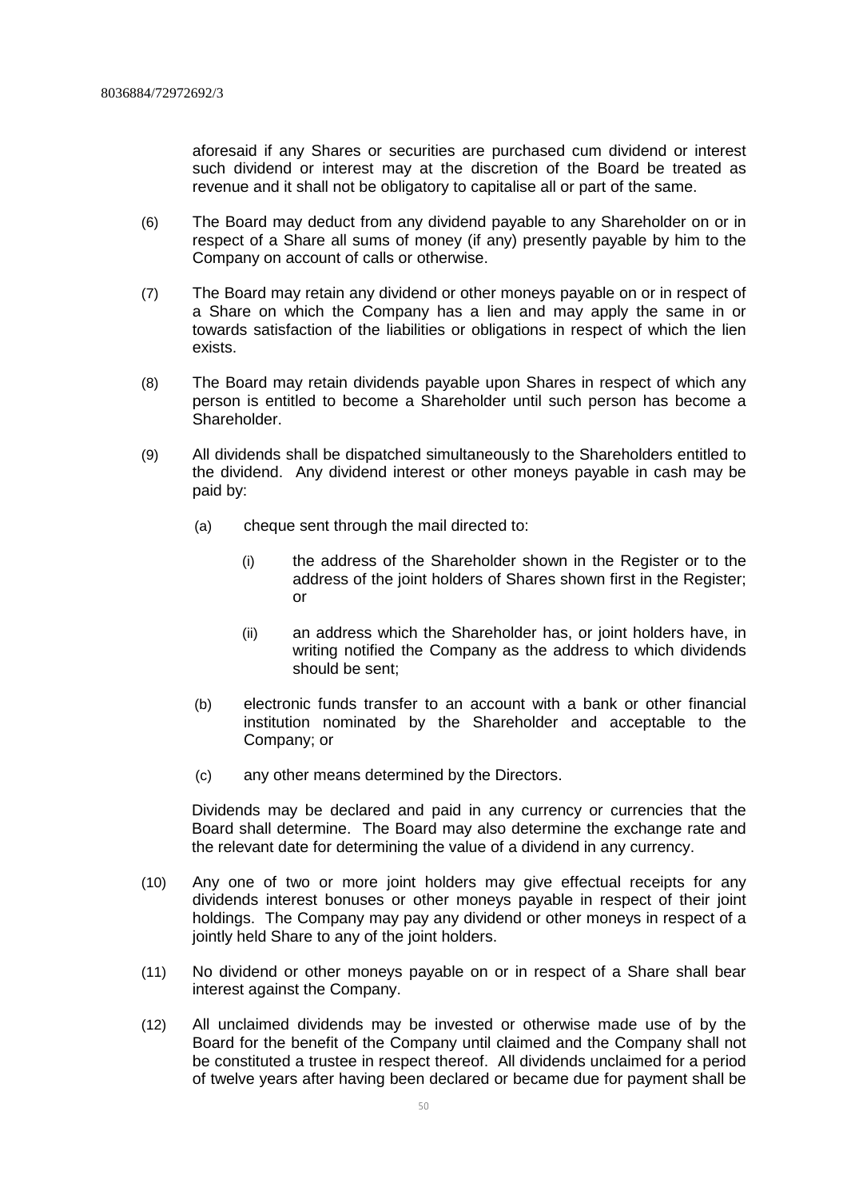aforesaid if any Shares or securities are purchased cum dividend or interest such dividend or interest may at the discretion of the Board be treated as revenue and it shall not be obligatory to capitalise all or part of the same.

- (6) The Board may deduct from any dividend payable to any Shareholder on or in respect of a Share all sums of money (if any) presently payable by him to the Company on account of calls or otherwise.
- (7) The Board may retain any dividend or other moneys payable on or in respect of a Share on which the Company has a lien and may apply the same in or towards satisfaction of the liabilities or obligations in respect of which the lien exists.
- (8) The Board may retain dividends payable upon Shares in respect of which any person is entitled to become a Shareholder until such person has become a Shareholder.
- (9) All dividends shall be dispatched simultaneously to the Shareholders entitled to the dividend. Any dividend interest or other moneys payable in cash may be paid by:
	- (a) cheque sent through the mail directed to:
		- (i) the address of the Shareholder shown in the Register or to the address of the joint holders of Shares shown first in the Register; or
		- (ii) an address which the Shareholder has, or joint holders have, in writing notified the Company as the address to which dividends should be sent;
	- (b) electronic funds transfer to an account with a bank or other financial institution nominated by the Shareholder and acceptable to the Company; or
	- (c) any other means determined by the Directors.

Dividends may be declared and paid in any currency or currencies that the Board shall determine. The Board may also determine the exchange rate and the relevant date for determining the value of a dividend in any currency.

- (10) Any one of two or more joint holders may give effectual receipts for any dividends interest bonuses or other moneys payable in respect of their joint holdings. The Company may pay any dividend or other moneys in respect of a jointly held Share to any of the joint holders.
- (11) No dividend or other moneys payable on or in respect of a Share shall bear interest against the Company.
- (12) All unclaimed dividends may be invested or otherwise made use of by the Board for the benefit of the Company until claimed and the Company shall not be constituted a trustee in respect thereof. All dividends unclaimed for a period of twelve years after having been declared or became due for payment shall be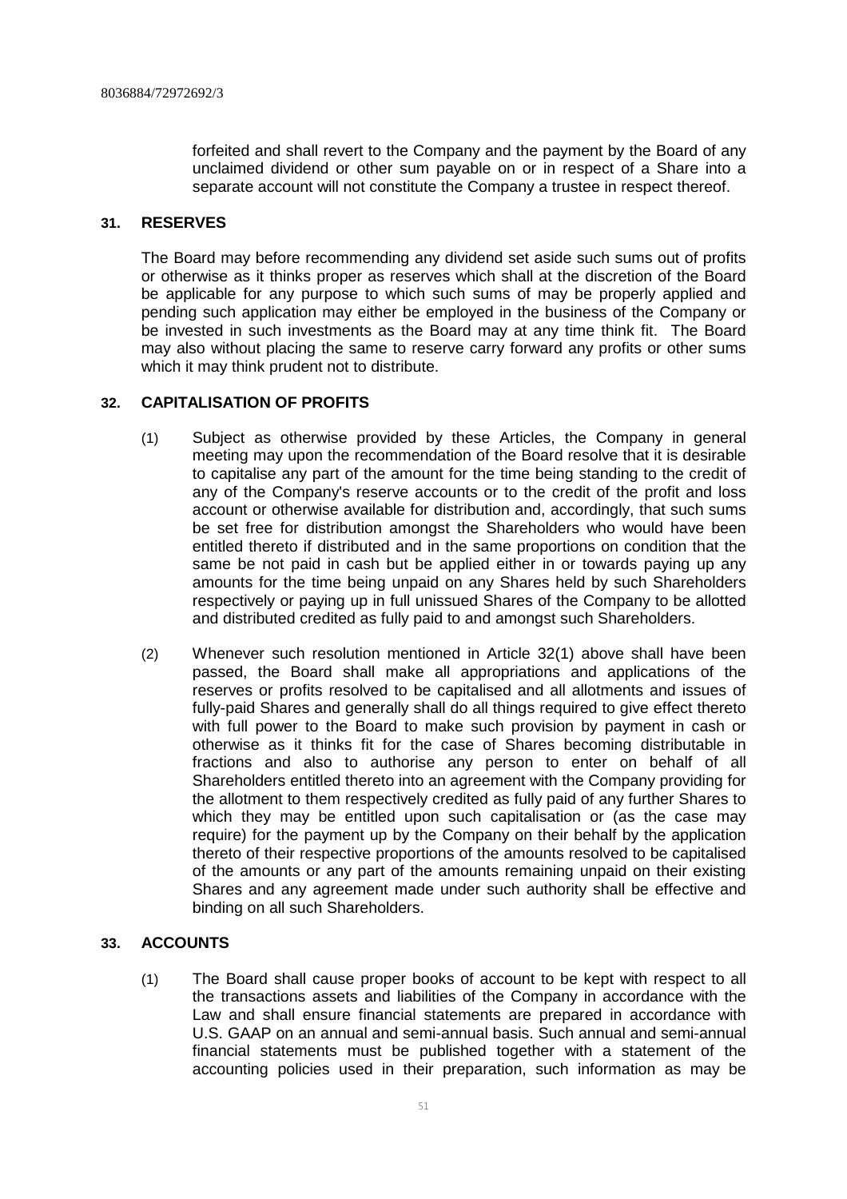forfeited and shall revert to the Company and the payment by the Board of any unclaimed dividend or other sum payable on or in respect of a Share into a separate account will not constitute the Company a trustee in respect thereof.

#### **31. RESERVES**

The Board may before recommending any dividend set aside such sums out of profits or otherwise as it thinks proper as reserves which shall at the discretion of the Board be applicable for any purpose to which such sums of may be properly applied and pending such application may either be employed in the business of the Company or be invested in such investments as the Board may at any time think fit. The Board may also without placing the same to reserve carry forward any profits or other sums which it may think prudent not to distribute.

# **32. CAPITALISATION OF PROFITS**

- (1) Subject as otherwise provided by these Articles, the Company in general meeting may upon the recommendation of the Board resolve that it is desirable to capitalise any part of the amount for the time being standing to the credit of any of the Company's reserve accounts or to the credit of the profit and loss account or otherwise available for distribution and, accordingly, that such sums be set free for distribution amongst the Shareholders who would have been entitled thereto if distributed and in the same proportions on condition that the same be not paid in cash but be applied either in or towards paying up any amounts for the time being unpaid on any Shares held by such Shareholders respectively or paying up in full unissued Shares of the Company to be allotted and distributed credited as fully paid to and amongst such Shareholders.
- (2) Whenever such resolution mentioned in Article 32(1) above shall have been passed, the Board shall make all appropriations and applications of the reserves or profits resolved to be capitalised and all allotments and issues of fully-paid Shares and generally shall do all things required to give effect thereto with full power to the Board to make such provision by payment in cash or otherwise as it thinks fit for the case of Shares becoming distributable in fractions and also to authorise any person to enter on behalf of all Shareholders entitled thereto into an agreement with the Company providing for the allotment to them respectively credited as fully paid of any further Shares to which they may be entitled upon such capitalisation or (as the case may require) for the payment up by the Company on their behalf by the application thereto of their respective proportions of the amounts resolved to be capitalised of the amounts or any part of the amounts remaining unpaid on their existing Shares and any agreement made under such authority shall be effective and binding on all such Shareholders.

# **33. ACCOUNTS**

(1) The Board shall cause proper books of account to be kept with respect to all the transactions assets and liabilities of the Company in accordance with the Law and shall ensure financial statements are prepared in accordance with U.S. GAAP on an annual and semi-annual basis. Such annual and semi-annual financial statements must be published together with a statement of the accounting policies used in their preparation, such information as may be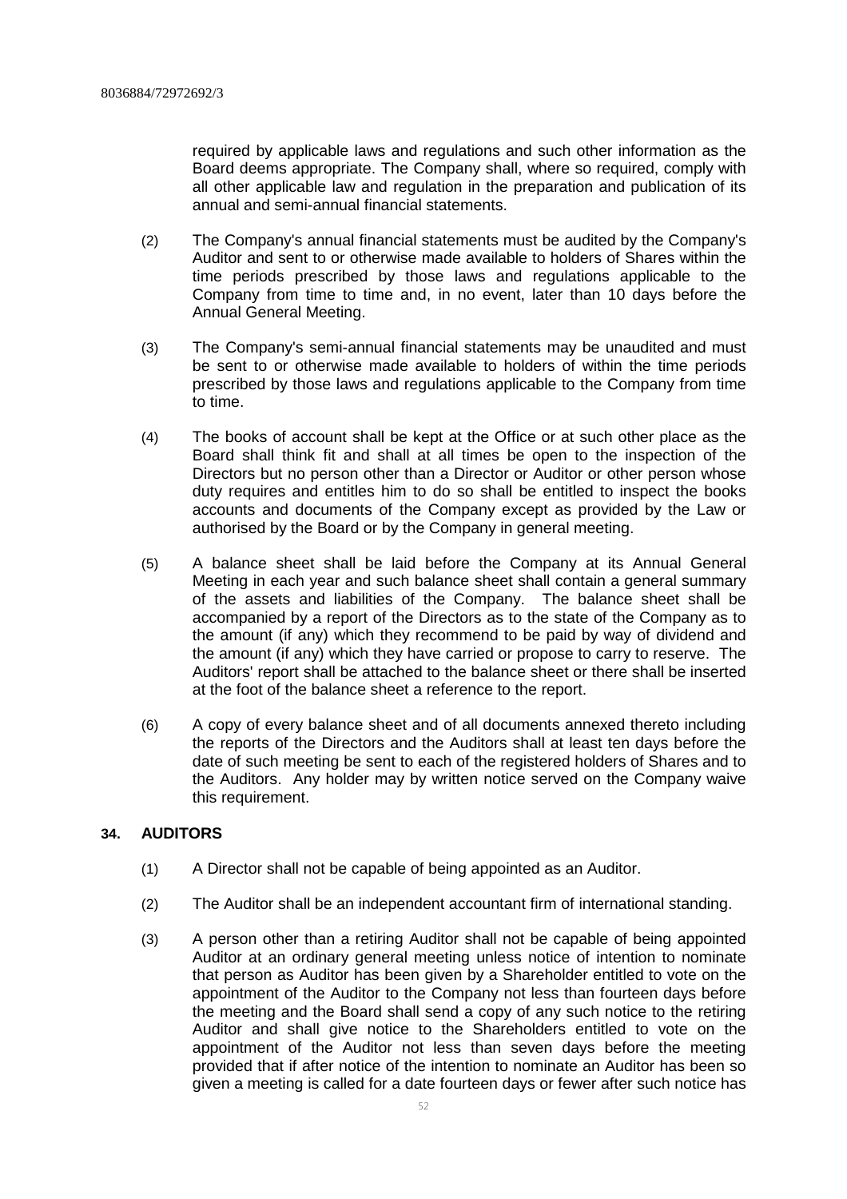required by applicable laws and regulations and such other information as the Board deems appropriate. The Company shall, where so required, comply with all other applicable law and regulation in the preparation and publication of its annual and semi-annual financial statements.

- (2) The Company's annual financial statements must be audited by the Company's Auditor and sent to or otherwise made available to holders of Shares within the time periods prescribed by those laws and regulations applicable to the Company from time to time and, in no event, later than 10 days before the Annual General Meeting.
- (3) The Company's semi-annual financial statements may be unaudited and must be sent to or otherwise made available to holders of within the time periods prescribed by those laws and regulations applicable to the Company from time to time.
- (4) The books of account shall be kept at the Office or at such other place as the Board shall think fit and shall at all times be open to the inspection of the Directors but no person other than a Director or Auditor or other person whose duty requires and entitles him to do so shall be entitled to inspect the books accounts and documents of the Company except as provided by the Law or authorised by the Board or by the Company in general meeting.
- (5) A balance sheet shall be laid before the Company at its Annual General Meeting in each year and such balance sheet shall contain a general summary of the assets and liabilities of the Company. The balance sheet shall be accompanied by a report of the Directors as to the state of the Company as to the amount (if any) which they recommend to be paid by way of dividend and the amount (if any) which they have carried or propose to carry to reserve. The Auditors' report shall be attached to the balance sheet or there shall be inserted at the foot of the balance sheet a reference to the report.
- (6) A copy of every balance sheet and of all documents annexed thereto including the reports of the Directors and the Auditors shall at least ten days before the date of such meeting be sent to each of the registered holders of Shares and to the Auditors. Any holder may by written notice served on the Company waive this requirement.

# **34. AUDITORS**

- (1) A Director shall not be capable of being appointed as an Auditor.
- (2) The Auditor shall be an independent accountant firm of international standing.
- (3) A person other than a retiring Auditor shall not be capable of being appointed Auditor at an ordinary general meeting unless notice of intention to nominate that person as Auditor has been given by a Shareholder entitled to vote on the appointment of the Auditor to the Company not less than fourteen days before the meeting and the Board shall send a copy of any such notice to the retiring Auditor and shall give notice to the Shareholders entitled to vote on the appointment of the Auditor not less than seven days before the meeting provided that if after notice of the intention to nominate an Auditor has been so given a meeting is called for a date fourteen days or fewer after such notice has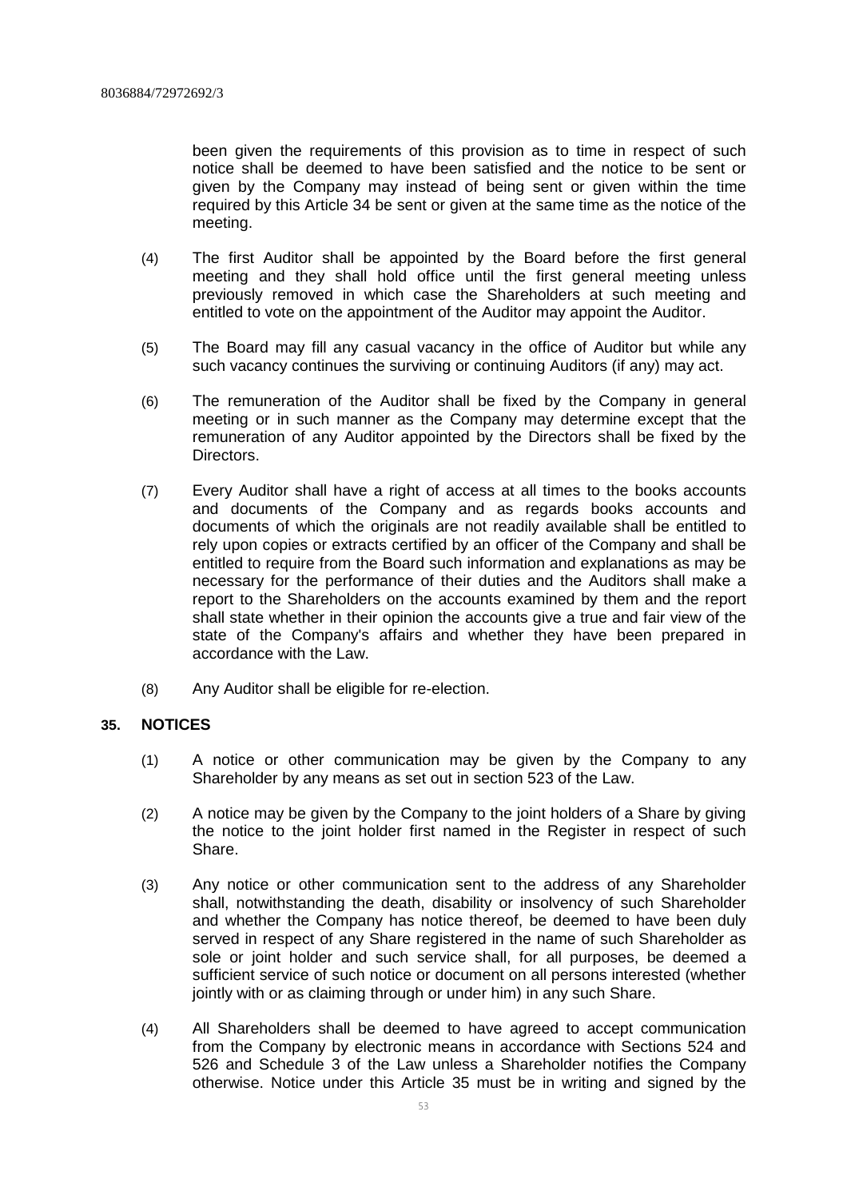been given the requirements of this provision as to time in respect of such notice shall be deemed to have been satisfied and the notice to be sent or given by the Company may instead of being sent or given within the time required by this Article 34 be sent or given at the same time as the notice of the meeting.

- (4) The first Auditor shall be appointed by the Board before the first general meeting and they shall hold office until the first general meeting unless previously removed in which case the Shareholders at such meeting and entitled to vote on the appointment of the Auditor may appoint the Auditor.
- (5) The Board may fill any casual vacancy in the office of Auditor but while any such vacancy continues the surviving or continuing Auditors (if any) may act.
- (6) The remuneration of the Auditor shall be fixed by the Company in general meeting or in such manner as the Company may determine except that the remuneration of any Auditor appointed by the Directors shall be fixed by the Directors.
- (7) Every Auditor shall have a right of access at all times to the books accounts and documents of the Company and as regards books accounts and documents of which the originals are not readily available shall be entitled to rely upon copies or extracts certified by an officer of the Company and shall be entitled to require from the Board such information and explanations as may be necessary for the performance of their duties and the Auditors shall make a report to the Shareholders on the accounts examined by them and the report shall state whether in their opinion the accounts give a true and fair view of the state of the Company's affairs and whether they have been prepared in accordance with the Law.
- (8) Any Auditor shall be eligible for re-election.

# **35. NOTICES**

- (1) A notice or other communication may be given by the Company to any Shareholder by any means as set out in section 523 of the Law.
- (2) A notice may be given by the Company to the joint holders of a Share by giving the notice to the joint holder first named in the Register in respect of such Share.
- (3) Any notice or other communication sent to the address of any Shareholder shall, notwithstanding the death, disability or insolvency of such Shareholder and whether the Company has notice thereof, be deemed to have been duly served in respect of any Share registered in the name of such Shareholder as sole or joint holder and such service shall, for all purposes, be deemed a sufficient service of such notice or document on all persons interested (whether jointly with or as claiming through or under him) in any such Share.
- (4) All Shareholders shall be deemed to have agreed to accept communication from the Company by electronic means in accordance with Sections 524 and 526 and Schedule 3 of the Law unless a Shareholder notifies the Company otherwise. Notice under this Article 35 must be in writing and signed by the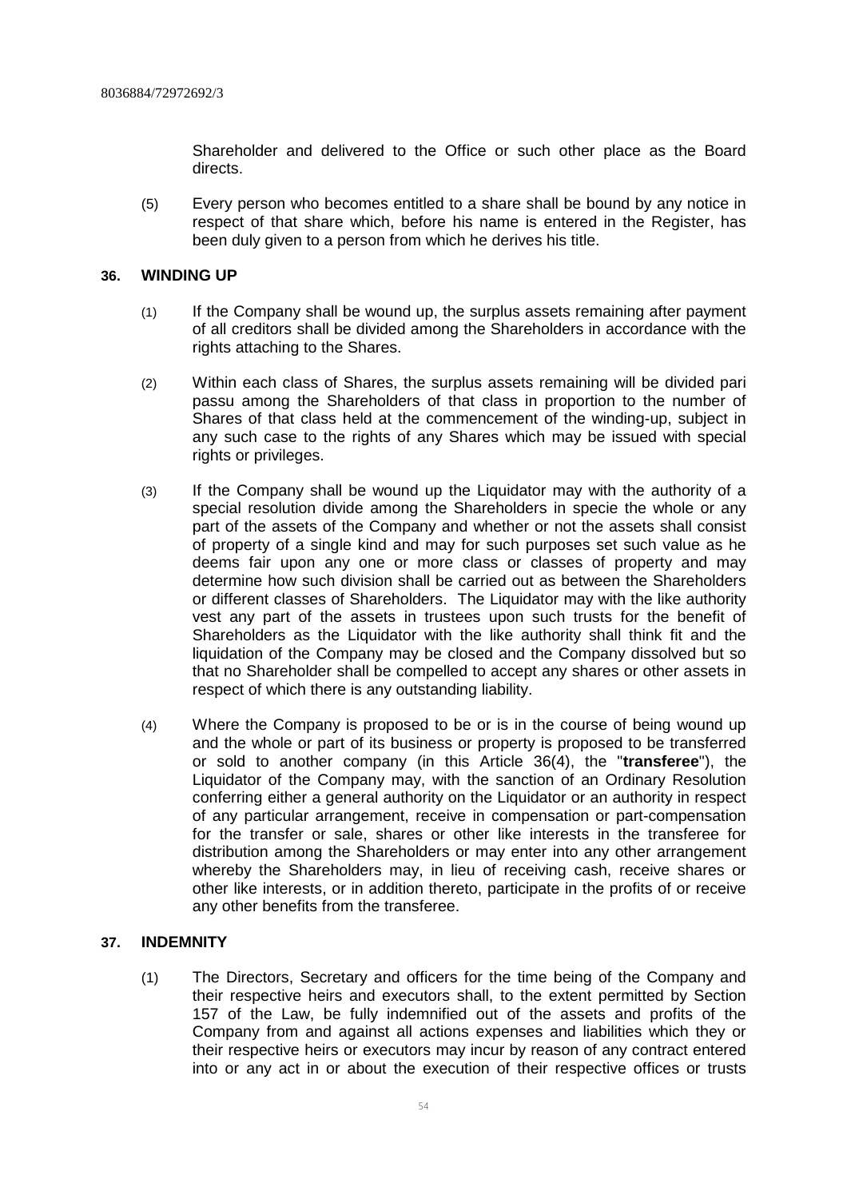Shareholder and delivered to the Office or such other place as the Board directs.

(5) Every person who becomes entitled to a share shall be bound by any notice in respect of that share which, before his name is entered in the Register, has been duly given to a person from which he derives his title.

# **36. WINDING UP**

- (1) If the Company shall be wound up, the surplus assets remaining after payment of all creditors shall be divided among the Shareholders in accordance with the rights attaching to the Shares.
- (2) Within each class of Shares, the surplus assets remaining will be divided pari passu among the Shareholders of that class in proportion to the number of Shares of that class held at the commencement of the winding-up, subject in any such case to the rights of any Shares which may be issued with special rights or privileges.
- (3) If the Company shall be wound up the Liquidator may with the authority of a special resolution divide among the Shareholders in specie the whole or any part of the assets of the Company and whether or not the assets shall consist of property of a single kind and may for such purposes set such value as he deems fair upon any one or more class or classes of property and may determine how such division shall be carried out as between the Shareholders or different classes of Shareholders. The Liquidator may with the like authority vest any part of the assets in trustees upon such trusts for the benefit of Shareholders as the Liquidator with the like authority shall think fit and the liquidation of the Company may be closed and the Company dissolved but so that no Shareholder shall be compelled to accept any shares or other assets in respect of which there is any outstanding liability.
- (4) Where the Company is proposed to be or is in the course of being wound up and the whole or part of its business or property is proposed to be transferred or sold to another company (in this Article 36(4), the "**transferee**"), the Liquidator of the Company may, with the sanction of an Ordinary Resolution conferring either a general authority on the Liquidator or an authority in respect of any particular arrangement, receive in compensation or part-compensation for the transfer or sale, shares or other like interests in the transferee for distribution among the Shareholders or may enter into any other arrangement whereby the Shareholders may, in lieu of receiving cash, receive shares or other like interests, or in addition thereto, participate in the profits of or receive any other benefits from the transferee.

# **37. INDEMNITY**

(1) The Directors, Secretary and officers for the time being of the Company and their respective heirs and executors shall, to the extent permitted by Section 157 of the Law, be fully indemnified out of the assets and profits of the Company from and against all actions expenses and liabilities which they or their respective heirs or executors may incur by reason of any contract entered into or any act in or about the execution of their respective offices or trusts